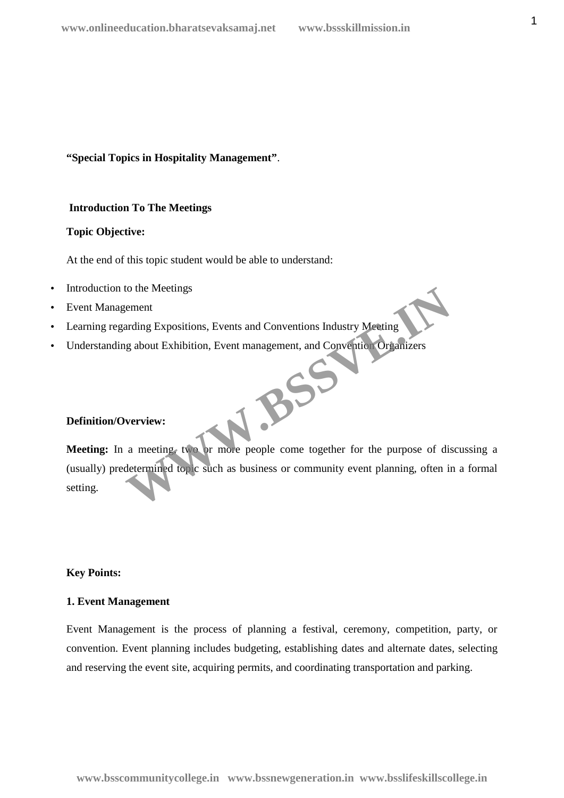**"Special Topics in Hospitality Management"**.

# **Introduction To The Meetings**

# **Topic Objective:**

At the end of this topic student would be able to understand:

- Introduction to the Meetings
- Event Management
- Learning regarding Expositions, Events and Conventions Industry Meeting
- Understanding about Exhibition, Event management, and Convention Organizers  $B^{55}$

# **Definition/Overview:**

**Meeting:** In a meeting, two or more people come together for the purpose of discussing a (usually) predetermined topic such as business or community event planning, often in a formal setting.

# **Key Points:**

### **1. Event Management**

Event Management is the process of planning a festival, ceremony, competition, party, or convention. Event planning includes budgeting, establishing dates and alternate dates, selecting and reserving the event site, acquiring permits, and coordinating transportation and parking.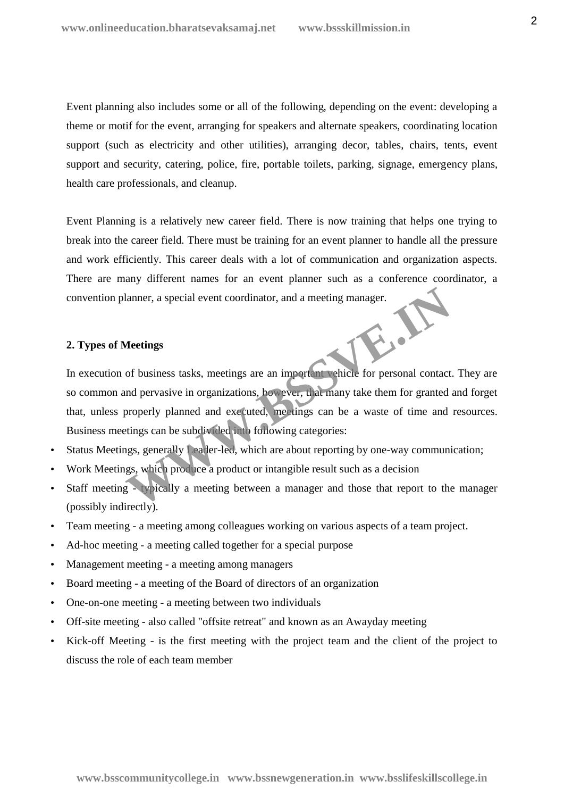Event planning also includes some or all of the following, depending on the event: developing a theme or motif for the event, arranging for speakers and alternate speakers, coordinating location support (such as electricity and other utilities), arranging decor, tables, chairs, tents, event support and security, catering, police, fire, portable toilets, parking, signage, emergency plans, health care professionals, and cleanup.

Event Planning is a relatively new career field. There is now training that helps one trying to break into the career field. There must be training for an event planner to handle all the pressure and work efficiently. This career deals with a lot of communication and organization aspects. There are many different names for an event planner such as a conference coordinator, a convention planner, a special event coordinator, and a meeting manager.

#### **2. Types of Meetings**

In execution of business tasks, meetings are an important vehicle for personal contact. They are so common and pervasive in organizations, however, that many take them for granted and forget that, unless properly planned and executed, meetings can be a waste of time and resources. Business meetings can be subdivided into following categories: Meetings<br>
Meetings<br>
of business tasks, meetings are an imperiant vehicle for personal contact<br>
and pervasive in organizations, however, was many take them for granted<br>
properly planned and executed, meetings can be a waste

- Status Meetings, generally Leader-led, which are about reporting by one-way communication;
- Work Meetings, which produce a product or intangible result such as a decision
- Staff meeting typically a meeting between a manager and those that report to the manager (possibly indirectly).
- Team meeting a meeting among colleagues working on various aspects of a team project.
- Ad-hoc meeting a meeting called together for a special purpose
- Management meeting a meeting among managers
- Board meeting a meeting of the Board of directors of an organization
- One-on-one meeting a meeting between two individuals
- Off-site meeting also called "offsite retreat" and known as an Awayday meeting
- Kick-off Meeting is the first meeting with the project team and the client of the project to discuss the role of each team member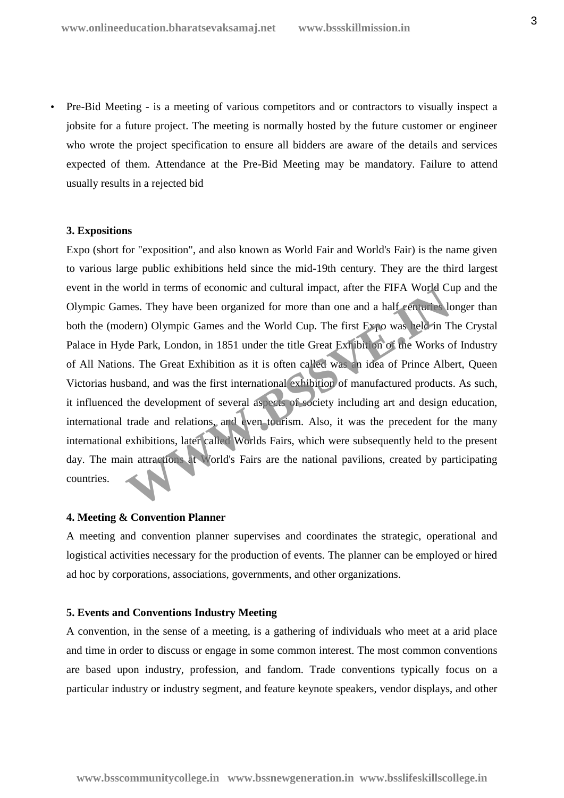Pre-Bid Meeting - is a meeting of various competitors and or contractors to visually inspect a jobsite for a future project. The meeting is normally hosted by the future customer or engineer who wrote the project specification to ensure all bidders are aware of the details and services expected of them. Attendance at the Pre-Bid Meeting may be mandatory. Failure to attend usually results in a rejected bid

#### **3. Expositions**

Expo (short for "exposition", and also known as World Fair and World's Fair) is the name given to various large public exhibitions held since the mid-19th century. They are the third largest event in the world in terms of economic and cultural impact, after the FIFA World Cup and the Olympic Games. They have been organized for more than one and a half centuries longer than both the (modern) Olympic Games and the World Cup. The first Expo was held in The Crystal Palace in Hyde Park, London, in 1851 under the title Great Exhibition of the Works of Industry of All Nations. The Great Exhibition as it is often called was an idea of Prince Albert, Queen Victorias husband, and was the first international exhibition of manufactured products. As such, it influenced the development of several aspects of society including art and design education, international trade and relations, and even tourism. Also, it was the precedent for the many international exhibitions, later called Worlds Fairs, which were subsequently held to the present day. The main attractions at World's Fairs are the national pavilions, created by participating countries. world in terms of economic and cultural impact, arter the FIFA world Clues. They have been organized for more than one and a half centuries ldem) Olympic Games and the World Cup. The first Expo was held in T de Park, Londo

#### **4. Meeting & Convention Planner**

A meeting and convention planner supervises and coordinates the strategic, operational and logistical activities necessary for the production of events. The planner can be employed or hired ad hoc by corporations, associations, governments, and other organizations.

#### **5. Events and Conventions Industry Meeting**

A convention, in the sense of a meeting, is a gathering of individuals who meet at a arid place and time in order to discuss or engage in some common interest. The most common conventions are based upon industry, profession, and fandom. Trade conventions typically focus on a particular industry or industry segment, and feature keynote speakers, vendor displays, and other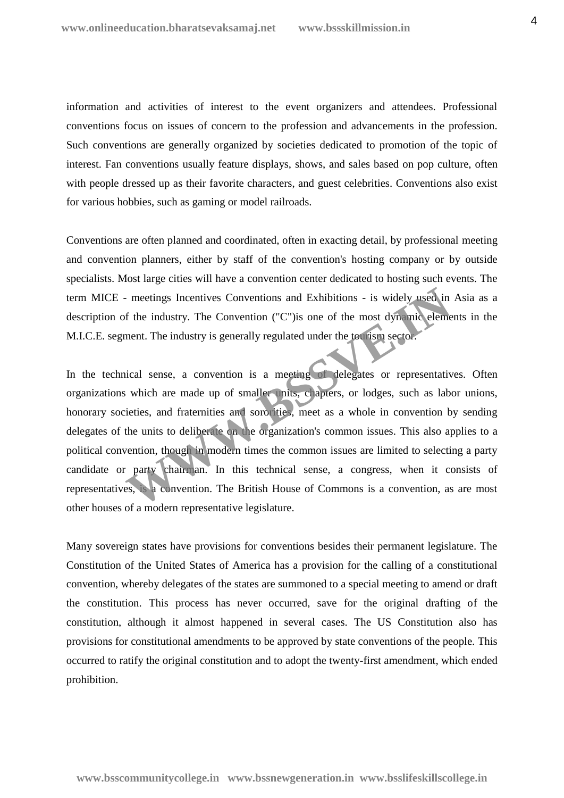information and activities of interest to the event organizers and attendees. Professional conventions focus on issues of concern to the profession and advancements in the profession. Such conventions are generally organized by societies dedicated to promotion of the topic of interest. Fan conventions usually feature displays, shows, and sales based on pop culture, often with people dressed up as their favorite characters, and guest celebrities. Conventions also exist for various hobbies, such as gaming or model railroads.

Conventions are often planned and coordinated, often in exacting detail, by professional meeting and convention planners, either by staff of the convention's hosting company or by outside specialists. Most large cities will have a convention center dedicated to hosting such events. The term MICE - meetings Incentives Conventions and Exhibitions - is widely used in Asia as a description of the industry. The Convention ("C")is one of the most dynamic elements in the M.I.C.E. segment. The industry is generally regulated under the tourism sector.

In the technical sense, a convention is a meeting of delegates or representatives. Often organizations which are made up of smaller units, chapters, or lodges, such as labor unions, honorary societies, and fraternities and sororities, meet as a whole in convention by sending delegates of the units to deliberate on the organization's common issues. This also applies to a political convention, though in modern times the common issues are limited to selecting a party candidate or party chairman. In this technical sense, a congress, when it consists of representatives, is a convention. The British House of Commons is a convention, as are most other houses of a modern representative legislature. The meetings Incentives Conventions and Exhibitions - is widely used in<br>
f the industry. The Convention ("C") is one of the most dynamic element.<br>
The industry is generally regulated under the tourism sector.<br>
Hence the in

Many sovereign states have provisions for conventions besides their permanent legislature. The Constitution of the United States of America has a provision for the calling of a constitutional convention, whereby delegates of the states are summoned to a special meeting to amend or draft the constitution. This process has never occurred, save for the original drafting of the constitution, although it almost happened in several cases. The US Constitution also has provisions for constitutional amendments to be approved by state conventions of the people. This occurred to ratify the original constitution and to adopt the twenty-first amendment, which ended prohibition.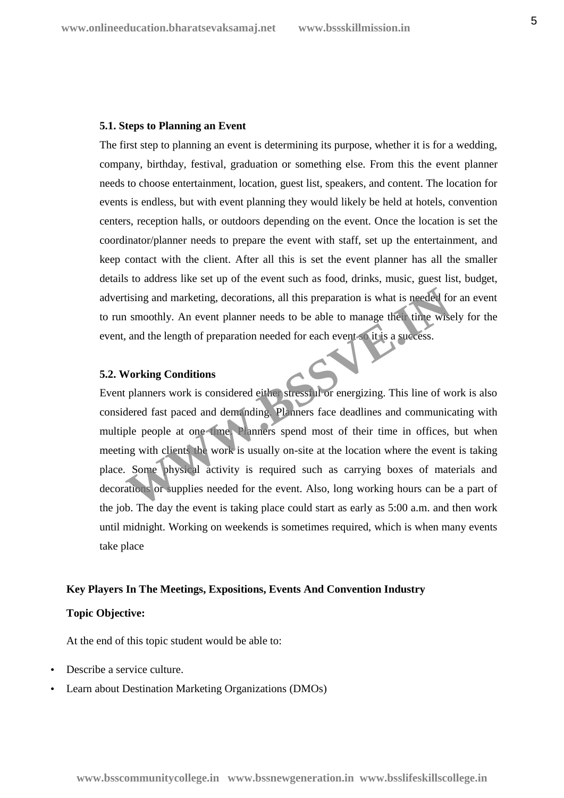#### **5.1. Steps to Planning an Event**

The first step to planning an event is determining its purpose, whether it is for a wedding, company, birthday, festival, graduation or something else. From this the event planner needs to choose entertainment, location, guest list, speakers, and content. The location for events is endless, but with event planning they would likely be held at hotels, convention centers, reception halls, or outdoors depending on the event. Once the location is set the coordinator/planner needs to prepare the event with staff, set up the entertainment, and keep contact with the client. After all this is set the event planner has all the smaller details to address like set up of the event such as food, drinks, music, guest list, budget, advertising and marketing, decorations, all this preparation is what is needed for an event to run smoothly. An event planner needs to be able to manage their time wisely for the event, and the length of preparation needed for each event so it is a success.

# **5.2. Working Conditions**

Event planners work is considered either stressful or energizing. This line of work is also considered fast paced and demanding. Planners face deadlines and communicating with multiple people at one time. Planners spend most of their time in offices, but when meeting with clients the work is usually on-site at the location where the event is taking place. Some physical activity is required such as carrying boxes of materials and decorations or supplies needed for the event. Also, long working hours can be a part of the job. The day the event is taking place could start as early as 5:00 a.m. and then work until midnight. Working on weekends is sometimes required, which is when many events take place tising and marketing, decorations, all this preparation is what is needed for smoothly. An event planner needs to be able to manage there time wise, and the length of preparation needed for each events of it is a success.<br>

#### **Key Players In The Meetings, Expositions, Events And Convention Industry**

### **Topic Objective:**

At the end of this topic student would be able to:

- Describe a service culture.
- Learn about Destination Marketing Organizations (DMOs)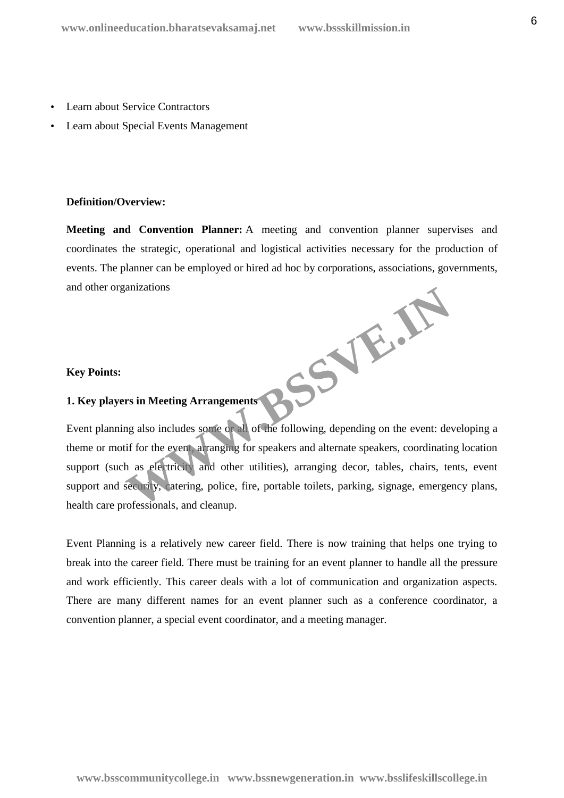- Learn about Service Contractors
- Learn about Special Events Management

### **Definition/Overview:**

**Meeting and Convention Planner:** A meeting and convention planner supervises and coordinates the strategic, operational and logistical activities necessary for the production of events. The planner can be employed or hired ad hoc by corporations, associations, governments, and other organizations **WWW.BSSVE.IN**

# **Key Points:**

# **1. Key players in Meeting Arrangements**

Event planning also includes some or all of the following, depending on the event: developing a theme or motif for the event, arranging for speakers and alternate speakers, coordinating location support (such as electricity and other utilities), arranging decor, tables, chairs, tents, event support and security, catering, police, fire, portable toilets, parking, signage, emergency plans, health care professionals, and cleanup.

Event Planning is a relatively new career field. There is now training that helps one trying to break into the career field. There must be training for an event planner to handle all the pressure and work efficiently. This career deals with a lot of communication and organization aspects. There are many different names for an event planner such as a conference coordinator, a convention planner, a special event coordinator, and a meeting manager.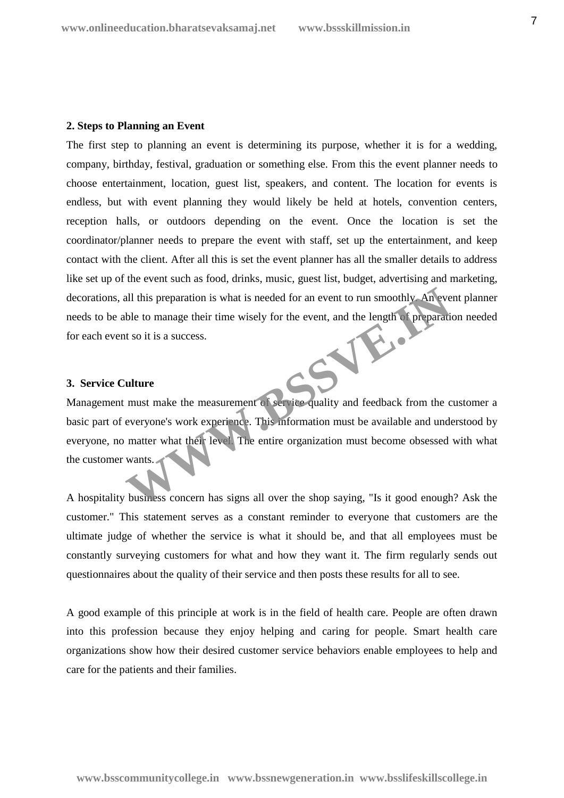#### **2. Steps to Planning an Event**

The first step to planning an event is determining its purpose, whether it is for a wedding, company, birthday, festival, graduation or something else. From this the event planner needs to choose entertainment, location, guest list, speakers, and content. The location for events is endless, but with event planning they would likely be held at hotels, convention centers, reception halls, or outdoors depending on the event. Once the location is set the coordinator/planner needs to prepare the event with staff, set up the entertainment, and keep contact with the client. After all this is set the event planner has all the smaller details to address like set up of the event such as food, drinks, music, guest list, budget, advertising and marketing, decorations, all this preparation is what is needed for an event to run smoothly. An event planner needs to be able to manage their time wisely for the event, and the length of preparation needed for each event so it is a success.

# **3. Service Culture**

Management must make the measurement of service quality and feedback from the customer a basic part of everyone's work experience. This information must be available and understood by everyone, no matter what their level. The entire organization must become obsessed with what the customer wants. all this preparation is what is needed for an event to run smoothly. An every be to manage their time wisely for the event, and the length of preparation to so it is a success.<br> **WHERE IS NOTE AND SURVEY THE CONSECRET AND** 

A hospitality business concern has signs all over the shop saying, "Is it good enough? Ask the customer." This statement serves as a constant reminder to everyone that customers are the ultimate judge of whether the service is what it should be, and that all employees must be constantly surveying customers for what and how they want it. The firm regularly sends out questionnaires about the quality of their service and then posts these results for all to see.

A good example of this principle at work is in the field of health care. People are often drawn into this profession because they enjoy helping and caring for people. Smart health care organizations show how their desired customer service behaviors enable employees to help and care for the patients and their families.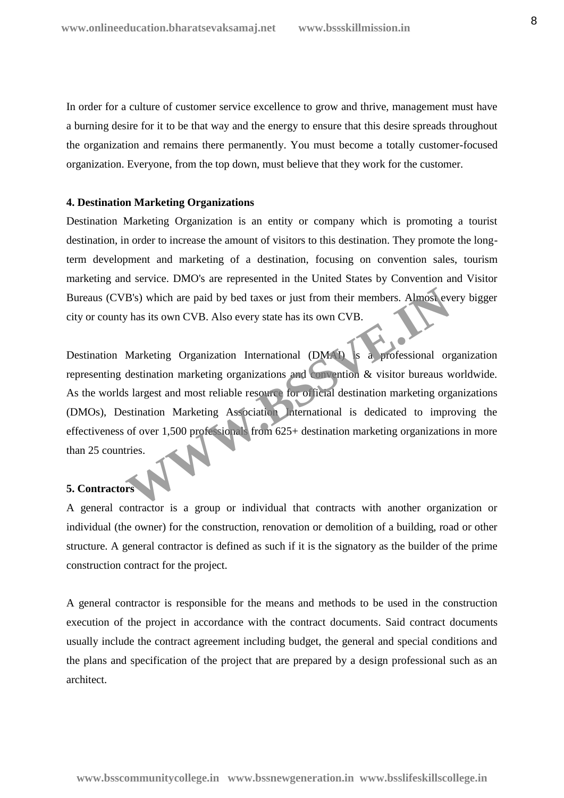In order for a culture of customer service excellence to grow and thrive, management must have a burning desire for it to be that way and the energy to ensure that this desire spreads throughout the organization and remains there permanently. You must become a totally customer-focused organization. Everyone, from the top down, must believe that they work for the customer.

# **4. Destination Marketing Organizations**

Destination Marketing Organization is an entity or company which is promoting a tourist destination, in order to increase the amount of visitors to this destination. They promote the longterm development and marketing of a destination, focusing on convention sales, tourism marketing and service. DMO's are represented in the United States by Convention and Visitor Bureaus (CVB's) which are paid by bed taxes or just from their members. Almost every bigger city or county has its own CVB. Also every state has its own CVB.

Destination Marketing Organization International (DMAI) is a professional organization representing destination marketing organizations and convention & visitor bureaus worldwide. As the worlds largest and most reliable resource for official destination marketing organizations (DMOs), Destination Marketing Association International is dedicated to improving the effectiveness of over 1,500 professionals from 625+ destination marketing organizations in more than 25 countries. B's) which are paid by bed taxes or just from their members. Almost every that it is own CVB.<br>Almost every state has its own CVB.<br>Marketing Organization International (DMAT) is a professional or destination marketing organ

# **5. Contractors**

A general contractor is a group or individual that contracts with another organization or individual (the owner) for the construction, renovation or demolition of a building, road or other structure. A general contractor is defined as such if it is the signatory as the builder of the prime construction contract for the project.

A general contractor is responsible for the means and methods to be used in the construction execution of the project in accordance with the contract documents. Said contract documents usually include the contract agreement including budget, the general and special conditions and the plans and specification of the project that are prepared by a design professional such as an architect.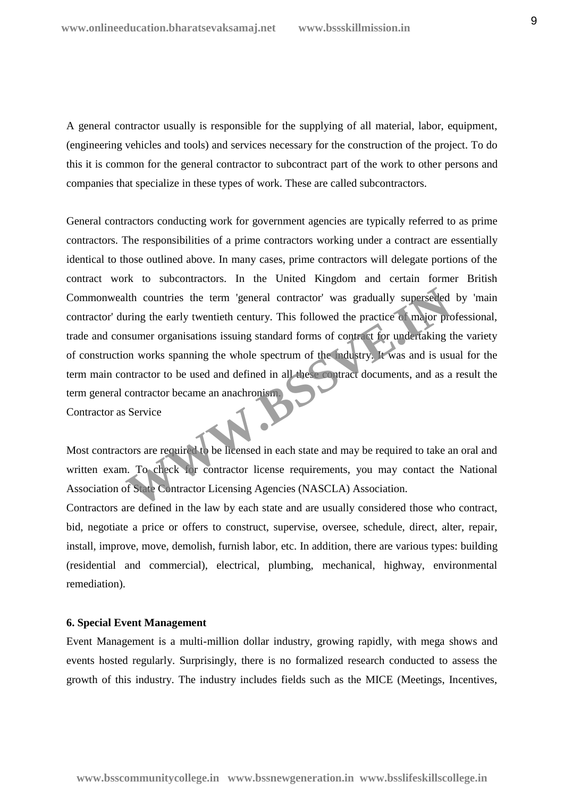A general contractor usually is responsible for the supplying of all material, labor, equipment, (engineering vehicles and tools) and services necessary for the construction of the project. To do this it is common for the general contractor to subcontract part of the work to other persons and companies that specialize in these types of work. These are called subcontractors.

General contractors conducting work for government agencies are typically referred to as prime contractors. The responsibilities of a prime contractors working under a contract are essentially identical to those outlined above. In many cases, prime contractors will delegate portions of the contract work to subcontractors. In the United Kingdom and certain former British Commonwealth countries the term 'general contractor' was gradually superseded by 'main contractor' during the early twentieth century. This followed the practice of major professional, trade and consumer organisations issuing standard forms of contract for undertaking the variety of construction works spanning the whole spectrum of the industry. It was and is usual for the term main contractor to be used and defined in all these contract documents, and as a result the term general contractor became an anachronism. Contractor as Service This countries the term 'general contractor' was gradually superseded<br>
uring the early twentieth century. This followed the practice of major pro-<br>
In summer organisations issuing standard forms of contract for undertaking

Most contractors are required to be licensed in each state and may be required to take an oral and written exam. To check for contractor license requirements, you may contact the National Association of State Contractor Licensing Agencies (NASCLA) Association.

Contractors are defined in the law by each state and are usually considered those who contract, bid, negotiate a price or offers to construct, supervise, oversee, schedule, direct, alter, repair, install, improve, move, demolish, furnish labor, etc. In addition, there are various types: building (residential and commercial), electrical, plumbing, mechanical, highway, environmental remediation).

### **6. Special Event Management**

Event Management is a multi-million dollar industry, growing rapidly, with mega shows and events hosted regularly. Surprisingly, there is no formalized research conducted to assess the growth of this industry. The industry includes fields such as the MICE (Meetings, Incentives,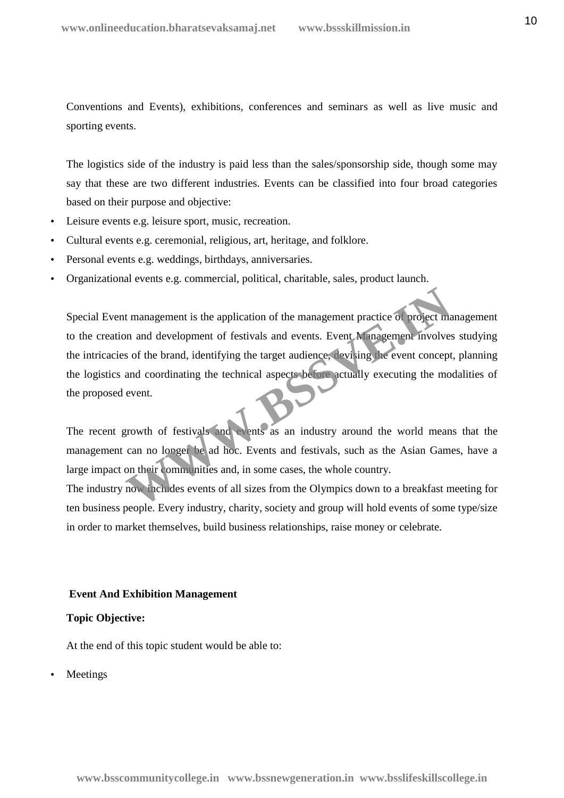Conventions and Events), exhibitions, conferences and seminars as well as live music and sporting events.

The logistics side of the industry is paid less than the sales/sponsorship side, though some may say that these are two different industries. Events can be classified into four broad categories based on their purpose and objective:

- Leisure events e.g. leisure sport, music, recreation.
- Cultural events e.g. ceremonial, religious, art, heritage, and folklore.
- Personal events e.g. weddings, birthdays, anniversaries.
- Organizational events e.g. commercial, political, charitable, sales, product launch.

Special Event management is the application of the management practice of project management to the creation and development of festivals and events. Event Management involves studying the intricacies of the brand, identifying the target audience, devising the event concept, planning the logistics and coordinating the technical aspects before actually executing the modalities of the proposed event. t management is the application of the management practice of project me<br>an and development of festivals and events. Event Management involves<br>s of the brand, identifying the target audience, tevising the event concept<br>and

The recent growth of festivals and events as an industry around the world means that the management can no longer be ad hoc. Events and festivals, such as the Asian Games, have a large impact on their communities and, in some cases, the whole country.

The industry now includes events of all sizes from the Olympics down to a breakfast meeting for ten business people. Every industry, charity, society and group will hold events of some type/size in order to market themselves, build business relationships, raise money or celebrate.

# **Event And Exhibition Management**

# **Topic Objective:**

At the end of this topic student would be able to:

Meetings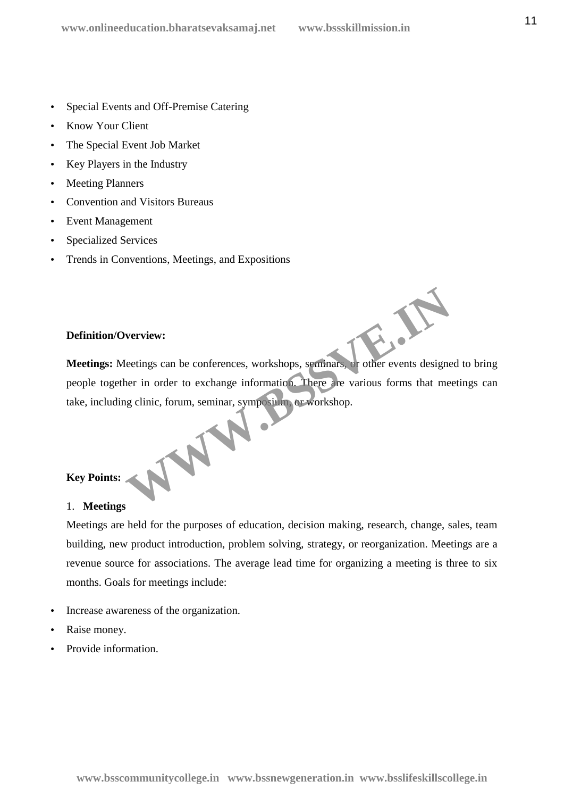- Special Events and Off-Premise Catering
- Know Your Client
- The Special Event Job Market
- Key Players in the Industry
- Meeting Planners
- Convention and Visitors Bureaus
- Event Management
- Specialized Services
- Trends in Conventions, Meetings, and Expositions

# **Definition/Overview:**

**Meetings:** Meetings can be conferences, workshops, seminars, or other events designed to bring people together in order to exchange information. There are various forms that meetings can take, including clinic, forum, seminar, symposium, or workshop. WWW.

# **Key Points:**

# 1. **Meetings**

Meetings are held for the purposes of education, decision making, research, change, sales, team building, new product introduction, problem solving, strategy, or reorganization. Meetings are a revenue source for associations. The average lead time for organizing a meeting is three to six months. Goals for meetings include:

- Increase awareness of the organization.
- Raise money.
- Provide information.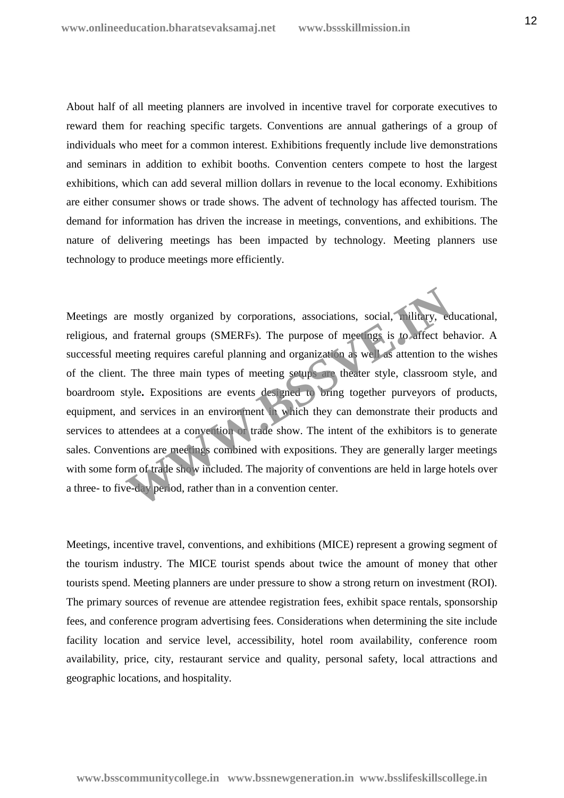About half of all meeting planners are involved in incentive travel for corporate executives to reward them for reaching specific targets. Conventions are annual gatherings of a group of individuals who meet for a common interest. Exhibitions frequently include live demonstrations and seminars in addition to exhibit booths. Convention centers compete to host the largest exhibitions, which can add several million dollars in revenue to the local economy. Exhibitions are either consumer shows or trade shows. The advent of technology has affected tourism. The demand for information has driven the increase in meetings, conventions, and exhibitions. The nature of delivering meetings has been impacted by technology. Meeting planners use technology to produce meetings more efficiently.

Meetings are mostly organized by corporations, associations, social, military, educational, religious, and fraternal groups (SMERFs). The purpose of meetings is to affect behavior. A successful meeting requires careful planning and organization as well as attention to the wishes of the client. The three main types of meeting setups are theater style, classroom style, and boardroom style**.** Expositions are events designed to bring together purveyors of products, equipment, and services in an environment in which they can demonstrate their products and services to attendees at a convention or trade show. The intent of the exhibitors is to generate sales. Conventions are meetings combined with expositions. They are generally larger meetings with some form of trade show included. The majority of conventions are held in large hotels over a three- to five-day period, rather than in a convention center. Example 18 and the main types of meetings associations, social, military, ed af fraternal groups (SMERFs). The purpose of meetings is to affect be eeting requires careful planning and organization as we can assume that at

Meetings, incentive travel, conventions, and exhibitions (MICE) represent a growing segment of the tourism industry. The MICE tourist spends about twice the amount of money that other tourists spend. Meeting planners are under pressure to show a strong return on investment (ROI). The primary sources of revenue are attendee registration fees, exhibit space rentals, sponsorship fees, and conference program advertising fees. Considerations when determining the site include facility location and service level, accessibility, hotel room availability, conference room availability, price, city, restaurant service and quality, personal safety, local attractions and geographic locations, and hospitality.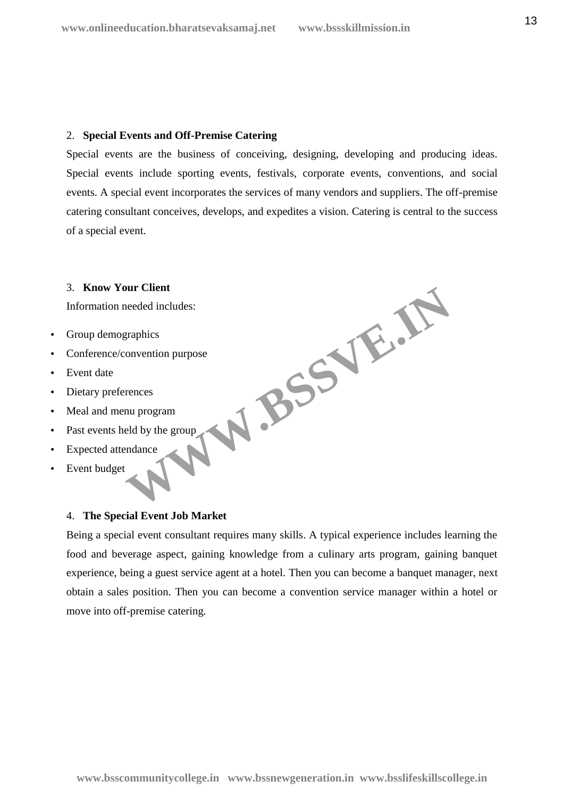# 2. **Special Events and Off-Premise Catering**

Special events are the business of conceiving, designing, developing and producing ideas. Special events include sporting events, festivals, corporate events, conventions, and social events. A special event incorporates the services of many vendors and suppliers. The off-premise catering consultant conceives, develops, and expedites a vision. Catering is central to the success of a special event.

# 3. **Know Your Client**

Information needed includes:

- Group demographics
- Conference/convention purpose **WWW.BSSVE.IN**
- Event date
- Dietary preferences
- Meal and menu program
- Past events held by the group
- Expected attendance
- Event budget

# 4. **The Special Event Job Market**

Being a special event consultant requires many skills. A typical experience includes learning the food and beverage aspect, gaining knowledge from a culinary arts program, gaining banquet experience, being a guest service agent at a hotel. Then you can become a banquet manager, next obtain a sales position. Then you can become a convention service manager within a hotel or move into off-premise catering.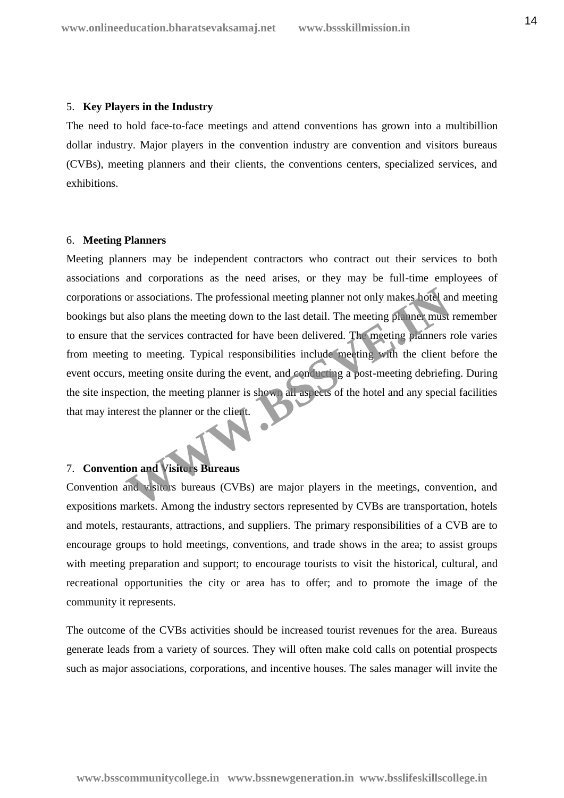#### 5. **Key Players in the Industry**

The need to hold face-to-face meetings and attend conventions has grown into a multibillion dollar industry. Major players in the convention industry are convention and visitors bureaus (CVBs), meeting planners and their clients, the conventions centers, specialized services, and exhibitions.

#### 6. **Meeting Planners**

Meeting planners may be independent contractors who contract out their services to both associations and corporations as the need arises, or they may be full-time employees of corporations or associations. The professional meeting planner not only makes hotel and meeting bookings but also plans the meeting down to the last detail. The meeting planner must remember to ensure that the services contracted for have been delivered. The meeting planners role varies from meeting to meeting. Typical responsibilities include meeting with the client before the event occurs, meeting onsite during the event, and conducting a post-meeting debriefing. During the site inspection, the meeting planner is shown all aspects of the hotel and any special facilities that may interest the planner or the client. or associations. The professional meeting planner not only makes hotel and also plans the meeting down to the last detail. The meeting planner must<br>also plans the meeting down to the last detail. The meeting planners r<br>at

# 7. **Convention and Visitors Bureaus**

Convention and visitors bureaus (CVBs) are major players in the meetings, convention, and expositions markets. Among the industry sectors represented by CVBs are transportation, hotels and motels, restaurants, attractions, and suppliers. The primary responsibilities of a CVB are to encourage groups to hold meetings, conventions, and trade shows in the area; to assist groups with meeting preparation and support; to encourage tourists to visit the historical, cultural, and recreational opportunities the city or area has to offer; and to promote the image of the community it represents.

The outcome of the CVBs activities should be increased tourist revenues for the area. Bureaus generate leads from a variety of sources. They will often make cold calls on potential prospects such as major associations, corporations, and incentive houses. The sales manager will invite the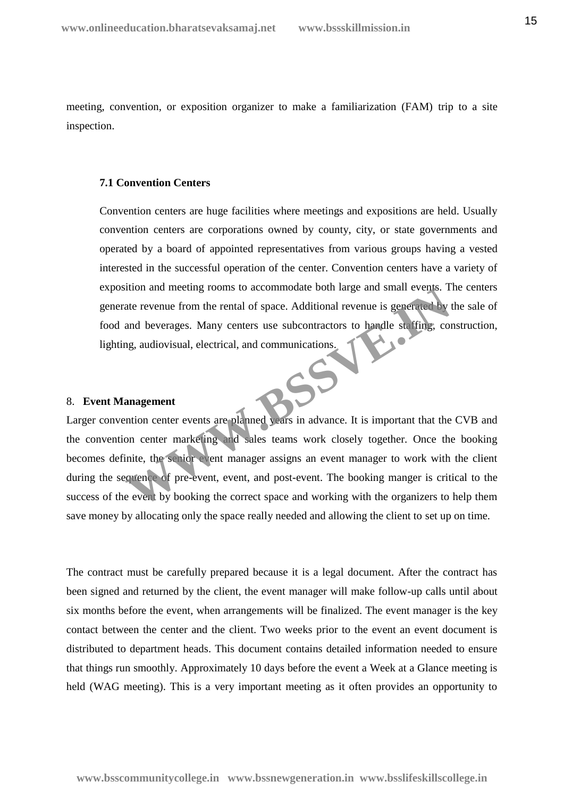meeting, convention, or exposition organizer to make a familiarization (FAM) trip to a site inspection.

# **7.1 Convention Centers**

Convention centers are huge facilities where meetings and expositions are held. Usually convention centers are corporations owned by county, city, or state governments and operated by a board of appointed representatives from various groups having a vested interested in the successful operation of the center. Convention centers have a variety of exposition and meeting rooms to accommodate both large and small events. The centers generate revenue from the rental of space. Additional revenue is generated by the sale of food and beverages. Many centers use subcontractors to handle staffing, construction, lighting, audiovisual, electrical, and communications.

# 8. **Event Management**

Larger convention center events are planned years in advance. It is important that the CVB and the convention center marketing and sales teams work closely together. Once the booking becomes definite, the senior event manager assigns an event manager to work with the client during the sequence of pre-event, event, and post-event. The booking manger is critical to the success of the event by booking the correct space and working with the organizers to help them save money by allocating only the space really needed and allowing the client to set up on time. and meeting rooms to accommodate both large and small events. I<br>tate revenue from the rental of space. Additional revenue is generated by<br>and beverages. Many centers use subcontractors to handle staffing, con<br>g, audiovisua

The contract must be carefully prepared because it is a legal document. After the contract has been signed and returned by the client, the event manager will make follow-up calls until about six months before the event, when arrangements will be finalized. The event manager is the key contact between the center and the client. Two weeks prior to the event an event document is distributed to department heads. This document contains detailed information needed to ensure that things run smoothly. Approximately 10 days before the event a Week at a Glance meeting is held (WAG meeting). This is a very important meeting as it often provides an opportunity to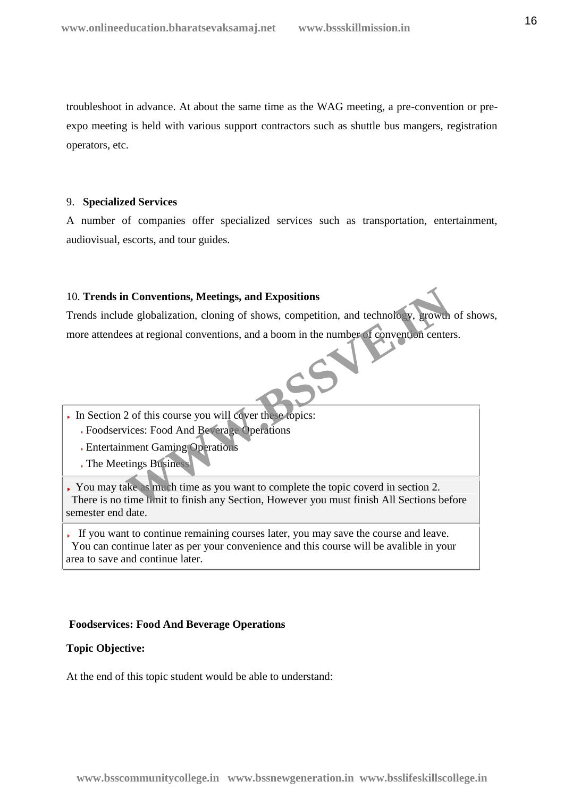troubleshoot in advance. At about the same time as the WAG meeting, a pre-convention or pre expo meeting is held with various support contractors such as shuttle bus mangers, registration operators, etc.

# 9. **Specialized Services**

A number of companies offer specialized services such as transportation, entertainment, audiovisual, escorts, and tour guides.

# 10. **Trends in Conventions, Meetings, and Expositions**

Trends include globalization, cloning of shows, competition, and technology, growth of shows, more attendees at regional conventions, and a boom in the number of convention centers. **Conventions, Meetings, and Expositions**<br>
Le globalization, cloning of shows, competition, and technology, growth<br>
Les at regional conventions, and a boom in the number of convention center<br>
Les at regional conventions, an

- In Section 2 of this course you will cover these topics:
	- Foodservices: Food And Beverage Operations
	- Entertainment Gaming Operations
	- The Meetings Business

You may take as much time as you want to complete the topic coverd in section 2. There is no time limit to finish any Section, However you must finish All Sections before semester end date.

If you want to continue remaining courses later, you may save the course and leave. You can continue later as per your convenience and this course will be avalible in your area to save and continue later.

# **Foodservices: Food And Beverage Operations**

# **Topic Objective:**

At the end of this topic student would be able to understand: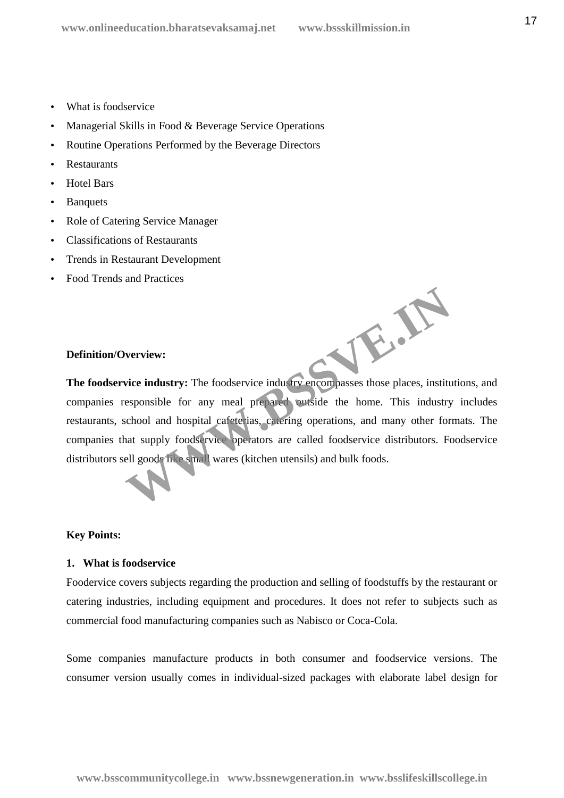- What is foodservice
- Managerial Skills in Food & Beverage Service Operations
- Routine Operations Performed by the Beverage Directors
- Restaurants
- Hotel Bars
- Banquets
- Role of Catering Service Manager
- Classifications of Restaurants
- Trends in Restaurant Development
- Food Trends and Practices

### **Definition/Overview:**

**The foodservice industry:** The foodservice industry encompasses those places, institutions, and companies responsible for any meal prepared outside the home. This industry includes restaurants, school and hospital cafeterias, catering operations, and many other formats. The companies that supply foodservice operators are called foodservice distributors. Foodservice distributors sell goods like small wares (kitchen utensils) and bulk foods. WE.A.

### **Key Points:**

#### **1. What is foodservice**

Foodervice covers subjects regarding the production and selling of foodstuffs by the restaurant or catering industries, including equipment and procedures. It does not refer to subjects such as commercial food manufacturing companies such as Nabisco or Coca-Cola.

Some companies manufacture products in both consumer and foodservice versions. The consumer version usually comes in individual-sized packages with elaborate label design for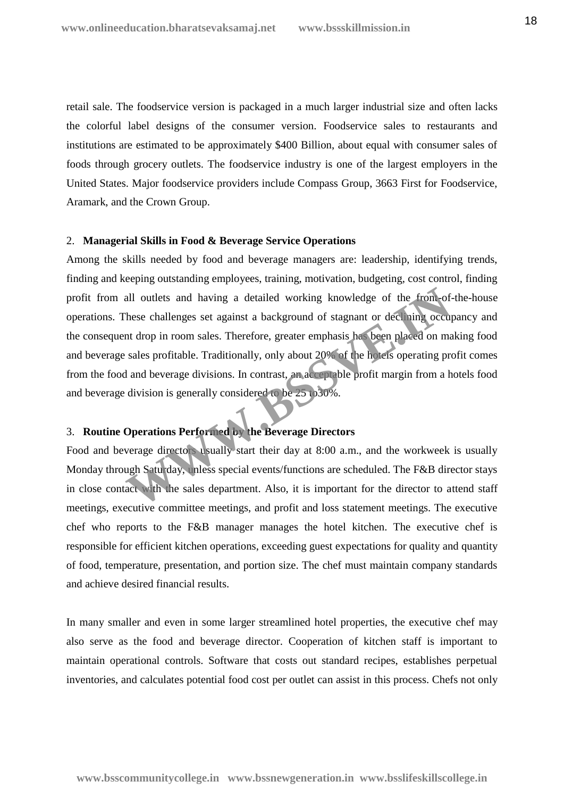retail sale. The foodservice version is packaged in a much larger industrial size and often lacks the colorful label designs of the consumer version. Foodservice sales to restaurants and institutions are estimated to be approximately \$400 Billion, about equal with consumer sales of foods through grocery outlets. The foodservice industry is one of the largest employers in the United States. Major foodservice providers include Compass Group, 3663 First for Foodservice, Aramark, and the Crown Group.

# 2. **Managerial Skills in Food & Beverage Service Operations**

Among the skills needed by food and beverage managers are: leadership, identifying trends, finding and keeping outstanding employees, training, motivation, budgeting, cost control, finding profit from all outlets and having a detailed working knowledge of the front-of-the-house operations. These challenges set against a background of stagnant or declining occupancy and the consequent drop in room sales. Therefore, greater emphasis has been placed on making food and beverage sales profitable. Traditionally, only about 20% of the hotels operating profit comes from the food and beverage divisions. In contrast, an acceptable profit margin from a hotels food and beverage division is generally considered to be 25 to30%. all outlets and having a detailed working knowledge of the from-of-<br>hese challenges set against a background of stagnant or declining occup<br>and drop in room sales. Therefore, greater emphasis has been placed on ma<br>sales pr

# 3. **Routine Operations Performed by the Beverage Directors**

Food and beverage directors usually start their day at 8:00 a.m., and the workweek is usually Monday through Saturday, unless special events/functions are scheduled. The F&B director stays in close contact with the sales department. Also, it is important for the director to attend staff meetings, executive committee meetings, and profit and loss statement meetings. The executive chef who reports to the F&B manager manages the hotel kitchen. The executive chef is responsible for efficient kitchen operations, exceeding guest expectations for quality and quantity of food, temperature, presentation, and portion size. The chef must maintain company standards and achieve desired financial results.

In many smaller and even in some larger streamlined hotel properties, the executive chef may also serve as the food and beverage director. Cooperation of kitchen staff is important to maintain operational controls. Software that costs out standard recipes, establishes perpetual inventories, and calculates potential food cost per outlet can assist in this process. Chefs not only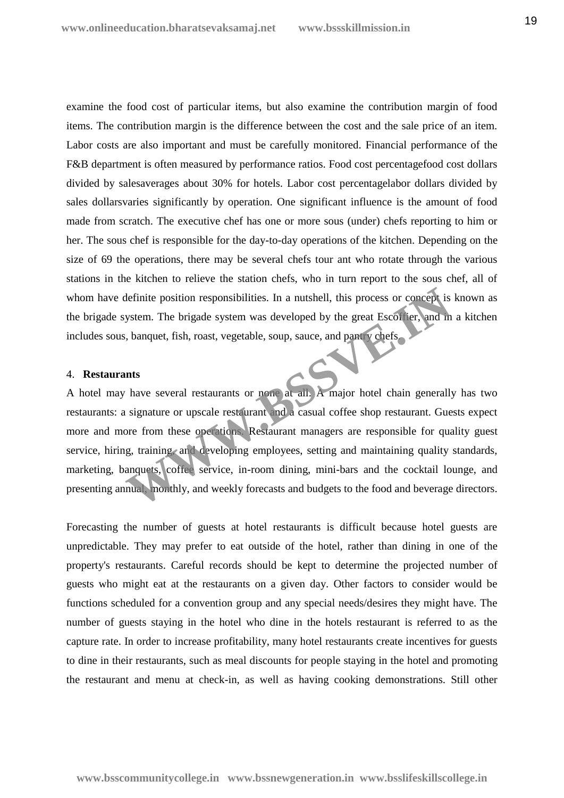examine the food cost of particular items, but also examine the contribution margin of food items. The contribution margin is the difference between the cost and the sale price of an item. Labor costs are also important and must be carefully monitored. Financial performance of the F&B department is often measured by performance ratios. Food cost percentagefood cost dollars divided by salesaverages about 30% for hotels. Labor cost percentagelabor dollars divided by sales dollarsvaries significantly by operation. One significant influence is the amount of food made from scratch. The executive chef has one or more sous (under) chefs reporting to him or her. The sous chef is responsible for the day-to-day operations of the kitchen. Depending on the size of 69 the operations, there may be several chefs tour ant who rotate through the various stations in the kitchen to relieve the station chefs, who in turn report to the sous chef, all of whom have definite position responsibilities. In a nutshell, this process or concept is known as the brigade system. The brigade system was developed by the great Escoffier, and in a kitchen includes sous, banquet, fish, roast, vegetable, soup, sauce, and pantry chefs.

#### 4. **Restaurants**

A hotel may have several restaurants or none at all. A major hotel chain generally has two restaurants: a signature or upscale restaurant and a casual coffee shop restaurant. Guests expect more and more from these operations. Restaurant managers are responsible for quality guest service, hiring, training, and developing employees, setting and maintaining quality standards, marketing, banquets, coffee service, in-room dining, mini-bars and the cocktail lounge, and presenting annual, monthly, and weekly forecasts and budgets to the food and beverage directors. Extern. The brigade system was developed by the great Esconter, and m<br>
is ustem. The brigade system was developed by the great Esconter, and m<br>
is used, fish, roast, vegetable, soup, sauce, and party vehefs.<br>
Ints<br>
have se

Forecasting the number of guests at hotel restaurants is difficult because hotel guests are unpredictable. They may prefer to eat outside of the hotel, rather than dining in one of the property's restaurants. Careful records should be kept to determine the projected number of guests who might eat at the restaurants on a given day. Other factors to consider would be functions scheduled for a convention group and any special needs/desires they might have. The number of guests staying in the hotel who dine in the hotels restaurant is referred to as the capture rate. In order to increase profitability, many hotel restaurants create incentives for guests to dine in their restaurants, such as meal discounts for people staying in the hotel and promoting the restaurant and menu at check-in, as well as having cooking demonstrations. Still other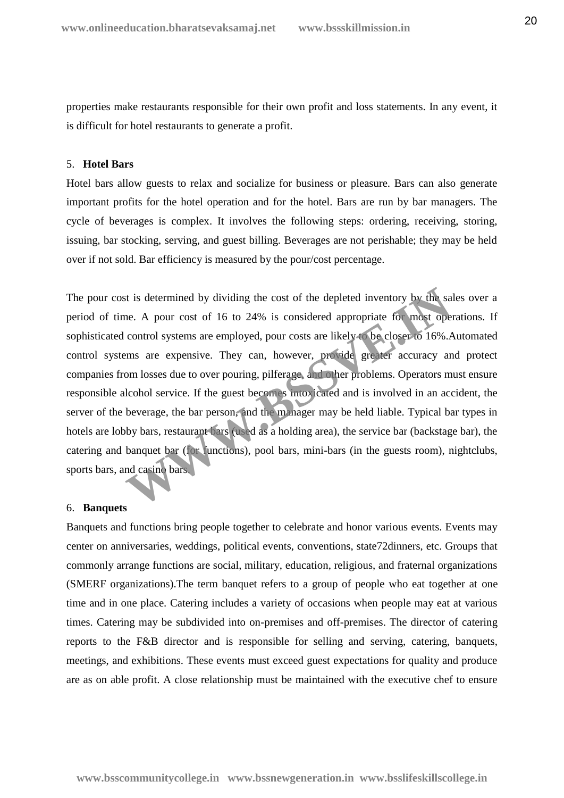properties make restaurants responsible for their own profit and loss statements. In any event, it is difficult for hotel restaurants to generate a profit.

# 5. **Hotel Bars**

Hotel bars allow guests to relax and socialize for business or pleasure. Bars can also generate important profits for the hotel operation and for the hotel. Bars are run by bar managers. The cycle of beverages is complex. It involves the following steps: ordering, receiving, storing, issuing, bar stocking, serving, and guest billing. Beverages are not perishable; they may be held over if not sold. Bar efficiency is measured by the pour/cost percentage.

The pour cost is determined by dividing the cost of the depleted inventory by the sales over a period of time. A pour cost of 16 to 24% is considered appropriate for most operations. If sophisticated control systems are employed, pour costs are likely to be closer to 16%.Automated control systems are expensive. They can, however, provide greater accuracy and protect companies from losses due to over pouring, pilferage, and other problems. Operators must ensure responsible alcohol service. If the guest becomes intoxicated and is involved in an accident, the server of the beverage, the bar person, and the manager may be held liable. Typical bar types in hotels are lobby bars, restaurant bars (used as a holding area), the service bar (backstage bar), the catering and banquet bar (for functions), pool bars, mini-bars (in the guests room), nightclubs, sports bars, and casino bars. is determined by dividing the cost of the depleted inventory by the sa<br>e. A pour cost of 16 to 24% is considered appropriate for most ope<br>control systems are employed, pour costs are likely to be closer to 16%.<br>Immage cont

#### 6. **Banquets**

Banquets and functions bring people together to celebrate and honor various events. Events may center on anniversaries, weddings, political events, conventions, state72dinners, etc. Groups that commonly arrange functions are social, military, education, religious, and fraternal organizations (SMERF organizations).The term banquet refers to a group of people who eat together at one time and in one place. Catering includes a variety of occasions when people may eat at various times. Catering may be subdivided into on-premises and off-premises. The director of catering reports to the F&B director and is responsible for selling and serving, catering, banquets, meetings, and exhibitions. These events must exceed guest expectations for quality and produce are as on able profit. A close relationship must be maintained with the executive chef to ensure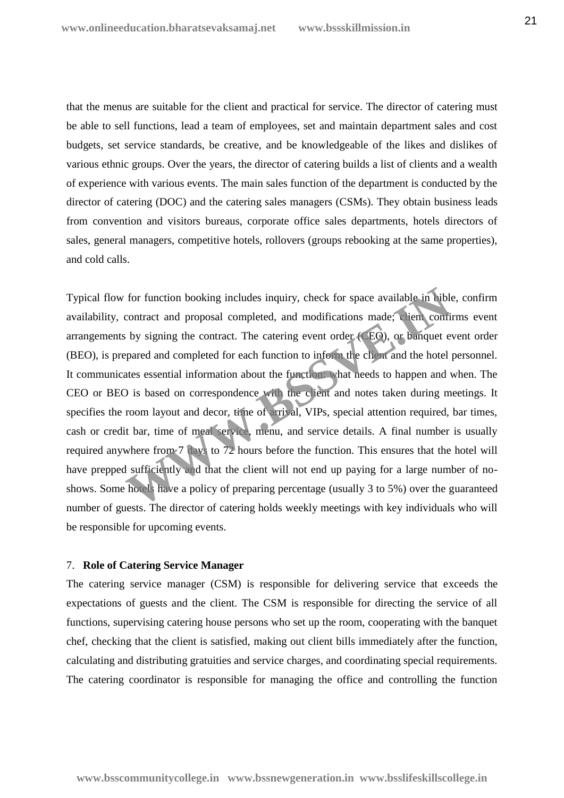that the menus are suitable for the client and practical for service. The director of catering must be able to sell functions, lead a team of employees, set and maintain department sales and cost budgets, set service standards, be creative, and be knowledgeable of the likes and dislikes of various ethnic groups. Over the years, the director of catering builds a list of clients and a wealth of experience with various events. The main sales function of the department is conducted by the director of catering (DOC) and the catering sales managers (CSMs). They obtain business leads from convention and visitors bureaus, corporate office sales departments, hotels directors of sales, general managers, competitive hotels, rollovers (groups rebooking at the same properties), and cold calls.

Typical flow for function booking includes inquiry, check for space available in bible, confirm availability, contract and proposal completed, and modifications made; client confirms event arrangements by signing the contract. The catering event order (CEO), or banquet event order (BEO), is prepared and completed for each function to inform the client and the hotel personnel. It communicates essential information about the function: what needs to happen and when. The CEO or BEO is based on correspondence with the client and notes taken during meetings. It specifies the room layout and decor, time of arrival, VIPs, special attention required, bar times, cash or credit bar, time of meal service, menu, and service details. A final number is usually required anywhere from 7 days to 72 hours before the function. This ensures that the hotel will have prepped sufficiently and that the client will not end up paying for a large number of noshows. Some hotels have a policy of preparing percentage (usually 3 to 5%) over the guaranteed number of guests. The director of catering holds weekly meetings with key individuals who will be responsible for upcoming events. for function booking includes inquiry, check for space available in bible<br>contract and proposal completed, and modifications made; client confit<br>by signing the contract. The catering event order (EO), or banquet e<br>pared a

# 7. **Role of Catering Service Manager**

The catering service manager (CSM) is responsible for delivering service that exceeds the expectations of guests and the client. The CSM is responsible for directing the service of all functions, supervising catering house persons who set up the room, cooperating with the banquet chef, checking that the client is satisfied, making out client bills immediately after the function, calculating and distributing gratuities and service charges, and coordinating special requirements. The catering coordinator is responsible for managing the office and controlling the function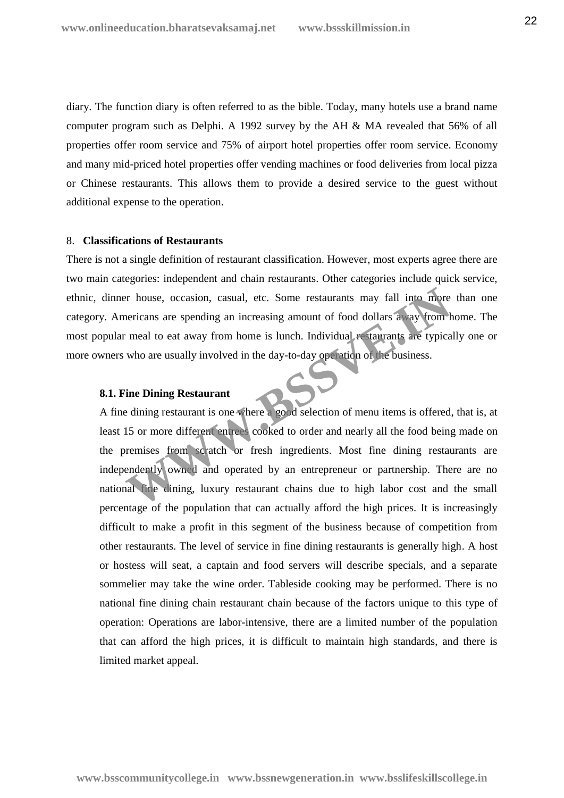diary. The function diary is often referred to as the bible. Today, many hotels use a brand name computer program such as Delphi. A 1992 survey by the AH & MA revealed that 56% of all properties offer room service and 75% of airport hotel properties offer room service. Economy and many mid-priced hotel properties offer vending machines or food deliveries from local pizza or Chinese restaurants. This allows them to provide a desired service to the guest without additional expense to the operation.

#### 8. **Classifications of Restaurants**

There is not a single definition of restaurant classification. However, most experts agree there are two main categories: independent and chain restaurants. Other categories include quick service, ethnic, dinner house, occasion, casual, etc. Some restaurants may fall into more than one category. Americans are spending an increasing amount of food dollars away from home. The most popular meal to eat away from home is lunch. Individual restaurants are typically one or more owners who are usually involved in the day-to-day operation of the business.

#### **8.1. Fine Dining Restaurant**

A fine dining restaurant is one where a good selection of menu items is offered, that is, at least 15 or more different entrees cooked to order and nearly all the food being made on the premises from scratch or fresh ingredients. Most fine dining restaurants are independently owned and operated by an entrepreneur or partnership. There are no national fine dining, luxury restaurant chains due to high labor cost and the small percentage of the population that can actually afford the high prices. It is increasingly difficult to make a profit in this segment of the business because of competition from other restaurants. The level of service in fine dining restaurants is generally high. A host or hostess will seat, a captain and food servers will describe specials, and a separate sommelier may take the wine order. Tableside cooking may be performed. There is no national fine dining chain restaurant chain because of the factors unique to this type of operation: Operations are labor-intensive, there are a limited number of the population that can afford the high prices, it is difficult to maintain high standards, and there is limited market appeal. For house, occasion, casual, etc. Some restaurants may fall into more entricans are spending an increasing amount of food dollars away from the meal to eat away from home is lunch. Individual restaurants are typical who ar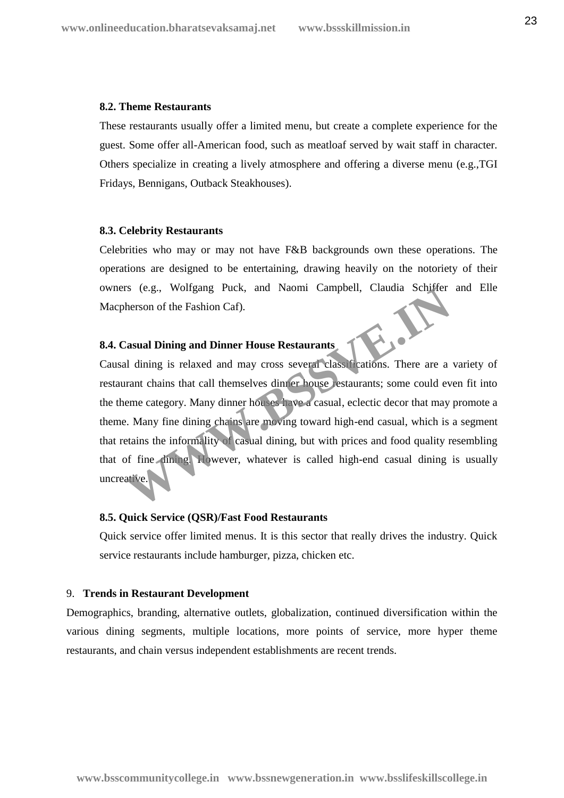#### **8.2. Theme Restaurants**

These restaurants usually offer a limited menu, but create a complete experience for the guest. Some offer all-American food, such as meatloaf served by wait staff in character. Others specialize in creating a lively atmosphere and offering a diverse menu (e.g.,TGI Fridays, Bennigans, Outback Steakhouses).

#### **8.3. Celebrity Restaurants**

Celebrities who may or may not have F&B backgrounds own these operations. The operations are designed to be entertaining, drawing heavily on the notoriety of their owners (e.g., Wolfgang Puck, and Naomi Campbell, Claudia Schiffer and Elle Macpherson of the Fashion Caf).

# **8.4. Casual Dining and Dinner House Restaurants**

Causal dining is relaxed and may cross several classifications. There are a variety of restaurant chains that call themselves dinner house restaurants; some could even fit into the theme category. Many dinner houses have a casual, eclectic decor that may promote a theme. Many fine dining chains are moving toward high-end casual, which is a segment that retains the informality of casual dining, but with prices and food quality resembling that of fine dining. However, whatever is called high-end casual dining is usually uncreative. Therson of the Fashion Caf).<br> **Example 2018 12:20:** Therson of the Fashion Caf).<br> **Example 2018 12:30:** The Based and may cross several class: Incations. There are a<br>
arant chains that call themselves din er house estauran

# **8.5. Quick Service (QSR)/Fast Food Restaurants**

Quick service offer limited menus. It is this sector that really drives the industry. Quick service restaurants include hamburger, pizza, chicken etc.

#### 9. **Trends in Restaurant Development**

Demographics, branding, alternative outlets, globalization, continued diversification within the various dining segments, multiple locations, more points of service, more hyper theme restaurants, and chain versus independent establishments are recent trends.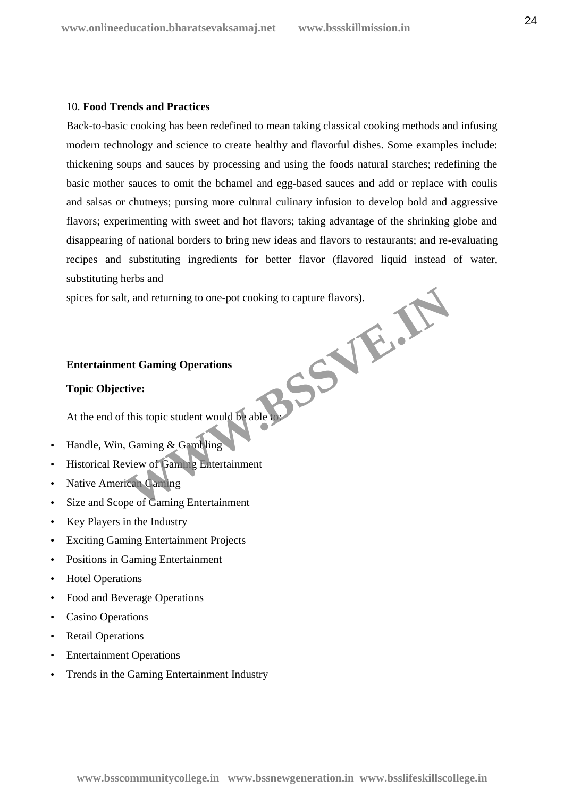# 10. **Food Trends and Practices**

Back-to-basic cooking has been redefined to mean taking classical cooking methods and infusing modern technology and science to create healthy and flavorful dishes. Some examples include: thickening soups and sauces by processing and using the foods natural starches; redefining the basic mother sauces to omit the bchamel and egg-based sauces and add or replace with coulis and salsas or chutneys; pursing more cultural culinary infusion to develop bold and aggressive flavors; experimenting with sweet and hot flavors; taking advantage of the shrinking globe and disappearing of national borders to bring new ideas and flavors to restaurants; and re-evaluating recipes and substituting ingredients for better flavor (flavored liquid instead of water, substituting herbs and

spices for salt, and returning to one-pot cooking to capture flavors). **WWW.BSSVE.IN**

# **Entertainment Gaming Operations**

# **Topic Objective:**

At the end of this topic student would be able to:

- Handle, Win, Gaming & Gambling
- Historical Review of Gaming Entertainment
- Native American Gaming
- Size and Scope of Gaming Entertainment
- Key Players in the Industry
- Exciting Gaming Entertainment Projects
- Positions in Gaming Entertainment
- Hotel Operations
- Food and Beverage Operations
- Casino Operations
- Retail Operations
- Entertainment Operations
- Trends in the Gaming Entertainment Industry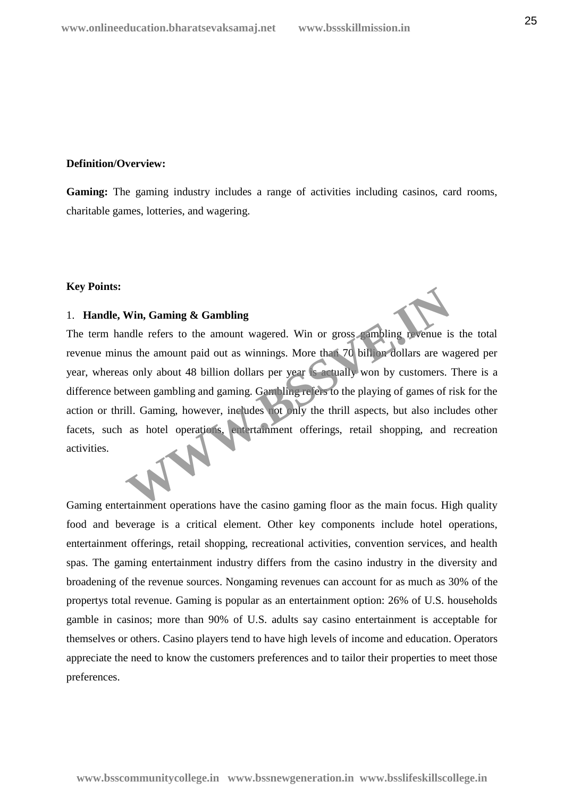# **Definition/Overview:**

**Gaming:** The gaming industry includes a range of activities including casinos, card rooms, charitable games, lotteries, and wagering.

# **Key Points:**

# 1. **Handle, Win, Gaming & Gambling**

The term handle refers to the amount wagered. Win or gross gambling revenue is the total revenue minus the amount paid out as winnings. More than 70 billion dollars are wagered per year, whereas only about 48 billion dollars per year is actually won by customers. There is a difference between gambling and gaming. Gambling refers to the playing of games of risk for the action or thrill. Gaming, however, includes not only the thrill aspects, but also includes other facets, such as hotel operations, entertainment offerings, retail shopping, and recreation activities. Win, Gaming & Gambling<br>
andle refers to the amount wagered. Win or gross sampling revenue is<br>
us the amount paid out as winnings. More that 70 bill on dollars are was<br>
sonly about 48 billion dollars per year is actually wo

Gaming entertainment operations have the casino gaming floor as the main focus. High quality food and beverage is a critical element. Other key components include hotel operations, entertainment offerings, retail shopping, recreational activities, convention services, and health spas. The gaming entertainment industry differs from the casino industry in the diversity and broadening of the revenue sources. Nongaming revenues can account for as much as 30% of the propertys total revenue. Gaming is popular as an entertainment option: 26% of U.S. households gamble in casinos; more than 90% of U.S. adults say casino entertainment is acceptable for themselves or others. Casino players tend to have high levels of income and education. Operators appreciate the need to know the customers preferences and to tailor their properties to meet those preferences.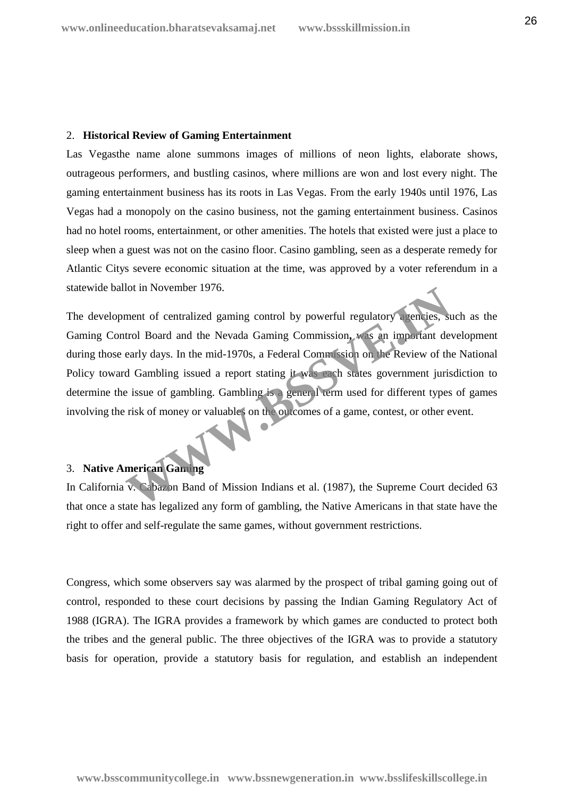# 2. **Historical Review of Gaming Entertainment**

Las Vegasthe name alone summons images of millions of neon lights, elaborate shows, outrageous performers, and bustling casinos, where millions are won and lost every night. The gaming entertainment business has its roots in Las Vegas. From the early 1940s until 1976, Las Vegas had a monopoly on the casino business, not the gaming entertainment business. Casinos had no hotel rooms, entertainment, or other amenities. The hotels that existed were just a place to sleep when a guest was not on the casino floor. Casino gambling, seen as a desperate remedy for Atlantic Citys severe economic situation at the time, was approved by a voter referendum in a statewide ballot in November 1976.

The development of centralized gaming control by powerful regulatory agencies, such as the Gaming Control Board and the Nevada Gaming Commission, was an important development during those early days. In the mid-1970s, a Federal Commission on the Review of the National Policy toward Gambling issued a report stating it was each states government jurisdiction to determine the issue of gambling. Gambling is a general term used for different types of games involving the risk of money or valuables on the outcomes of a game, contest, or other event. nent of centralized gaming control by powerful regulatory agencies, st<br>trol Board and the Nevada Gaming Commission, was an important de-<br>early days. In the mid-1970s, a Federal Commission on the Review of the<br>d Gambling is

# 3. **Native American Gaming**

In California v. Cabazon Band of Mission Indians et al. (1987), the Supreme Court decided 63 that once a state has legalized any form of gambling, the Native Americans in that state have the right to offer and self-regulate the same games, without government restrictions.

Congress, which some observers say was alarmed by the prospect of tribal gaming going out of control, responded to these court decisions by passing the Indian Gaming Regulatory Act of 1988 (IGRA). The IGRA provides a framework by which games are conducted to protect both the tribes and the general public. The three objectives of the IGRA was to provide a statutory basis for operation, provide a statutory basis for regulation, and establish an independent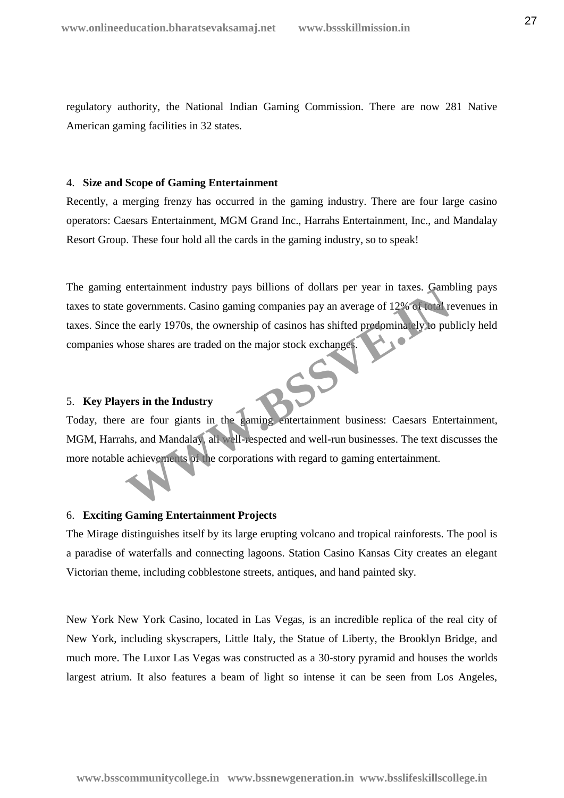regulatory authority, the National Indian Gaming Commission. There are now 281 Native American gaming facilities in 32 states.

# 4. **Size and Scope of Gaming Entertainment**

Recently, a merging frenzy has occurred in the gaming industry. There are four large casino operators: Caesars Entertainment, MGM Grand Inc., Harrahs Entertainment, Inc., and Mandalay Resort Group. These four hold all the cards in the gaming industry, so to speak!

The gaming entertainment industry pays billions of dollars per year in taxes. Gambling pays taxes to state governments. Casino gaming companies pay an average of 12% of total revenues in taxes. Since the early 1970s, the ownership of casinos has shifted predominately to publicly held companies whose shares are traded on the major stock exchanges. Entertainment mustry pays billions of dollars per year in taxes. Canne governments. Casino gaming companies pay an average of 12% of total region-<br>the early 1970s, the ownership of casinos has shifted predominately to put<br>

# 5. **Key Players in the Industry**

Today, there are four giants in the gaming entertainment business: Caesars Entertainment, MGM, Harrahs, and Mandalay, all well-respected and well-run businesses. The text discusses the more notable achievements of the corporations with regard to gaming entertainment.

# 6. **Exciting Gaming Entertainment Projects**

The Mirage distinguishes itself by its large erupting volcano and tropical rainforests. The pool is a paradise of waterfalls and connecting lagoons. Station Casino Kansas City creates an elegant Victorian theme, including cobblestone streets, antiques, and hand painted sky.

New York New York Casino, located in Las Vegas, is an incredible replica of the real city of New York, including skyscrapers, Little Italy, the Statue of Liberty, the Brooklyn Bridge, and much more. The Luxor Las Vegas was constructed as a 30-story pyramid and houses the worlds largest atrium. It also features a beam of light so intense it can be seen from Los Angeles,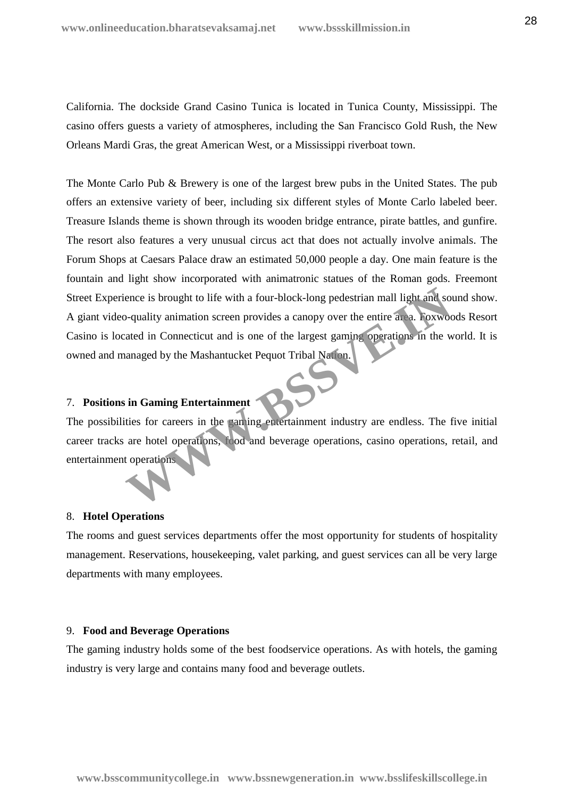California. The dockside Grand Casino Tunica is located in Tunica County, Mississippi. The casino offers guests a variety of atmospheres, including the San Francisco Gold Rush, the New Orleans Mardi Gras, the great American West, or a Mississippi riverboat town.

The Monte Carlo Pub & Brewery is one of the largest brew pubs in the United States. The pub offers an extensive variety of beer, including six different styles of Monte Carlo labeled beer. Treasure Islands theme is shown through its wooden bridge entrance, pirate battles, and gunfire. The resort also features a very unusual circus act that does not actually involve animals. The Forum Shops at Caesars Palace draw an estimated 50,000 people a day. One main feature is the fountain and light show incorporated with animatronic statues of the Roman gods. Freemont Street Experience is brought to life with a four-block-long pedestrian mall light and sound show. A giant video-quality animation screen provides a canopy over the entire area. Foxwoods Resort Casino is located in Connecticut and is one of the largest gaming operations in the world. It is owned and managed by the Mashantucket Pequot Tribal Nation. ence is brought to life with a four-block-long pedestrian mall light and so<br>-quality animation screen provides a canopy over the entire area. Foxwoot<br>ated in Connecticut and is one of the largest gaming operations in the w

# 7. **Positions in Gaming Entertainment**

The possibilities for careers in the gaming entertainment industry are endless. The five initial career tracks are hotel operations, food and beverage operations, casino operations, retail, and entertainment operations

#### 8. **Hotel Operations**

The rooms and guest services departments offer the most opportunity for students of hospitality management. Reservations, housekeeping, valet parking, and guest services can all be very large departments with many employees.

# 9. **Food and Beverage Operations**

The gaming industry holds some of the best foodservice operations. As with hotels, the gaming industry is very large and contains many food and beverage outlets.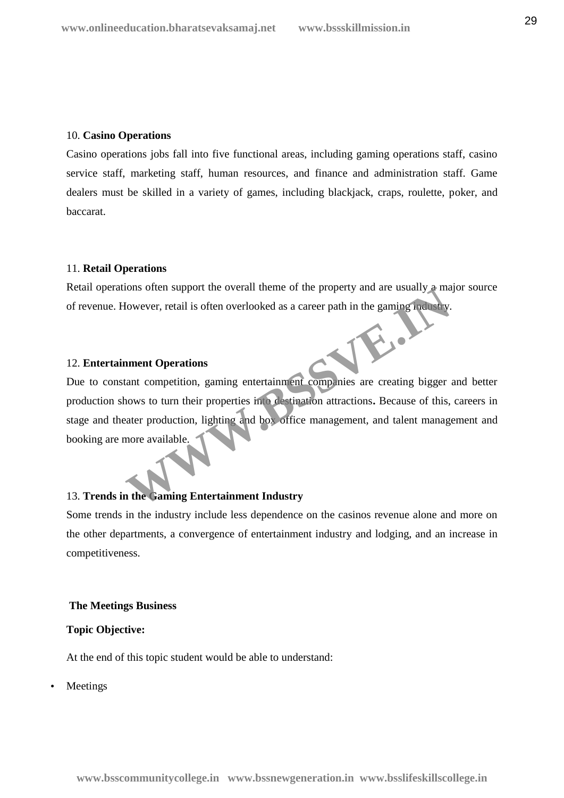### 10. **Casino Operations**

Casino operations jobs fall into five functional areas, including gaming operations staff, casino service staff, marketing staff, human resources, and finance and administration staff. Game dealers must be skilled in a variety of games, including blackjack, craps, roulette, poker, and baccarat.

# 11. **Retail Operations**

Retail operations often support the overall theme of the property and are usually a major source of revenue. However, retail is often overlooked as a career path in the gaming industry.

# 12. **Entertainment Operations**

Due to constant competition, gaming entertainment companies are creating bigger and better production shows to turn their properties into destination attractions**.** Because of this, careers in stage and theater production, lighting and box office management, and talent management and booking are more available. Franchise Schern Support the overlant theme of the property and are usually a main<br>flowever, retail is often overlooked as a career path in the gaming method.<br>**All the strain of the contract of the contract of the strength** 

# 13. **Trends in the Gaming Entertainment Industry**

Some trends in the industry include less dependence on the casinos revenue alone and more on the other departments, a convergence of entertainment industry and lodging, and an increase in competitiveness.

#### **The Meetings Business**

# **Topic Objective:**

At the end of this topic student would be able to understand:

Meetings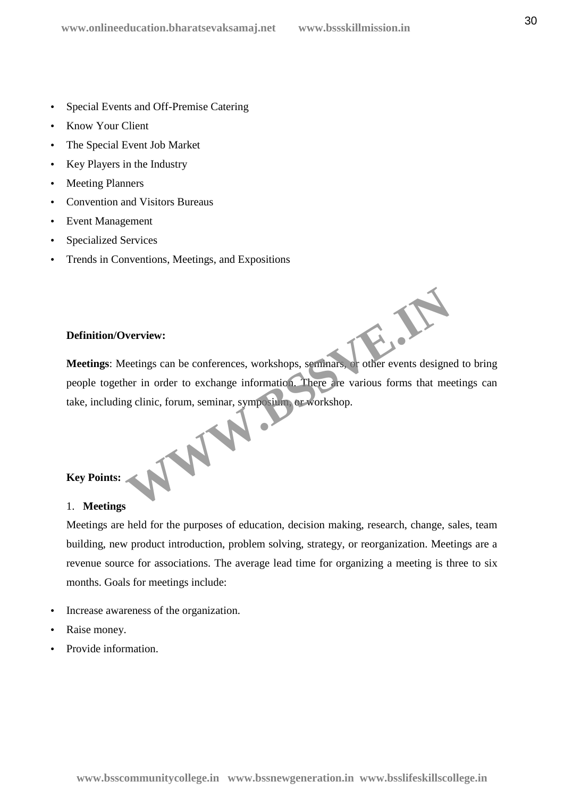- Special Events and Off-Premise Catering
- Know Your Client
- The Special Event Job Market
- Key Players in the Industry
- Meeting Planners
- Convention and Visitors Bureaus
- Event Management
- Specialized Services
- Trends in Conventions, Meetings, and Expositions

# **Definition/Overview:**

**Meetings:** Meetings can be conferences, workshops, seminars, or other events designed to bring people together in order to exchange information. There are various forms that meetings can take, including clinic, forum, seminar, symposium, or workshop. WWW.BSS

# **Key Points:**

# 1. **Meetings**

Meetings are held for the purposes of education, decision making, research, change, sales, team building, new product introduction, problem solving, strategy, or reorganization. Meetings are a revenue source for associations. The average lead time for organizing a meeting is three to six months. Goals for meetings include:

- Increase awareness of the organization.
- Raise money.
- Provide information.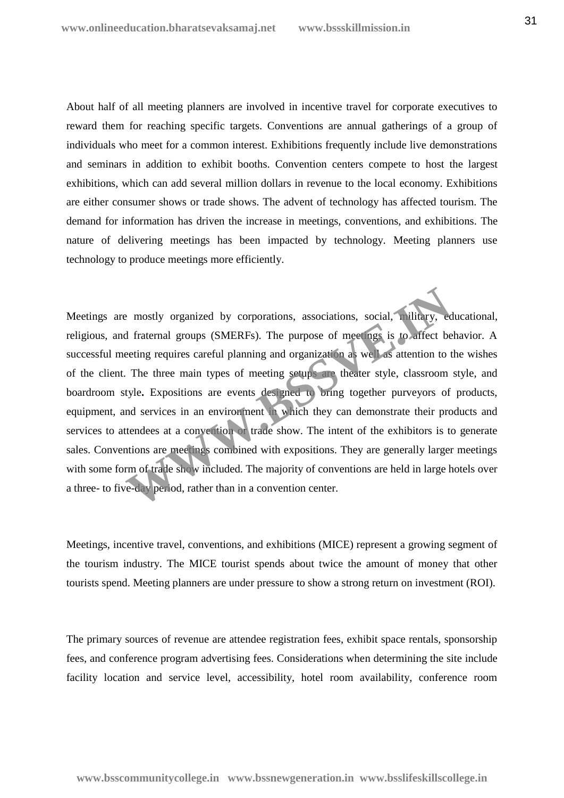About half of all meeting planners are involved in incentive travel for corporate executives to reward them for reaching specific targets. Conventions are annual gatherings of a group of individuals who meet for a common interest. Exhibitions frequently include live demonstrations and seminars in addition to exhibit booths. Convention centers compete to host the largest exhibitions, which can add several million dollars in revenue to the local economy. Exhibitions are either consumer shows or trade shows. The advent of technology has affected tourism. The demand for information has driven the increase in meetings, conventions, and exhibitions. The nature of delivering meetings has been impacted by technology. Meeting planners use technology to produce meetings more efficiently.

Meetings are mostly organized by corporations, associations, social, military, educational, religious, and fraternal groups (SMERFs). The purpose of meetings is to affect behavior. A successful meeting requires careful planning and organization as well as attention to the wishes of the client. The three main types of meeting setups are theater style, classroom style, and boardroom style**.** Expositions are events designed to bring together purveyors of products, equipment, and services in an environment in which they can demonstrate their products and services to attendees at a convention or trade show. The intent of the exhibitors is to generate sales. Conventions are meetings combined with expositions. They are generally larger meetings with some form of trade show included. The majority of conventions are held in large hotels over a three- to five-day period, rather than in a convention center. Example 18 and the main types of meetings associations, social, military, ed fraternal groups (SMERFs). The purpose of meetings is to affect be eeting requires careful planning and organization as we can attention to the m

Meetings, incentive travel, conventions, and exhibitions (MICE) represent a growing segment of the tourism industry. The MICE tourist spends about twice the amount of money that other tourists spend. Meeting planners are under pressure to show a strong return on investment (ROI).

The primary sources of revenue are attendee registration fees, exhibit space rentals, sponsorship fees, and conference program advertising fees. Considerations when determining the site include facility location and service level, accessibility, hotel room availability, conference room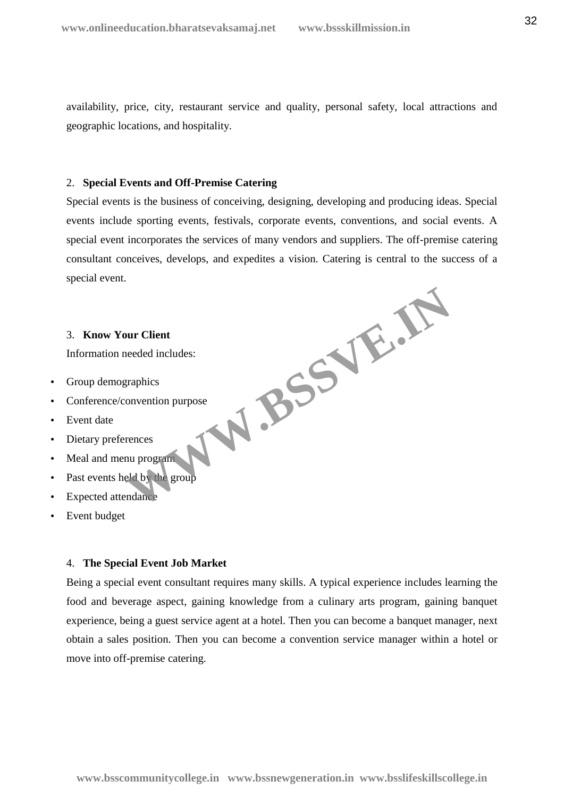availability, price, city, restaurant service and quality, personal safety, local attractions and geographic locations, and hospitality.

### 2. **Special Events and Off-Premise Catering**

Special events is the business of conceiving, designing, developing and producing ideas. Special events include sporting events, festivals, corporate events, conventions, and social events. A special event incorporates the services of many vendors and suppliers. The off-premise catering consultant conceives, develops, and expedites a vision. Catering is central to the success of a special event. **WWW.BSSVE.IN**

# 3. **Know Your Client**

Information needed includes:

- Group demographics
- Conference/convention purpose
- Event date
- Dietary preferences
- Meal and menu program
- Past events held by the group
- Expected attendance
- Event budget

#### 4. **The Special Event Job Market**

Being a special event consultant requires many skills. A typical experience includes learning the food and beverage aspect, gaining knowledge from a culinary arts program, gaining banquet experience, being a guest service agent at a hotel. Then you can become a banquet manager, next obtain a sales position. Then you can become a convention service manager within a hotel or move into off-premise catering.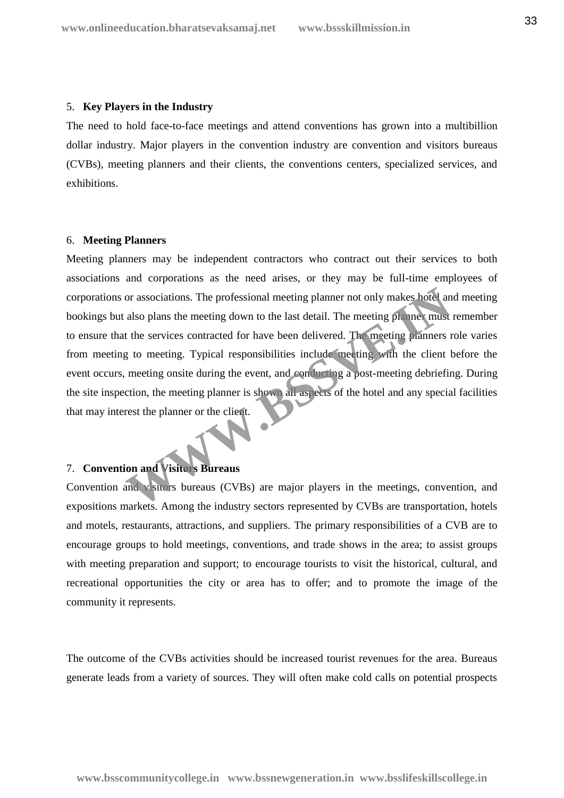#### 5. **Key Players in the Industry**

The need to hold face-to-face meetings and attend conventions has grown into a multibillion dollar industry. Major players in the convention industry are convention and visitors bureaus (CVBs), meeting planners and their clients, the conventions centers, specialized services, and exhibitions.

### 6. **Meeting Planners**

Meeting planners may be independent contractors who contract out their services to both associations and corporations as the need arises, or they may be full-time employees of corporations or associations. The professional meeting planner not only makes hotel and meeting bookings but also plans the meeting down to the last detail. The meeting planner must remember to ensure that the services contracted for have been delivered. The meeting planners role varies from meeting to meeting. Typical responsibilities include meeting with the client before the event occurs, meeting onsite during the event, and conducting a post-meeting debriefing. During the site inspection, the meeting planner is shown all aspects of the hotel and any special facilities that may interest the planner or the client. or associations. The professional meeting planner not only makes hotel and also plans the meeting down to the last detail. The meeting planner must<br>also plans the meeting down to the last detail. The meeting planners r<br>at

# 7. **Convention and Visitors Bureaus**

Convention and visitors bureaus (CVBs) are major players in the meetings, convention, and expositions markets. Among the industry sectors represented by CVBs are transportation, hotels and motels, restaurants, attractions, and suppliers. The primary responsibilities of a CVB are to encourage groups to hold meetings, conventions, and trade shows in the area; to assist groups with meeting preparation and support; to encourage tourists to visit the historical, cultural, and recreational opportunities the city or area has to offer; and to promote the image of the community it represents.

The outcome of the CVBs activities should be increased tourist revenues for the area. Bureaus generate leads from a variety of sources. They will often make cold calls on potential prospects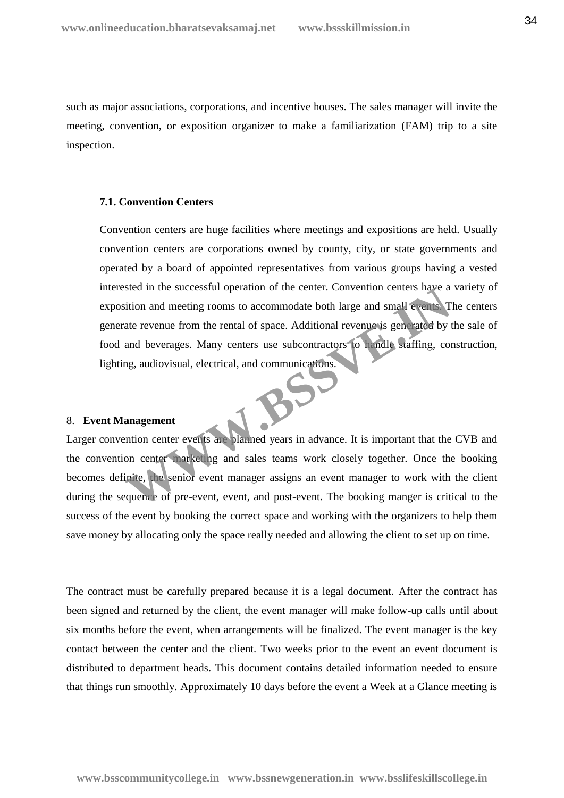such as major associations, corporations, and incentive houses. The sales manager will invite the meeting, convention, or exposition organizer to make a familiarization (FAM) trip to a site inspection.

### **7.1. Convention Centers**

Convention centers are huge facilities where meetings and expositions are held. Usually convention centers are corporations owned by county, city, or state governments and operated by a board of appointed representatives from various groups having a vested interested in the successful operation of the center. Convention centers have a variety of exposition and meeting rooms to accommodate both large and small events. The centers generate revenue from the rental of space. Additional revenue is generated by the sale of food and beverages. Many centers use subcontractors to handle staffing, construction, lighting, audiovisual, electrical, and communications. Steal in the successiul operation of the center. Convention centers have a<br>tition and meeting rooms to accommodate both large and small events.<br>The revenue from the rental of space. Additional revenue is generated by t<br>and

# 8. **Event Management**

Larger convention center events are planned years in advance. It is important that the CVB and the convention center marketing and sales teams work closely together. Once the booking becomes definite, the senior event manager assigns an event manager to work with the client during the sequence of pre-event, event, and post-event. The booking manger is critical to the success of the event by booking the correct space and working with the organizers to help them save money by allocating only the space really needed and allowing the client to set up on time.

The contract must be carefully prepared because it is a legal document. After the contract has been signed and returned by the client, the event manager will make follow-up calls until about six months before the event, when arrangements will be finalized. The event manager is the key contact between the center and the client. Two weeks prior to the event an event document is distributed to department heads. This document contains detailed information needed to ensure that things run smoothly. Approximately 10 days before the event a Week at a Glance meeting is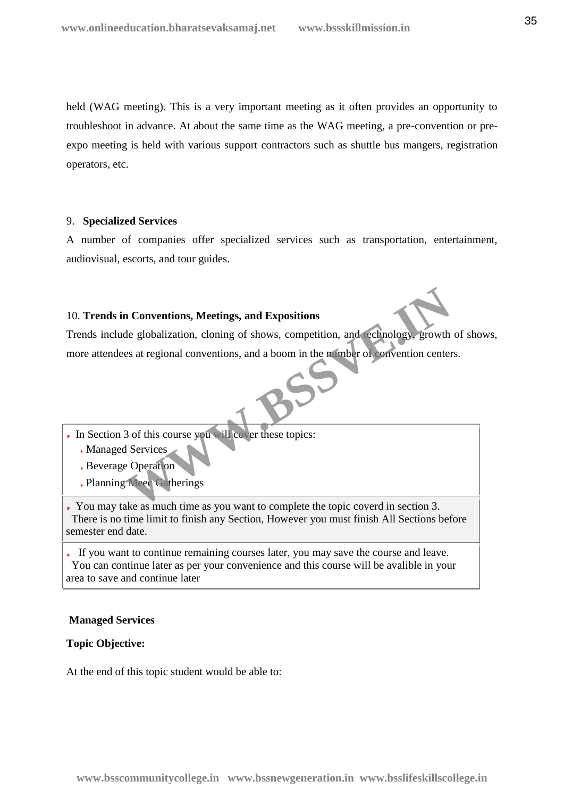held (WAG meeting). This is a very important meeting as it often provides an opportunity to troubleshoot in advance. At about the same time as the WAG meeting, a pre-convention or pre expo meeting is held with various support contractors such as shuttle bus mangers, registration operators, etc.

# 9. **Specialized Services**

A number of companies offer specialized services such as transportation, entertainment, audiovisual, escorts, and tour guides.

# 10. **Trends in Conventions, Meetings, and Expositions**

Trends include globalization, cloning of shows, competition, and technology, growth of shows, more attendees at regional conventions, and a boom in the number of convention centers. **Conventions, Meetings, and Expositions**<br>
de globalization, cloning of shows, competition, and echnology, growth<br>
es at regional conventions, and a boom in the munder of Convention center<br>
3 of this course you will cover t

- In Section 3 of this course you will cover these topics:
	- Managed Services
	- Beverage Operation
	- Planning Meec Gatherings

You may take as much time as you want to complete the topic coverd in section 3. There is no time limit to finish any Section, However you must finish All Sections before semester end date.

If you want to continue remaining courses later, you may save the course and leave. You can continue later as per your convenience and this course will be avalible in your area to save and continue later

# **Managed Services**

# **Topic Objective:**

At the end of this topic student would be able to: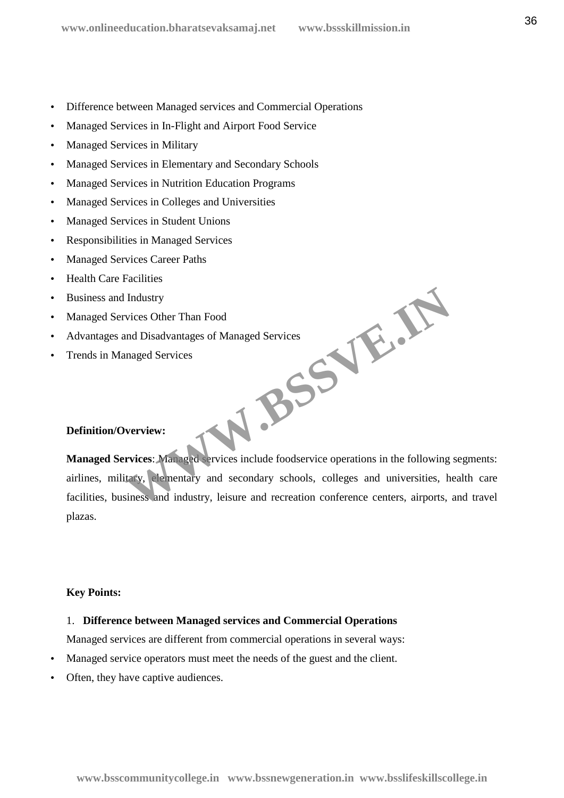- Difference between Managed services and Commercial Operations
- Managed Services in In-Flight and Airport Food Service
- Managed Services in Military
- Managed Services in Elementary and Secondary Schools
- Managed Services in Nutrition Education Programs
- Managed Services in Colleges and Universities
- Managed Services in Student Unions
- Responsibilities in Managed Services
- Managed Services Career Paths
- Health Care Facilities
- Business and Industry
- Managed Services Other Than Food
- Advantages and Disadvantages of Managed Services
- Trends in Managed Services

# **Definition/Overview:**

**Managed Services**: Managed services include foodservice operations in the following segments: airlines, military, elementary and secondary schools, colleges and universities, health care facilities, business and industry, leisure and recreation conference centers, airports, and travel plazas. **WWW.BSSVE.IN**

# **Key Points:**

# 1. **Difference between Managed services and Commercial Operations**

Managed services are different from commercial operations in several ways:

- Managed service operators must meet the needs of the guest and the client.
- Often, they have captive audiences.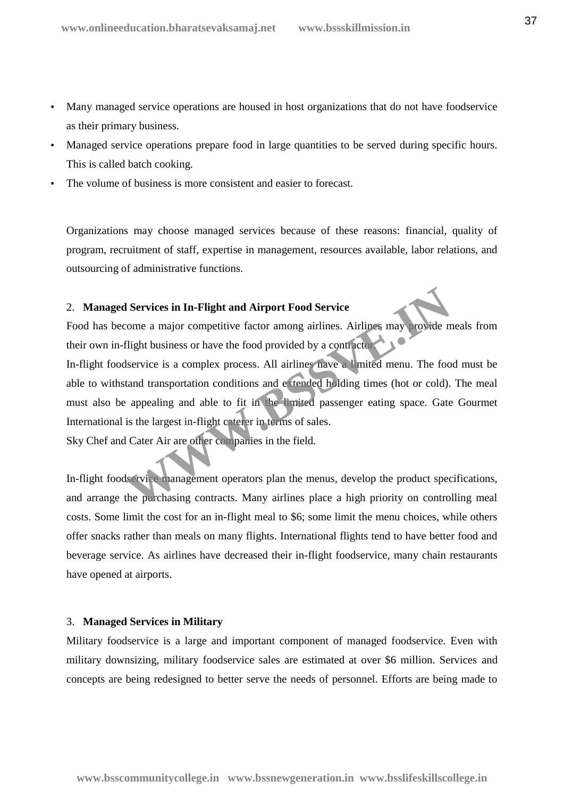- Many managed service operations are housed in host organizations that do not have foodservice as their primary business.
- Managed service operations prepare food in large quantities to be served during specific hours. This is called batch cooking.
- The volume of business is more consistent and easier to forecast.

Organizations may choose managed services because of these reasons: financial, quality of program, recruitment of staff, expertise in management, resources available, labor relations, and outsourcing of administrative functions.

## 2. **Managed Services in In-Flight and Airport Food Service**

Food has become a major competitive factor among airlines. Airlines may provide meals from their own in-flight business or have the food provided by a contractor.

In-flight foodservice is a complex process. All airlines have a limited menu. The food must be able to withstand transportation conditions and extended holding times (hot or cold). The meal must also be appealing and able to fit in the limited passenger eating space. Gate Gourmet International is the largest in-flight caterer in terms of sales. **Services in In-Flight and Airport Food Service**<br>come a major competitive factor among airlines. Airlines may provide m<br>flight business or have the food provided by a contractor<br>service is a complex process. All airlines h

Sky Chef and Cater Air are other companies in the field.

In-flight foodservice management operators plan the menus, develop the product specifications, and arrange the purchasing contracts. Many airlines place a high priority on controlling meal costs. Some limit the cost for an in-flight meal to \$6; some limit the menu choices, while others offer snacks rather than meals on many flights. International flights tend to have better food and beverage service. As airlines have decreased their in-flight foodservice, many chain restaurants have opened at airports.

## 3. **Managed Services in Military**

Military foodservice is a large and important component of managed foodservice. Even with military downsizing, military foodservice sales are estimated at over \$6 million. Services and concepts are being redesigned to better serve the needs of personnel. Efforts are being made to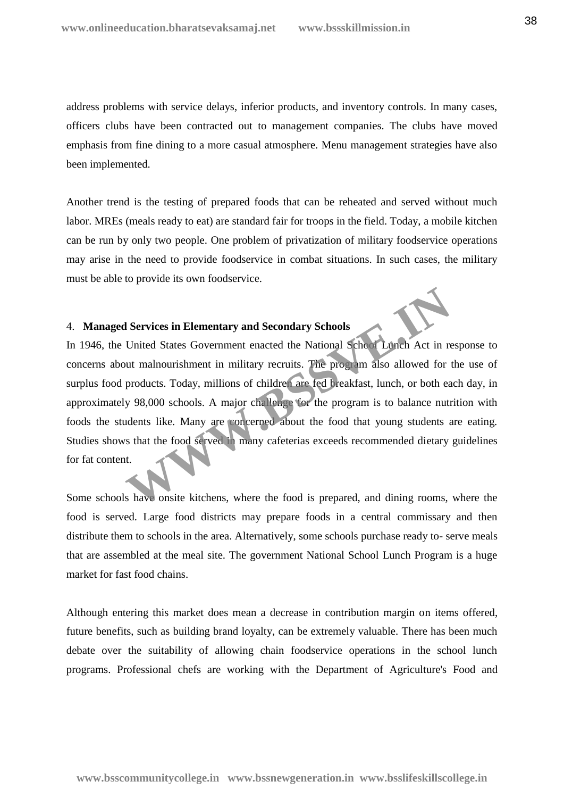address problems with service delays, inferior products, and inventory controls. In many cases, officers clubs have been contracted out to management companies. The clubs have moved emphasis from fine dining to a more casual atmosphere. Menu management strategies have also been implemented.

Another trend is the testing of prepared foods that can be reheated and served without much labor. MREs (meals ready to eat) are standard fair for troops in the field. Today, a mobile kitchen can be run by only two people. One problem of privatization of military foodservice operations may arise in the need to provide foodservice in combat situations. In such cases, the military must be able to provide its own foodservice.

## 4. **Managed Services in Elementary and Secondary Schools**

In 1946, the United States Government enacted the National School Lunch Act in response to concerns about malnourishment in military recruits. The program also allowed for the use of surplus food products. Today, millions of children are fed breakfast, lunch, or both each day, in approximately 98,000 schools. A major challenge for the program is to balance nutrition with foods the students like. Many are concerned about the food that young students are eating. Studies shows that the food served in many cafeterias exceeds recommended dietary guidelines for fat content. **Services in Elementary and Secondary Schools**<br>
United States Government enacted the National School Lunch Act in re<br>
ut malnourishment in military recruits. The program also allowed for<br>
products. Today, millions of child

Some schools have onsite kitchens, where the food is prepared, and dining rooms, where the food is served. Large food districts may prepare foods in a central commissary and then distribute them to schools in the area. Alternatively, some schools purchase ready to- serve meals that are assembled at the meal site. The government National School Lunch Program is a huge market for fast food chains.

Although entering this market does mean a decrease in contribution margin on items offered, future benefits, such as building brand loyalty, can be extremely valuable. There has been much debate over the suitability of allowing chain foodservice operations in the school lunch programs. Professional chefs are working with the Department of Agriculture's Food and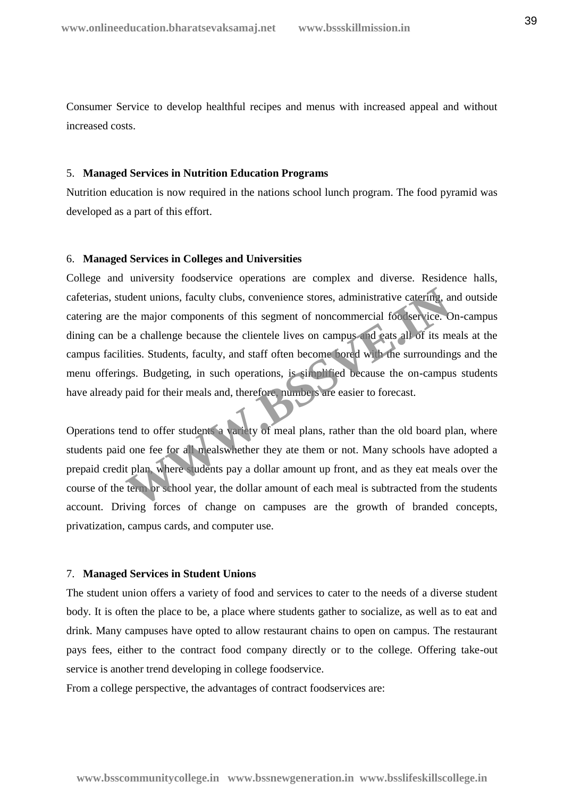Consumer Service to develop healthful recipes and menus with increased appeal and without increased costs.

### 5. **Managed Services in Nutrition Education Programs**

Nutrition education is now required in the nations school lunch program. The food pyramid was developed as a part of this effort.

## 6. **Managed Services in Colleges and Universities**

College and university foodservice operations are complex and diverse. Residence halls, cafeterias, student unions, faculty clubs, convenience stores, administrative catering, and outside catering are the major components of this segment of noncommercial foodservice. On-campus dining can be a challenge because the clientele lives on campus and eats all of its meals at the campus facilities. Students, faculty, and staff often become bored with the surroundings and the menu offerings. Budgeting, in such operations, is simplified because the on-campus students have already paid for their meals and, therefore, numbers are easier to forecast. Meant unions, faculty clubs, convenience stores, administrative catering, as<br>the major components of this segment of noncommercial foc service. C<br>e a challenge because the clientele lives on campus and eats all of its metr

Operations tend to offer students a variety of meal plans, rather than the old board plan, where students paid one fee for all mealswhether they ate them or not. Many schools have adopted a prepaid credit plan, where students pay a dollar amount up front, and as they eat meals over the course of the term or school year, the dollar amount of each meal is subtracted from the students account. Driving forces of change on campuses are the growth of branded concepts, privatization, campus cards, and computer use.

#### 7. **Managed Services in Student Unions**

The student union offers a variety of food and services to cater to the needs of a diverse student body. It is often the place to be, a place where students gather to socialize, as well as to eat and drink. Many campuses have opted to allow restaurant chains to open on campus. The restaurant pays fees, either to the contract food company directly or to the college. Offering take-out service is another trend developing in college foodservice.

From a college perspective, the advantages of contract foodservices are: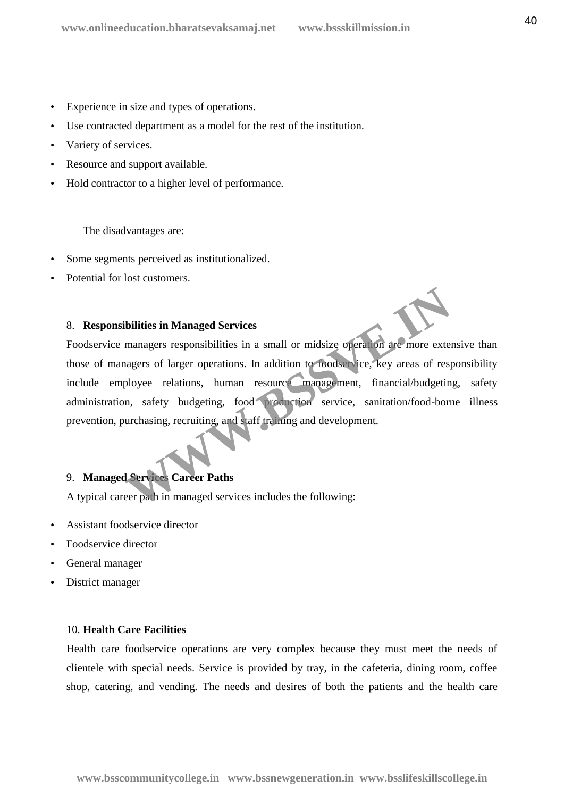- Experience in size and types of operations.
- Use contracted department as a model for the rest of the institution.
- Variety of services.
- Resource and support available.
- Hold contractor to a higher level of performance.

The disadvantages are:

- Some segments perceived as institutionalized.
- Potential for lost customers.

## 8. **Responsibilities in Managed Services**

Foodservice managers responsibilities in a small or midsize operation are more extensive than those of managers of larger operations. In addition to foodservice, key areas of responsibility include employee relations, human resource management, financial/budgeting, safety administration, safety budgeting, food production service, sanitation/food-borne illness prevention, purchasing, recruiting, and staff training and development. **Solution Managed Services**<br>
Managed Services<br>
Managers responsibilities in a small or midsize operation are more extend<br>
analytics of larger operations. In addition to Toodservice, key areas of resp<br>
ployee relations, hum

# 9. **Managed Services Career Paths**

A typical career path in managed services includes the following:

- Assistant foodservice director
- Foodservice director
- General manager
- District manager

### 10. **Health Care Facilities**

Health care foodservice operations are very complex because they must meet the needs of clientele with special needs. Service is provided by tray, in the cafeteria, dining room, coffee shop, catering, and vending. The needs and desires of both the patients and the health care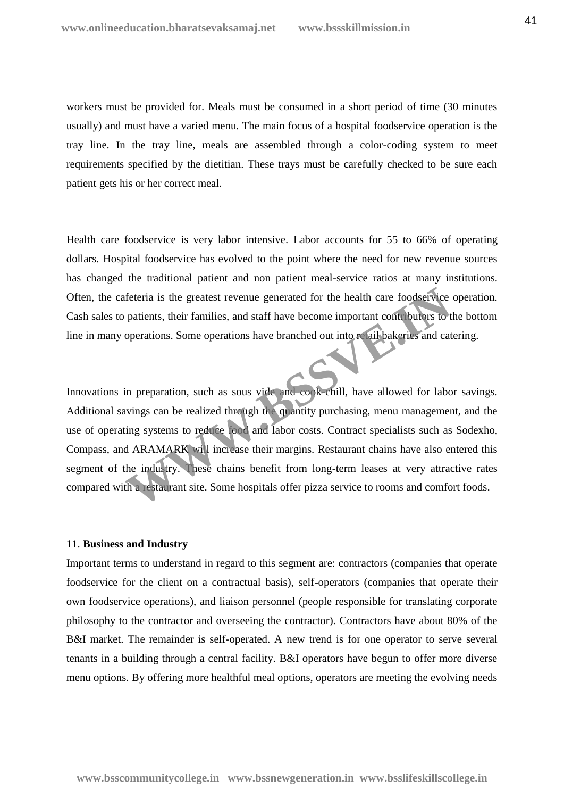workers must be provided for. Meals must be consumed in a short period of time (30 minutes usually) and must have a varied menu. The main focus of a hospital foodservice operation is the tray line. In the tray line, meals are assembled through a color-coding system to meet requirements specified by the dietitian. These trays must be carefully checked to be sure each patient gets his or her correct meal.

Health care foodservice is very labor intensive. Labor accounts for 55 to 66% of operating dollars. Hospital foodservice has evolved to the point where the need for new revenue sources has changed the traditional patient and non patient meal-service ratios at many institutions. Often, the cafeteria is the greatest revenue generated for the health care foodservice operation. Cash sales to patients, their families, and staff have become important contributors to the bottom line in many operations. Some operations have branched out into retail bakeries and catering.

Innovations in preparation, such as sous vide and cook-chill, have allowed for labor savings. Additional savings can be realized through the quantity purchasing, menu management, and the use of operating systems to reduce food and labor costs. Contract specialists such as Sodexho, Compass, and ARAMARK will increase their margins. Restaurant chains have also entered this segment of the industry. These chains benefit from long-term leases at very attractive rates compared with a restaurant site. Some hospitals offer pizza service to rooms and comfort foods. Feteria is the greatest revenue generated for the health care foodservice<br>patients, their families, and staff have become important contributors to<br>toperations. Some operations have branched out into **F** ail bakeries and c

#### 11. **Business and Industry**

Important terms to understand in regard to this segment are: contractors (companies that operate foodservice for the client on a contractual basis), self-operators (companies that operate their own foodservice operations), and liaison personnel (people responsible for translating corporate philosophy to the contractor and overseeing the contractor). Contractors have about 80% of the B&I market. The remainder is self-operated. A new trend is for one operator to serve several tenants in a building through a central facility. B&I operators have begun to offer more diverse menu options. By offering more healthful meal options, operators are meeting the evolving needs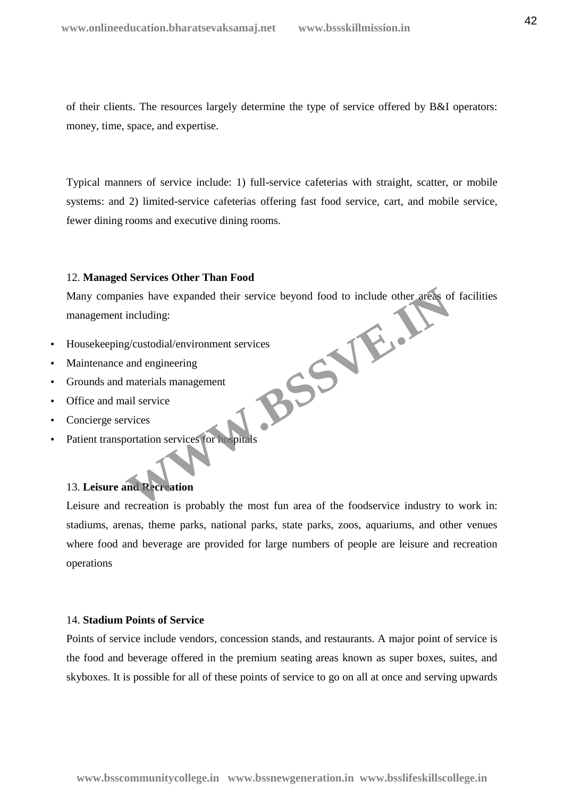of their clients. The resources largely determine the type of service offered by B&I operators: money, time, space, and expertise.

Typical manners of service include: 1) full-service cafeterias with straight, scatter, or mobile systems: and 2) limited-service cafeterias offering fast food service, cart, and mobile service, fewer dining rooms and executive dining rooms.

## 12. **Managed Services Other Than Food**

Many companies have expanded their service beyond food to include other areas of facilities management including: **BSSVE.IN** 

- Housekeeping/custodial/environment services
- Maintenance and engineering
- Grounds and materials management
- Office and mail service
- Concierge services
- Patient transportation services for hospitals

## 13. **Leisure and Recreation**

Leisure and recreation is probably the most fun area of the foodservice industry to work in: stadiums, arenas, theme parks, national parks, state parks, zoos, aquariums, and other venues where food and beverage are provided for large numbers of people are leisure and recreation operations

## 14. **Stadium Points of Service**

Points of service include vendors, concession stands, and restaurants. A major point of service is the food and beverage offered in the premium seating areas known as super boxes, suites, and skyboxes. It is possible for all of these points of service to go on all at once and serving upwards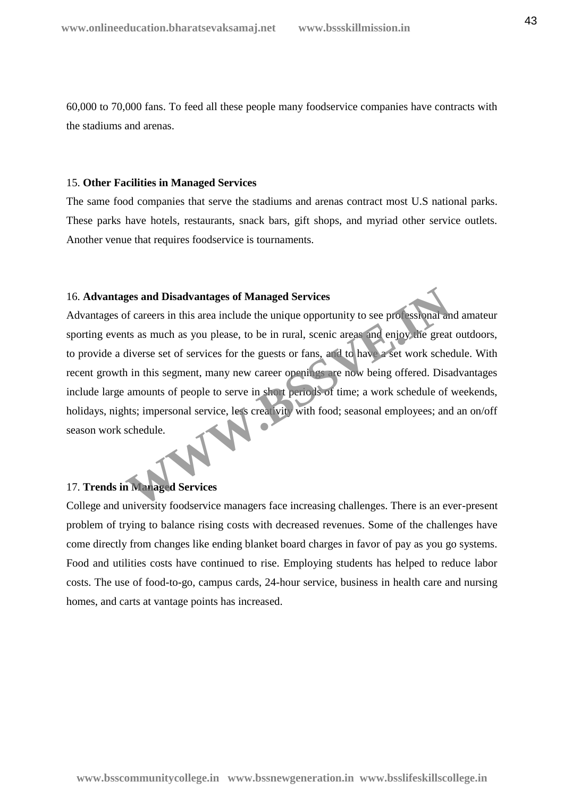60,000 to 70,000 fans. To feed all these people many foodservice companies have contracts with the stadiums and arenas.

### 15. **Other Facilities in Managed Services**

The same food companies that serve the stadiums and arenas contract most U.S national parks. These parks have hotels, restaurants, snack bars, gift shops, and myriad other service outlets. Another venue that requires foodservice is tournaments.

## 16. **Advantages and Disadvantages of Managed Services**

Advantages of careers in this area include the unique opportunity to see professional and amateur sporting events as much as you please, to be in rural, scenic areas and enjoy the great outdoors, to provide a diverse set of services for the guests or fans, and to have a set work schedule. With recent growth in this segment, many new career openings are now being offered. Disadvantages include large amounts of people to serve in short periods of time; a work schedule of weekends, holidays, nights; impersonal service, less creativity with food; seasonal employees; and an on/off season work schedule. **Example 3 and Disadvantages of Managed Services**<br>of careers in this area include the unique opportunity to see processional ants as much as you please, to be in rural, scenic areas and enjoy the great<br>diverse set of servi

## 17. **Trends in Managed Services**

College and university foodservice managers face increasing challenges. There is an ever-present problem of trying to balance rising costs with decreased revenues. Some of the challenges have come directly from changes like ending blanket board charges in favor of pay as you go systems. Food and utilities costs have continued to rise. Employing students has helped to reduce labor costs. The use of food-to-go, campus cards, 24-hour service, business in health care and nursing homes, and carts at vantage points has increased.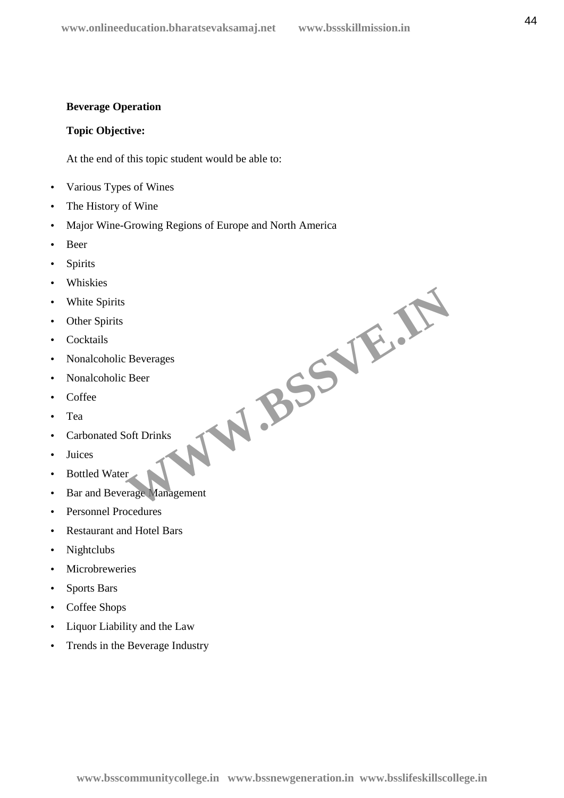# **Beverage Operation**

# **Topic Objective:**

At the end of this topic student would be able to:

- Various Types of Wines
- The History of Wine
- Major Wine-Growing Regions of Europe and North America
- Beer
- Spirits
- Whiskies
- White Spirits
- Other Spirits
- Cocktails
- Nonalcoholic Beverages
- Nonalcoholic Beer
- Coffee
- Tea
- Carbonated Soft Drinks
- Juices
- Bottled Water
- Bar and Beverage Management WW.BSSVE.IN
- Personnel Procedures
- Restaurant and Hotel Bars
- Nightclubs
- Microbreweries
- Sports Bars
- Coffee Shops
- Liquor Liability and the Law
- Trends in the Beverage Industry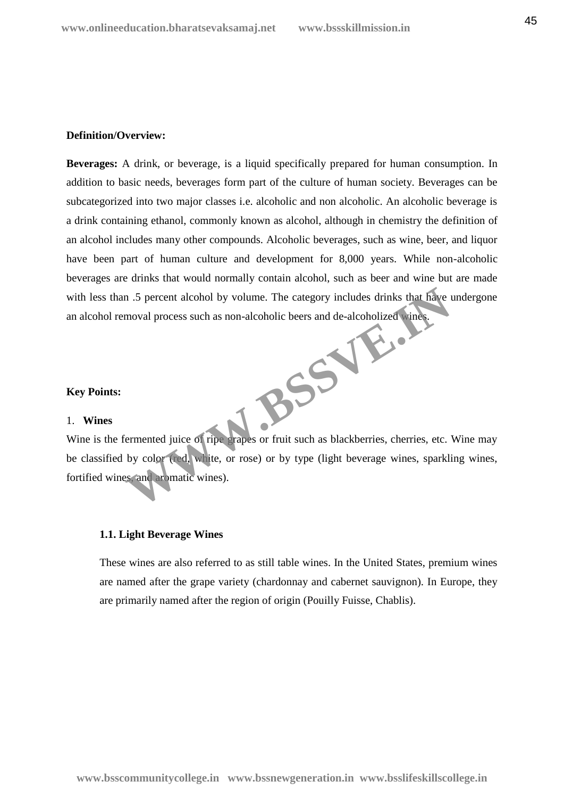## **Definition/Overview:**

**Beverages:** A drink, or beverage, is a liquid specifically prepared for human consumption. In addition to basic needs, beverages form part of the culture of human society. Beverages can be subcategorized into two major classes i.e. alcoholic and non alcoholic. An alcoholic beverage is a drink containing ethanol, commonly known as alcohol, although in chemistry the definition of an alcohol includes many other compounds. Alcoholic beverages, such as wine, beer, and liquor have been part of human culture and development for 8,000 years. While non-alcoholic beverages are drinks that would normally contain alcohol, such as beer and wine but are made with less than .5 percent alcohol by volume. The category includes drinks that have undergone an alcohol removal process such as non-alcoholic beers and de-alcoholized wines. **WWW.BSSVE.IN** 

## **Key Points:**

#### 1. **Wines**

Wine is the fermented juice of ripe grapes or fruit such as blackberries, cherries, etc. Wine may be classified by color (red, white, or rose) or by type (light beverage wines, sparkling wines, fortified wines, and aromatic wines).

## **1.1. Light Beverage Wines**

These wines are also referred to as still table wines. In the United States, premium wines are named after the grape variety (chardonnay and cabernet sauvignon). In Europe, they are primarily named after the region of origin (Pouilly Fuisse, Chablis).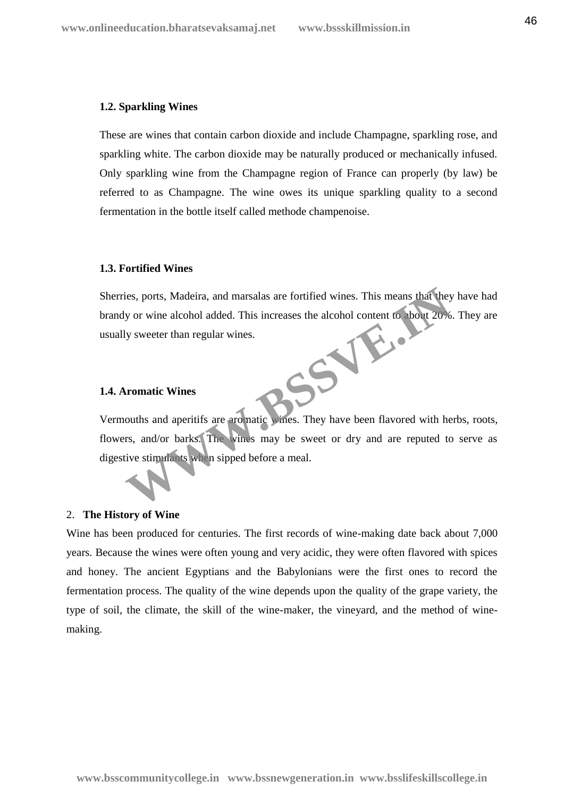#### **1.2. Sparkling Wines**

These are wines that contain carbon dioxide and include Champagne, sparkling rose, and sparkling white. The carbon dioxide may be naturally produced or mechanically infused. Only sparkling wine from the Champagne region of France can properly (by law) be referred to as Champagne. The wine owes its unique sparkling quality to a second fermentation in the bottle itself called methode champenoise.

## **1.3. Fortified Wines**

Sherries, ports, Madeira, and marsalas are fortified wines. This means that they have had brandy or wine alcohol added. This increases the alcohol content to about 20%. They are usually sweeter than regular wines. **SSVE.** 

### **1.4. Aromatic Wines**

Vermouths and aperitifs are aromatic wines. They have been flavored with herbs, roots, flowers, and/or barks. The wines may be sweet or dry and are reputed to serve as digestive stimulants when sipped before a meal.

### 2. **The History of Wine**

Wine has been produced for centuries. The first records of wine-making date back about 7,000 years. Because the wines were often young and very acidic, they were often flavored with spices and honey. The ancient Egyptians and the Babylonians were the first ones to record the fermentation process. The quality of the wine depends upon the quality of the grape variety, the type of soil, the climate, the skill of the wine-maker, the vineyard, and the method of wine making.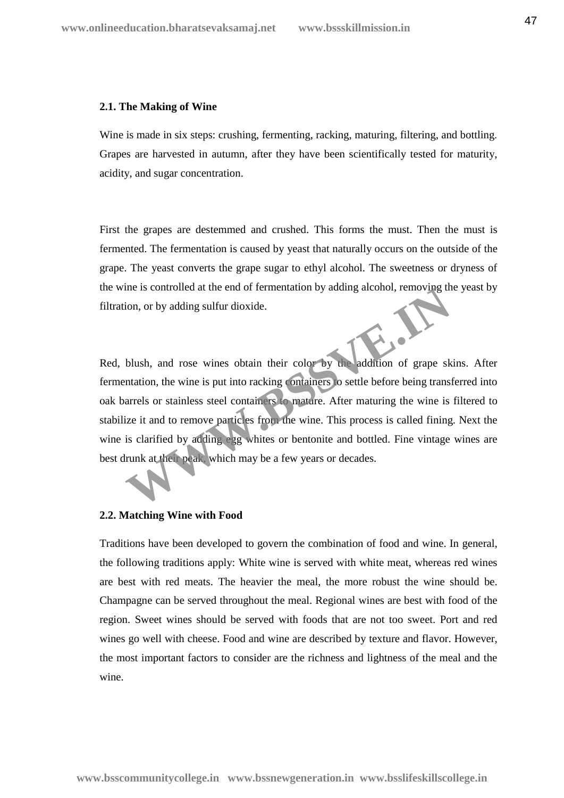#### **2.1. The Making of Wine**

Wine is made in six steps: crushing, fermenting, racking, maturing, filtering, and bottling. Grapes are harvested in autumn, after they have been scientifically tested for maturity, acidity, and sugar concentration.

First the grapes are destemmed and crushed. This forms the must. Then the must is fermented. The fermentation is caused by yeast that naturally occurs on the outside of the grape. The yeast converts the grape sugar to ethyl alcohol. The sweetness or dryness of the wine is controlled at the end of fermentation by adding alcohol, removing the yeast by filtration, or by adding sulfur dioxide.

Red, blush, and rose wines obtain their color by the addition of grape skins. After fermentation, the wine is put into racking containers to settle before being transferred into oak barrels or stainless steel containers to mature. After maturing the wine is filtered to stabilize it and to remove particles from the wine. This process is called fining. Next the wine is clarified by adding egg whites or bentonite and bottled. Fine vintage wines are best drunk at their peak, which may be a few years or decades. The is controlled at the end of fermentation by adding alcohol, removing the solution, or by adding sulfur dioxide.<br>
Whish, and rose wines obtain their color by the addition of grape sk<br>
Intation, the wine is put into rack

## **2.2. Matching Wine with Food**

Traditions have been developed to govern the combination of food and wine. In general, the following traditions apply: White wine is served with white meat, whereas red wines are best with red meats. The heavier the meal, the more robust the wine should be. Champagne can be served throughout the meal. Regional wines are best with food of the region. Sweet wines should be served with foods that are not too sweet. Port and red wines go well with cheese. Food and wine are described by texture and flavor. However, the most important factors to consider are the richness and lightness of the meal and the wine.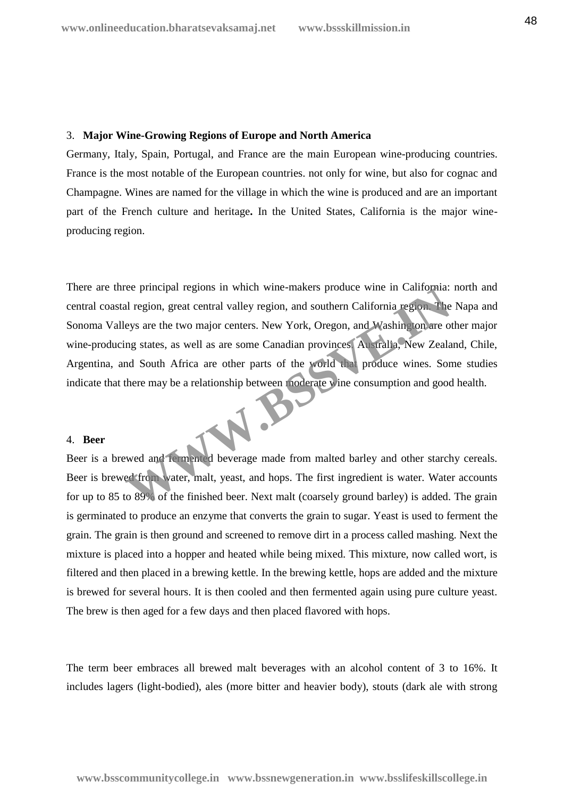#### 3. **Major Wine-Growing Regions of Europe and North America**

Germany, Italy, Spain, Portugal, and France are the main European wine-producing countries. France is the most notable of the European countries. not only for wine, but also for cognac and Champagne. Wines are named for the village in which the wine is produced and are an important part of the French culture and heritage**.** In the United States, California is the major wine producing region.

There are three principal regions in which wine-makers produce wine in California: north and central coastal region, great central valley region, and southern California region. The Napa and Sonoma Valleys are the two major centers. New York, Oregon, and Washington are other major wine-producing states, as well as are some Canadian provinces. Australia, New Zealand, Chile, Argentina, and South Africa are other parts of the world that produce wines. Some studies indicate that there may be a relationship between moderate wine consumption and good health. The principal regions in which wine-makers produce wine in California.<br>
Il region, great central valley region, and southern California region. The<br>
eys are the two major centers. New York, Oregon, and Washington are of<br>
m

#### 4. **Beer**

Beer is a brewed and fermented beverage made from malted barley and other starchy cereals. Beer is brewed from water, malt, yeast, and hops. The first ingredient is water. Water accounts for up to 85 to 89% of the finished beer. Next malt (coarsely ground barley) is added. The grain is germinated to produce an enzyme that converts the grain to sugar. Yeast is used to ferment the grain. The grain is then ground and screened to remove dirt in a process called mashing. Next the mixture is placed into a hopper and heated while being mixed. This mixture, now called wort, is filtered and then placed in a brewing kettle. In the brewing kettle, hops are added and the mixture is brewed for several hours. It is then cooled and then fermented again using pure culture yeast. The brew is then aged for a few days and then placed flavored with hops.

The term beer embraces all brewed malt beverages with an alcohol content of 3 to 16%. It includes lagers (light-bodied), ales (more bitter and heavier body), stouts (dark ale with strong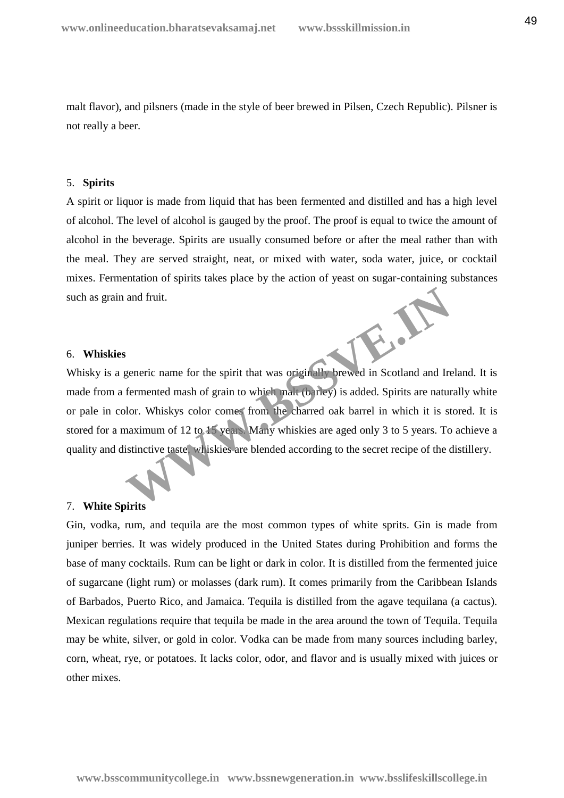malt flavor), and pilsners (made in the style of beer brewed in Pilsen, Czech Republic). Pilsner is not really a beer.

#### 5. **Spirits**

A spirit or liquor is made from liquid that has been fermented and distilled and has a high level of alcohol. The level of alcohol is gauged by the proof. The proof is equal to twice the amount of alcohol in the beverage. Spirits are usually consumed before or after the meal rather than with the meal. They are served straight, neat, or mixed with water, soda water, juice, or cocktail mixes. Fermentation of spirits takes place by the action of yeast on sugar-containing substances such as grain and fruit.

#### 6. **Whiskies**

Whisky is a generic name for the spirit that was originally brewed in Scotland and Ireland. It is made from a fermented mash of grain to which malt (barley) is added. Spirits are naturally white or pale in color. Whiskys color comes from the charred oak barrel in which it is stored. It is stored for a maximum of 12 to 15 years. Many whiskies are aged only 3 to 5 years. To achieve a quality and distinctive taste, whiskies are blended according to the secret recipe of the distillery. and fruit.<br>
Superieure anne for the spirit that was originally brewed in Scotland and Ire<br>
fermented mash of grain to which man (barley) is added. Spirits are nature<br>
lor. Whiskys color comes from the charred oak barrel in

### 7. **White Spirits**

Gin, vodka, rum, and tequila are the most common types of white sprits. Gin is made from juniper berries. It was widely produced in the United States during Prohibition and forms the base of many cocktails. Rum can be light or dark in color. It is distilled from the fermented juice of sugarcane (light rum) or molasses (dark rum). It comes primarily from the Caribbean Islands of Barbados, Puerto Rico, and Jamaica. Tequila is distilled from the agave tequilana (a cactus). Mexican regulations require that tequila be made in the area around the town of Tequila. Tequila may be white, silver, or gold in color. Vodka can be made from many sources including barley, corn, wheat, rye, or potatoes. It lacks color, odor, and flavor and is usually mixed with juices or other mixes.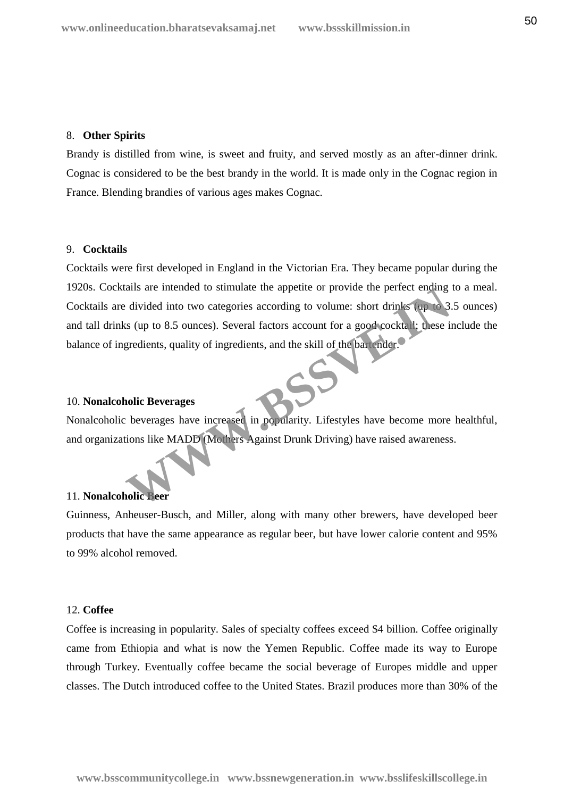#### 8. **Other Spirits**

Brandy is distilled from wine, is sweet and fruity, and served mostly as an after-dinner drink. Cognac is considered to be the best brandy in the world. It is made only in the Cognac region in France. Blending brandies of various ages makes Cognac.

### 9. **Cocktails**

Cocktails were first developed in England in the Victorian Era. They became popular during the 1920s. Cocktails are intended to stimulate the appetite or provide the perfect ending to a meal. Cocktails are divided into two categories according to volume: short drinks (up to 3.5 ounces) and tall drinks (up to 8.5 ounces). Several factors account for a good cocktail; these include the balance of ingredients, quality of ingredients, and the skill of the bartender. The state intended to sumulate the appetite or provide the perfect enomy<br>
divided into two categories according to volume: short drinks (up to 8.5<br>
Is (up to 8.5 ounces). Several factors account for a good cocktail; these

## 10. **Nonalcoholic Beverages**

Nonalcoholic beverages have increased in popularity. Lifestyles have become more healthful, and organizations like MADD (Mothers Against Drunk Driving) have raised awareness.

## 11. **Nonalcoholic Beer**

Guinness, Anheuser-Busch, and Miller, along with many other brewers, have developed beer products that have the same appearance as regular beer, but have lower calorie content and 95% to 99% alcohol removed.

## 12. **Coffee**

Coffee is increasing in popularity. Sales of specialty coffees exceed \$4 billion. Coffee originally came from Ethiopia and what is now the Yemen Republic. Coffee made its way to Europe through Turkey. Eventually coffee became the social beverage of Europes middle and upper classes. The Dutch introduced coffee to the United States. Brazil produces more than 30% of the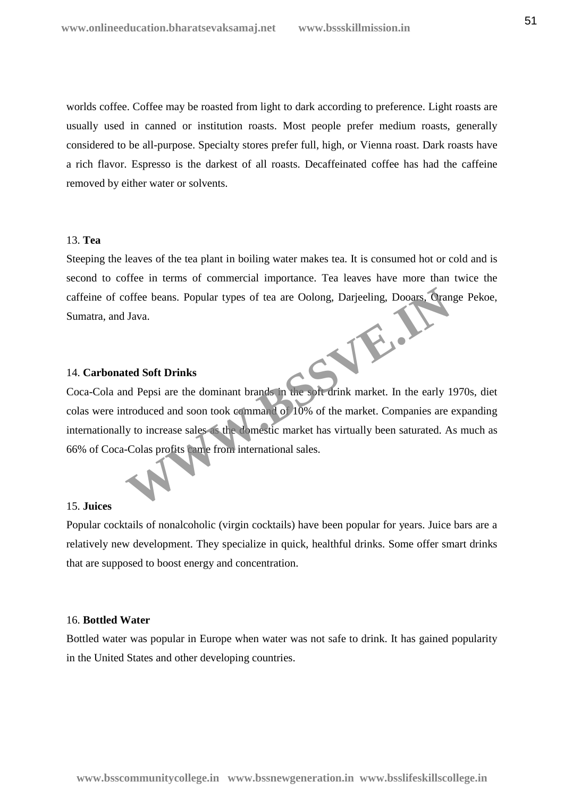worlds coffee. Coffee may be roasted from light to dark according to preference. Light roasts are usually used in canned or institution roasts. Most people prefer medium roasts, generally considered to be all-purpose. Specialty stores prefer full, high, or Vienna roast. Dark roasts have a rich flavor. Espresso is the darkest of all roasts. Decaffeinated coffee has had the caffeine removed by either water or solvents.

## 13. **Tea**

Steeping the leaves of the tea plant in boiling water makes tea. It is consumed hot or cold and is second to coffee in terms of commercial importance. Tea leaves have more than twice the caffeine of coffee beans. Popular types of tea are Oolong, Darjeeling, Dooars, Orange Pekoe, Sumatra, and Java. **WWW.BSSVE.IN**

### 14. **Carbonated Soft Drinks**

Coca-Cola and Pepsi are the dominant brands in the soft drink market. In the early 1970s, diet colas were introduced and soon took command of 10% of the market. Companies are expanding internationally to increase sales as the domestic market has virtually been saturated. As much as 66% of Coca-Colas profits came from international sales.

### 15. **Juices**

Popular cocktails of nonalcoholic (virgin cocktails) have been popular for years. Juice bars are a relatively new development. They specialize in quick, healthful drinks. Some offer smart drinks that are supposed to boost energy and concentration.

## 16. **Bottled Water**

Bottled water was popular in Europe when water was not safe to drink. It has gained popularity in the United States and other developing countries.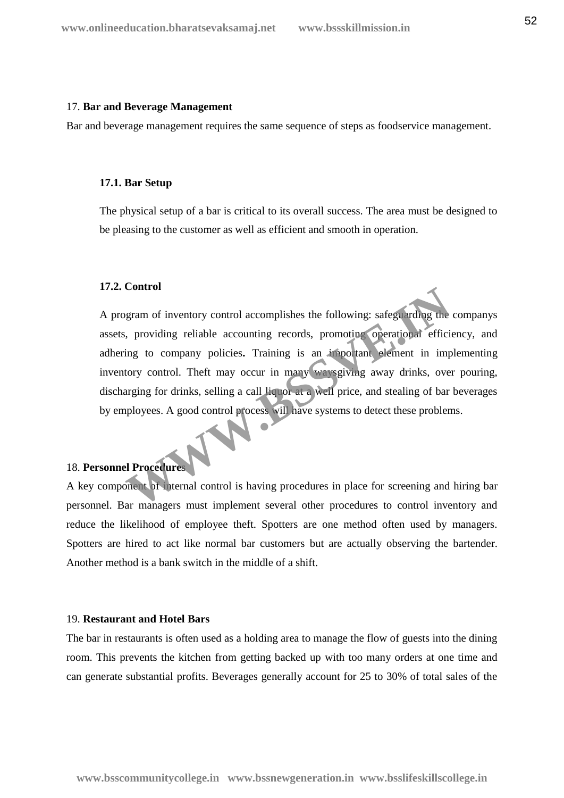#### 17. **Bar and Beverage Management**

Bar and beverage management requires the same sequence of steps as foodservice management.

### **17.1. Bar Setup**

The physical setup of a bar is critical to its overall success. The area must be designed to be pleasing to the customer as well as efficient and smooth in operation.

### **17.2. Control**

A program of inventory control accomplishes the following: safeguarding the companys assets, providing reliable accounting records, promoting operational efficiency, and adhering to company policies**.** Training is an important element in implementing inventory control. Theft may occur in many waysgiving away drinks, over pouring, discharging for drinks, selling a call liquor at a well price, and stealing of bar beverages by employees. A good control process will have systems to detect these problems. Example of inventory control accomplishes the following: safeguarding the<br>
ing to company policies. Training is an important operational efficies<br>
ting to company policies. Training is an important element in important<br>
th

# 18. **Personnel Procedures**

A key component of internal control is having procedures in place for screening and hiring bar personnel. Bar managers must implement several other procedures to control inventory and reduce the likelihood of employee theft. Spotters are one method often used by managers. Spotters are hired to act like normal bar customers but are actually observing the bartender. Another method is a bank switch in the middle of a shift.

## 19. **Restaurant and Hotel Bars**

The bar in restaurants is often used as a holding area to manage the flow of guests into the dining room. This prevents the kitchen from getting backed up with too many orders at one time and can generate substantial profits. Beverages generally account for 25 to 30% of total sales of the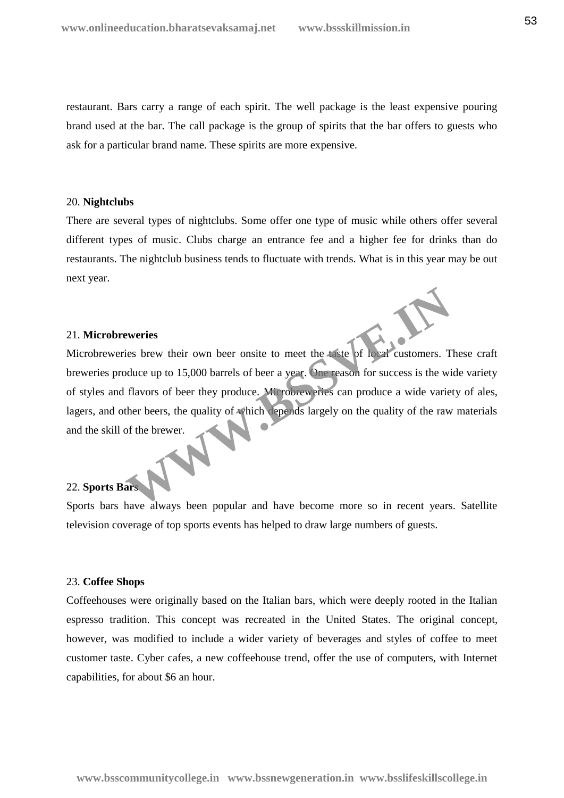restaurant. Bars carry a range of each spirit. The well package is the least expensive pouring brand used at the bar. The call package is the group of spirits that the bar offers to guests who ask for a particular brand name. These spirits are more expensive.

#### 20. **Nightclubs**

There are several types of nightclubs. Some offer one type of music while others offer several different types of music. Clubs charge an entrance fee and a higher fee for drinks than do restaurants. The nightclub business tends to fluctuate with trends. What is in this year may be out next year.

## 21. **Microbreweries**

Microbreweries brew their own beer onsite to meet the taste of local customers. These craft breweries produce up to 15,000 barrels of beer a year. One reason for success is the wide variety of styles and flavors of beer they produce. Microbreweries can produce a wide variety of ales, lagers, and other beers, the quality of which depends largely on the quality of the raw materials and the skill of the brewer. Experies<br>
ies brew their own beer onsite to meet the taste of local customers. T<br>
duce up to 15,000 barrels of beer a year. One reason for success is the wi<br>
flavors of beer they produce. Microbrew ries can produce a wide

# 22. **Sports Bars**

Sports bars have always been popular and have become more so in recent years. Satellite television coverage of top sports events has helped to draw large numbers of guests.

## 23. **Coffee Shops**

Coffeehouses were originally based on the Italian bars, which were deeply rooted in the Italian espresso tradition. This concept was recreated in the United States. The original concept, however, was modified to include a wider variety of beverages and styles of coffee to meet customer taste. Cyber cafes, a new coffeehouse trend, offer the use of computers, with Internet capabilities, for about \$6 an hour.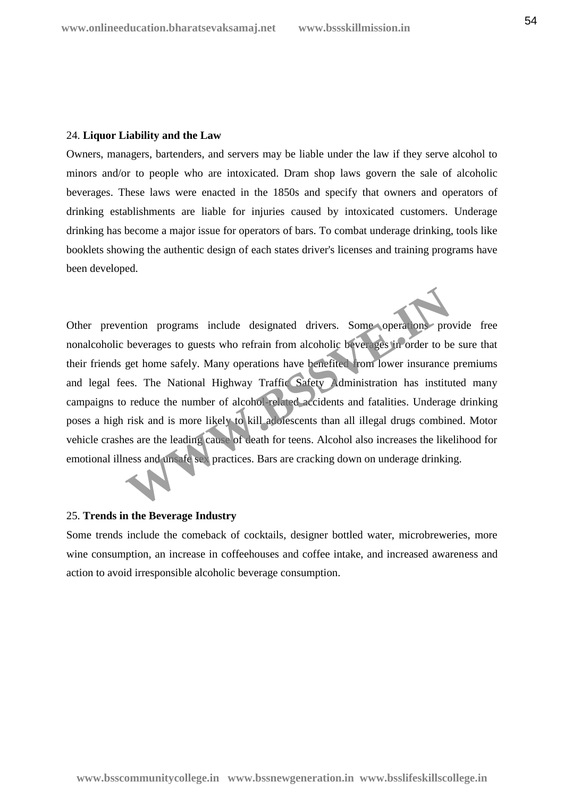## 24. **Liquor Liability and the Law**

Owners, managers, bartenders, and servers may be liable under the law if they serve alcohol to minors and/or to people who are intoxicated. Dram shop laws govern the sale of alcoholic beverages. These laws were enacted in the 1850s and specify that owners and operators of drinking establishments are liable for injuries caused by intoxicated customers. Underage drinking has become a major issue for operators of bars. To combat underage drinking, tools like booklets showing the authentic design of each states driver's licenses and training programs have been developed.

Other prevention programs include designated drivers. Some operations provide free nonalcoholic beverages to guests who refrain from alcoholic beverages in order to be sure that their friends get home safely. Many operations have benefited from lower insurance premiums and legal fees. The National Highway Traffic Safety Administration has instituted many campaigns to reduce the number of alcohol-related accidents and fatalities. Underage drinking poses a high risk and is more likely to kill adolescents than all illegal drugs combined. Motor vehicle crashes are the leading cause of death for teens. Alcohol also increases the likelihood for emotional illness and unsafe sex practices. Bars are cracking down on underage drinking. ntion programs include designated drivers. Some operations pro<br>beverages to guests who refrain from alcoholic beverages in order to be<br>get home safely. Many operations have benefited from lower insurance<br>es. The National H

## 25. **Trends in the Beverage Industry**

Some trends include the comeback of cocktails, designer bottled water, microbreweries, more wine consumption, an increase in coffeehouses and coffee intake, and increased awareness and action to avoid irresponsible alcoholic beverage consumption.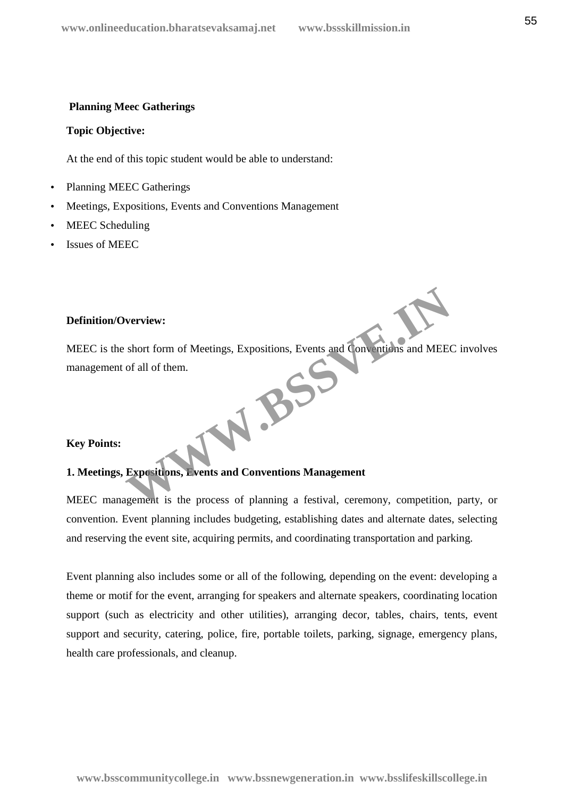## **Planning Meec Gatherings**

### **Topic Objective:**

At the end of this topic student would be able to understand:

- Planning MEEC Gatherings
- Meetings, Expositions, Events and Conventions Management
- MEEC Scheduling
- Issues of MEEC

# **Definition/Overview:**

MEEC is the short form of Meetings, Expositions, Events and Conventions and MEEC involves management of all of them. W.BSS

## **Key Points:**

# **1. Meetings, Expositions, Events and Conventions Management**

MEEC management is the process of planning a festival, ceremony, competition, party, or convention. Event planning includes budgeting, establishing dates and alternate dates, selecting and reserving the event site, acquiring permits, and coordinating transportation and parking.

Event planning also includes some or all of the following, depending on the event: developing a theme or motif for the event, arranging for speakers and alternate speakers, coordinating location support (such as electricity and other utilities), arranging decor, tables, chairs, tents, event support and security, catering, police, fire, portable toilets, parking, signage, emergency plans, health care professionals, and cleanup.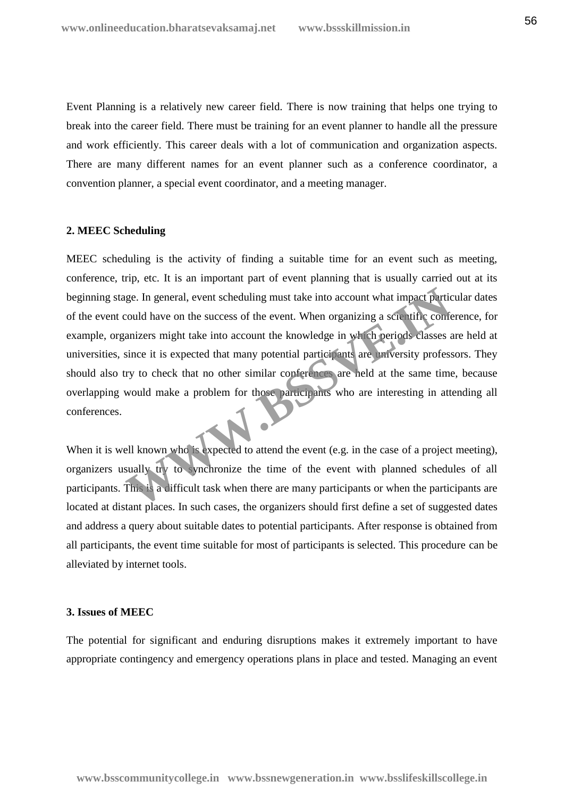Event Planning is a relatively new career field. There is now training that helps one trying to break into the career field. There must be training for an event planner to handle all the pressure and work efficiently. This career deals with a lot of communication and organization aspects. There are many different names for an event planner such as a conference coordinator, a convention planner, a special event coordinator, and a meeting manager.

### **2. MEEC Scheduling**

MEEC scheduling is the activity of finding a suitable time for an event such as meeting, conference, trip, etc. It is an important part of event planning that is usually carried out at its beginning stage. In general, event scheduling must take into account what impact particular dates of the event could have on the success of the event. When organizing a scientific conference, for example, organizers might take into account the knowledge in which periods classes are held at universities, since it is expected that many potential participants are university professors. They should also try to check that no other similar conferences are held at the same time, because overlapping would make a problem for those participants who are interesting in attending all conferences. a difficult task when there are many participants or when the particular that the same in a set that we on the success of the event. When organizing a scientific conference are interesting in the same it is expected that m

When it is well known who is expected to attend the event (e.g. in the case of a project meeting), organizers usually try to synchronize the time of the event with planned schedules of all participants. This is a difficult task when there are many participants or when the participants are located at distant places. In such cases, the organizers should first define a set of suggested dates and address a query about suitable dates to potential participants. After response is obtained from all participants, the event time suitable for most of participants is selected. This procedure can be alleviated by internet tools.

## **3. Issues of MEEC**

The potential for significant and enduring disruptions makes it extremely important to have appropriate contingency and emergency operations plans in place and tested. Managing an event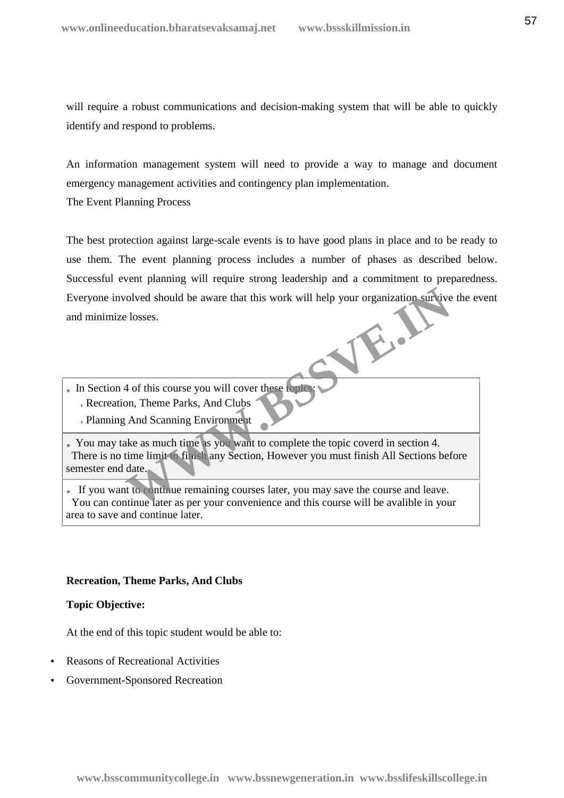will require a robust communications and decision-making system that will be able to quickly identify and respond to problems.

An information management system will need to provide a way to manage and document emergency management activities and contingency plan implementation.

The Event Planning Process

The best protection against large-scale events is to have good plans in place and to be ready to use them. The event planning process includes a number of phases as described below. Successful event planning will require strong leadership and a commitment to preparedness. Everyone involved should be aware that this work will help your organization survive the event and minimize losses.

- In Section 4 of this course you will cover these topics Recreation, Theme Parks, And Clubs
	- Planning And Scanning Environment

You may take as much time as you want to complete the topic coverd in section 4. There is no time limit to finish any Section, However you must finish All Sections before semester end date. Figure 10 and the aware that this work will help your organization survive<br>
Elosses.<br>
And Scanning Environment<br>
And Scanning Environment<br>
Re as much time as you want to complete the topic coverd in section 4.<br>
The limit of

If you want to continue remaining courses later, you may save the course and leave. You can continue later as per your convenience and this course will be avalible in your area to save and continue later.

## **Recreation, Theme Parks, And Clubs**

## **Topic Objective:**

At the end of this topic student would be able to:

- Reasons of Recreational Activities
- Government-Sponsored Recreation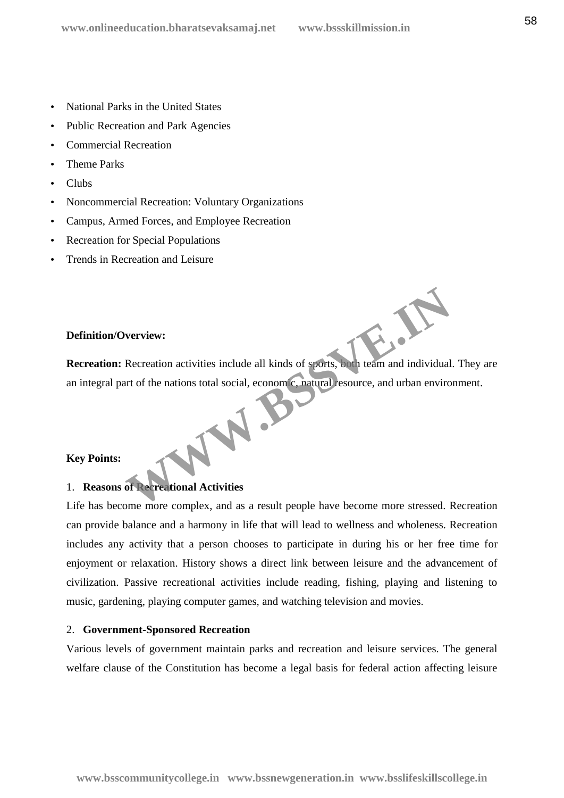- National Parks in the United States
- Public Recreation and Park Agencies
- Commercial Recreation
- Theme Parks
- Clubs
- Noncommercial Recreation: Voluntary Organizations
- Campus, Armed Forces, and Employee Recreation
- Recreation for Special Populations
- Trends in Recreation and Leisure

## **Definition/Overview:**

**Recreation:** Recreation activities include all kinds of sports, both team and individual. They are an integral part of the nations total social, economic, natural resource, and urban environment. WWW.BS

## **Key Points:**

# 1. **Reasons of Recreational Activities**

Life has become more complex, and as a result people have become more stressed. Recreation can provide balance and a harmony in life that will lead to wellness and wholeness. Recreation includes any activity that a person chooses to participate in during his or her free time for enjoyment or relaxation. History shows a direct link between leisure and the advancement of civilization. Passive recreational activities include reading, fishing, playing and listening to music, gardening, playing computer games, and watching television and movies.

## 2. **Government-Sponsored Recreation**

Various levels of government maintain parks and recreation and leisure services. The general welfare clause of the Constitution has become a legal basis for federal action affecting leisure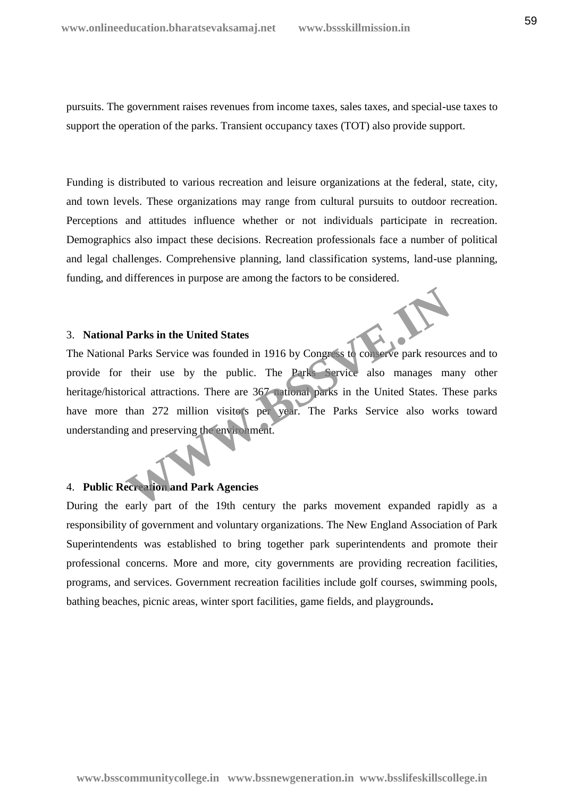pursuits. The government raises revenues from income taxes, sales taxes, and special-use taxes to support the operation of the parks. Transient occupancy taxes (TOT) also provide support.

Funding is distributed to various recreation and leisure organizations at the federal, state, city, and town levels. These organizations may range from cultural pursuits to outdoor recreation. Perceptions and attitudes influence whether or not individuals participate in recreation. Demographics also impact these decisions. Recreation professionals face a number of political and legal challenges. Comprehensive planning, land classification systems, land-use planning, funding, and differences in purpose are among the factors to be considered.

## 3. **National Parks in the United States**

The National Parks Service was founded in 1916 by Congress to conserve park resources and to provide for their use by the public. The Parks Service also manages many other heritage/historical attractions. There are 367 national parks in the United States. These parks have more than 272 million visitors per year. The Parks Service also works toward understanding and preserving the environment. Parks in the United States<br>
Parks Service was founded in 1916 by Congress to conserve park resour<br>
their use by the public. The Parks Service also manages maximal attractions. There are 367 national parks in the United Sta

## 4. **Public Recreation and Park Agencies**

During the early part of the 19th century the parks movement expanded rapidly as a responsibility of government and voluntary organizations. The New England Association of Park Superintendents was established to bring together park superintendents and promote their professional concerns. More and more, city governments are providing recreation facilities, programs, and services. Government recreation facilities include golf courses, swimming pools, bathing beaches, picnic areas, winter sport facilities, game fields, and playgrounds**.**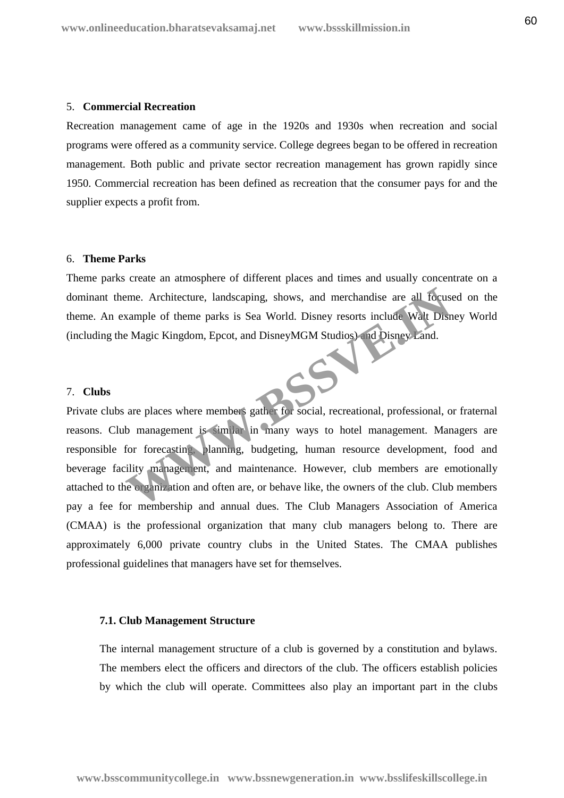#### 5. **Commercial Recreation**

Recreation management came of age in the 1920s and 1930s when recreation and social programs were offered as a community service. College degrees began to be offered in recreation management. Both public and private sector recreation management has grown rapidly since 1950. Commercial recreation has been defined as recreation that the consumer pays for and the supplier expects a profit from.

### 6. **Theme Parks**

Theme parks create an atmosphere of different places and times and usually concentrate on a dominant theme. Architecture, landscaping, shows, and merchandise are all focused on the theme. An example of theme parks is Sea World. Disney resorts include Walt Disney World (including the Magic Kingdom, Epcot, and DisneyMGM Studios) and Disney Land.

## 7. **Clubs**

Private clubs are places where members gather for social, recreational, professional, or fraternal reasons. Club management is similar in many ways to hotel management. Managers are responsible for forecasting, planning, budgeting, human resource development, food and beverage facility management, and maintenance. However, club members are emotionally attached to the organization and often are, or behave like, the owners of the club. Club members pay a fee for membership and annual dues. The Club Managers Association of America (CMAA) is the professional organization that many club managers belong to. There are approximately 6,000 private country clubs in the United States. The CMAA publishes professional guidelines that managers have set for themselves. EXERCT ACT THE THE CHIN MARGEMENT AND THE CHIN MARGEMENT AND STREET AND THE PAIR OF THE PAIR OF THE MARGEMENT AND MARGEMENT AND MARGEMENT AND MARGEMENT AND MARGEMENT AND MARGEMENT AND MARGEMENT AND MARGEMENT AND MARGEMENT

#### **7.1. Club Management Structure**

The internal management structure of a club is governed by a constitution and bylaws. The members elect the officers and directors of the club. The officers establish policies by which the club will operate. Committees also play an important part in the clubs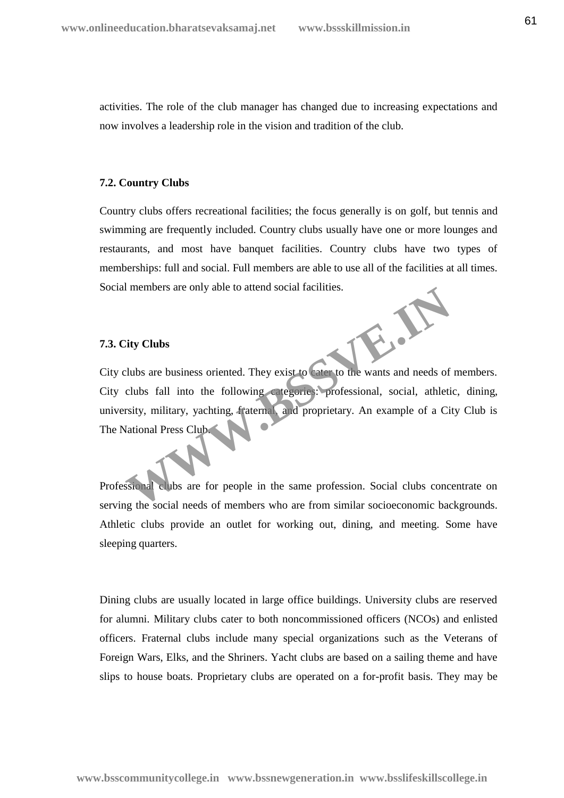activities. The role of the club manager has changed due to increasing expectations and now involves a leadership role in the vision and tradition of the club.

# **7.2. Country Clubs**

Country clubs offers recreational facilities; the focus generally is on golf, but tennis and swimming are frequently included. Country clubs usually have one or more lounges and restaurants, and most have banquet facilities. Country clubs have two types of memberships: full and social. Full members are able to use all of the facilities at all times. Social members are only able to attend social facilities.

# **7.3. City Clubs**

**7.3. City Clubs**<br>City clubs are business oriented. They exist to cater to the wants and needs of members. City clubs fall into the following categories: professional, social, athletic, dining, university, military, yachting, fraternal, and proprietary. An example of a City Club is The National Press Club. The Chapter of the values are only able to attend social racintus.<br>
The Clubs are business oriented. They exist to cater to the wants and needs of<br>
clubs fall into the following categories: professional, social, athletic<br>

Professional clubs are for people in the same profession. Social clubs concentrate on serving the social needs of members who are from similar socioeconomic backgrounds. Athletic clubs provide an outlet for working out, dining, and meeting. Some have sleeping quarters.

Dining clubs are usually located in large office buildings. University clubs are reserved for alumni. Military clubs cater to both noncommissioned officers (NCOs) and enlisted officers. Fraternal clubs include many special organizations such as the Veterans of Foreign Wars, Elks, and the Shriners. Yacht clubs are based on a sailing theme and have slips to house boats. Proprietary clubs are operated on a for-profit basis. They may be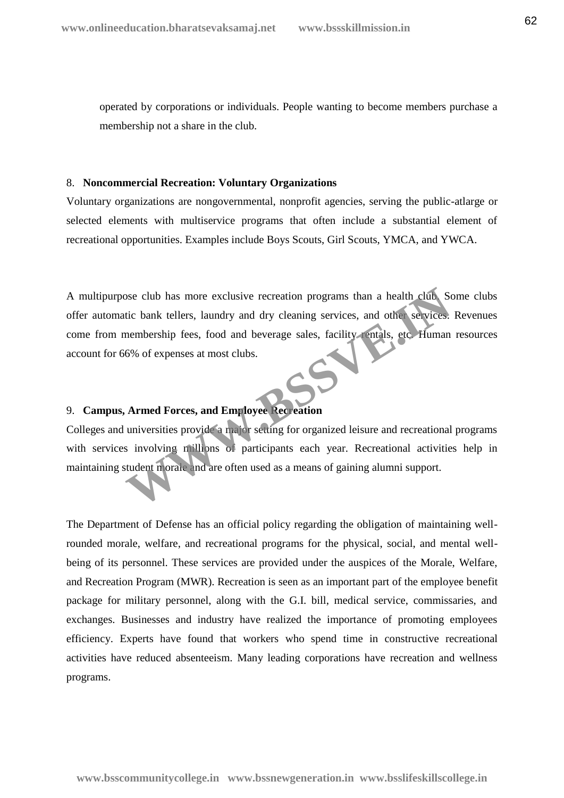operated by corporations or individuals. People wanting to become members purchase a membership not a share in the club.

### 8. **Noncommercial Recreation: Voluntary Organizations**

Voluntary organizations are nongovernmental, nonprofit agencies, serving the public-atlarge or selected elements with multiservice programs that often include a substantial element of recreational opportunities. Examples include Boys Scouts, Girl Scouts, YMCA, and YWCA.

A multipurpose club has more exclusive recreation programs than a health club. Some clubs offer automatic bank tellers, laundry and dry cleaning services, and other services. Revenues come from membership fees, food and beverage sales, facility rentals, etc. Human resources account for 66% of expenses at most clubs. Some contract the most expectation programs than a health club. Sometic bank tellers, laundry and dry cleaning services, and other services.<br>
Hembership fees, food and beverage sales, facility entails, etc. Human 6% of exp

# 9. **Campus, Armed Forces, and Employee Recreation**

Colleges and universities provide a major setting for organized leisure and recreational programs with services involving millions of participants each year. Recreational activities help in maintaining student morale and are often used as a means of gaining alumni support.

The Department of Defense has an official policy regarding the obligation of maintaining wellrounded morale, welfare, and recreational programs for the physical, social, and mental well being of its personnel. These services are provided under the auspices of the Morale, Welfare, and Recreation Program (MWR). Recreation is seen as an important part of the employee benefit package for military personnel, along with the G.I. bill, medical service, commissaries, and exchanges. Businesses and industry have realized the importance of promoting employees efficiency. Experts have found that workers who spend time in constructive recreational activities have reduced absenteeism. Many leading corporations have recreation and wellness programs.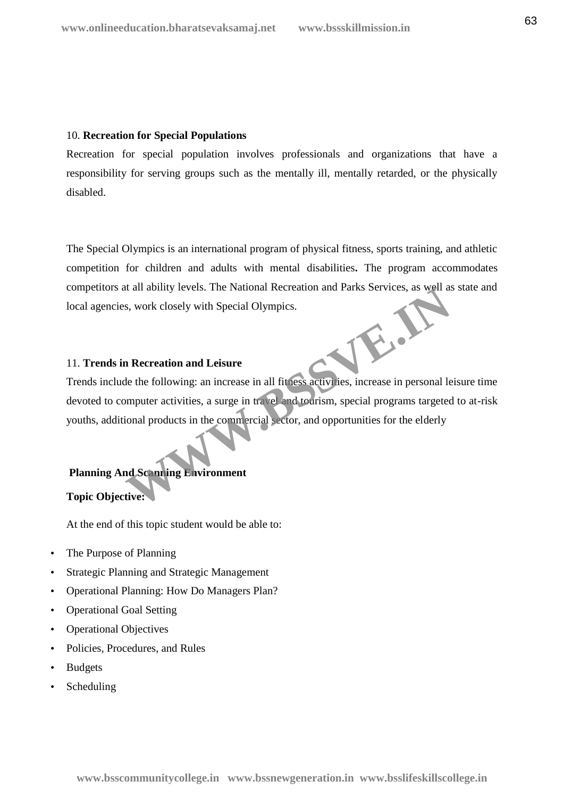## 10. **Recreation for Special Populations**

Recreation for special population involves professionals and organizations that have a responsibility for serving groups such as the mentally ill, mentally retarded, or the physically disabled.

The Special Olympics is an international program of physical fitness, sports training, and athletic competition for children and adults with mental disabilities**.** The program accommodates competitors at all ability levels. The National Recreation and Parks Services, as well as state and local agencies, work closely with Special Olympics.

## 11. **Trends in Recreation and Leisure**

Trends include the following: an increase in all fitness activities, increase in personal leisure time devoted to computer activities, a surge in travel and tourism, special programs targeted to at-risk youths, additional products in the commercial sector, and opportunities for the elderly It all ability levels. The National Recreation and Parks Services, as well as<br>
S, work closely with Special Olympics.<br> **MRECREATE AND A LEAD CONTEX AND SERVICE AS A SUPPLEM AND MORE THAT A SUPPLEM AND SERVICE S A SUPPLEM S** 

# **Planning And Scanning Environment**

# **Topic Objective:**

At the end of this topic student would be able to:

- The Purpose of Planning
- Strategic Planning and Strategic Management
- Operational Planning: How Do Managers Plan?
- Operational Goal Setting
- Operational Objectives
- Policies, Procedures, and Rules
- Budgets
- Scheduling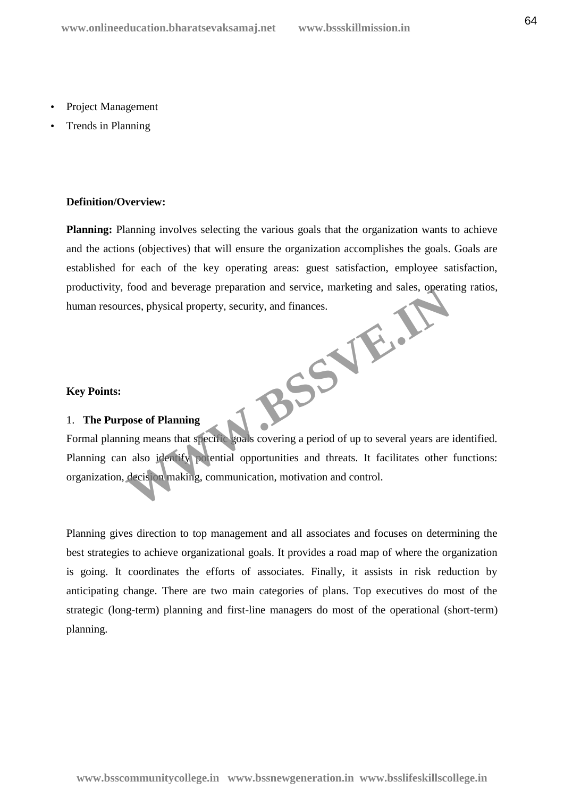- Project Management
- Trends in Planning

## **Definition/Overview:**

**Planning:** Planning involves selecting the various goals that the organization wants to achieve and the actions (objectives) that will ensure the organization accomplishes the goals. Goals are established for each of the key operating areas: guest satisfaction, employee satisfaction, productivity, food and beverage preparation and service, marketing and sales, operating ratios, human resources, physical property, security, and finances. BSSVE.JE

## **Key Points:**

# 1. **The Purpose of Planning**

Formal planning means that specific goals covering a period of up to several years are identified. Planning can also identify potential opportunities and threats. It facilitates other functions: organization, decision making, communication, motivation and control.

Planning gives direction to top management and all associates and focuses on determining the best strategies to achieve organizational goals. It provides a road map of where the organization is going. It coordinates the efforts of associates. Finally, it assists in risk reduction by anticipating change. There are two main categories of plans. Top executives do most of the strategic (long-term) planning and first-line managers do most of the operational (short-term) planning.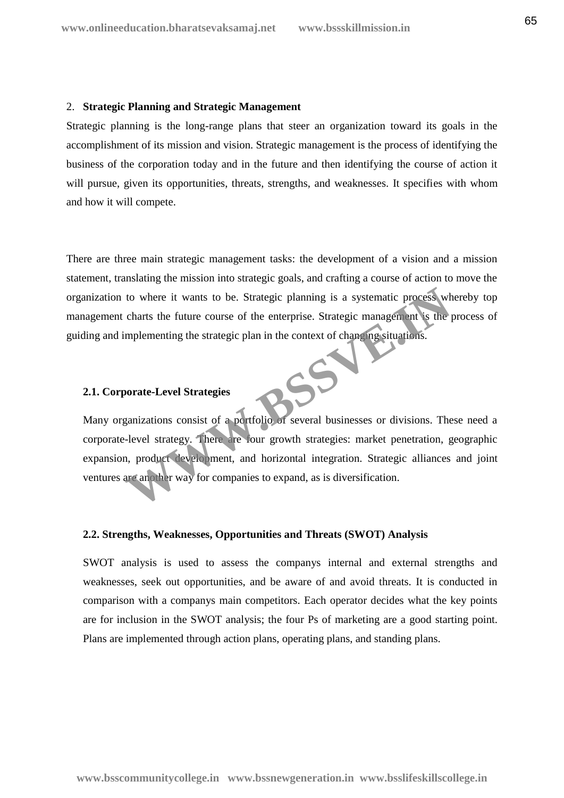#### 2. **Strategic Planning and Strategic Management**

Strategic planning is the long-range plans that steer an organization toward its goals in the accomplishment of its mission and vision. Strategic management is the process of identifying the business of the corporation today and in the future and then identifying the course of action it will pursue, given its opportunities, threats, strengths, and weaknesses. It specifies with whom and how it will compete.

There are three main strategic management tasks: the development of a vision and a mission statement, translating the mission into strategic goals, and crafting a course of action to move the organization to where it wants to be. Strategic planning is a systematic process whereby top management charts the future course of the enterprise. Strategic management is the process of guiding and implementing the strategic plan in the context of changing situations.

## **2.1. Corporate-Level Strategies**

Many organizations consist of a portfolio of several businesses or divisions. These need a corporate-level strategy. There are four growth strategies: market penetration, geographic expansion, product development, and horizontal integration. Strategic alliances and joint ventures are another way for companies to expand, as is diversification. The value of the strategic planning is a systematic process wh<br>charts the future course of the enterprise. Strategic management is the<br>implementing the strategic plan in the context of changing situations.<br>**We supplement t** 

### **2.2. Strengths, Weaknesses, Opportunities and Threats (SWOT) Analysis**

SWOT analysis is used to assess the companys internal and external strengths and weaknesses, seek out opportunities, and be aware of and avoid threats. It is conducted in comparison with a companys main competitors. Each operator decides what the key points are for inclusion in the SWOT analysis; the four Ps of marketing are a good starting point. Plans are implemented through action plans, operating plans, and standing plans.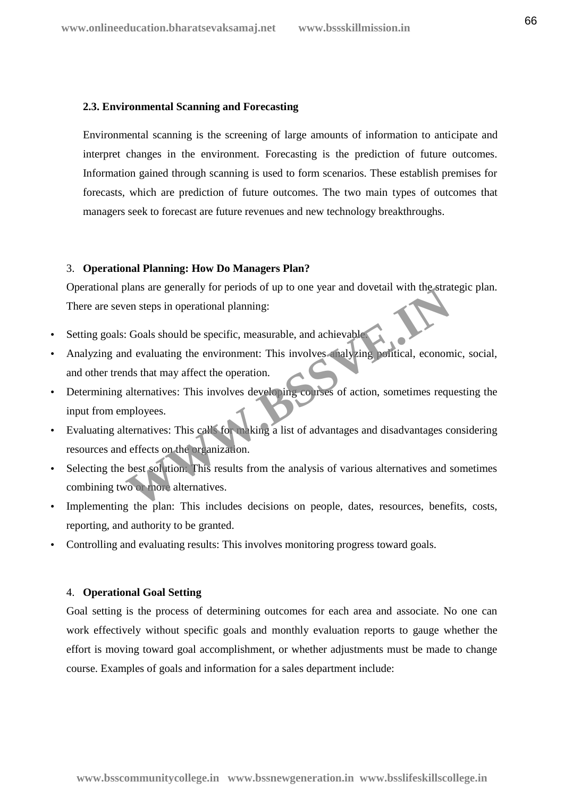### **2.3. Environmental Scanning and Forecasting**

Environmental scanning is the screening of large amounts of information to anticipate and interpret changes in the environment. Forecasting is the prediction of future outcomes. Information gained through scanning is used to form scenarios. These establish premises for forecasts, which are prediction of future outcomes. The two main types of outcomes that managers seek to forecast are future revenues and new technology breakthroughs.

## 3. **Operational Planning: How Do Managers Plan?**

Operational plans are generally for periods of up to one year and dovetail with the strategic plan. There are seven steps in operational planning:

- Setting goals: Goals should be specific, measurable, and achievable.
- Analyzing and evaluating the environment: This involves analyzing political, economic, social, and other trends that may affect the operation. The steps in operational planning:<br>
The steps in operational planning:<br>
The steps in operational planning:<br>
Coals should be specific, measurable, and achievable<br>
and evaluating the environment: This involves analyzing poli
- Determining alternatives: This involves developing courses of action, sometimes requesting the input from employees.
- Evaluating alternatives: This calls for making a list of advantages and disadvantages considering resources and effects on the organization.
- Selecting the best solution: This results from the analysis of various alternatives and sometimes combining two or more alternatives.
- Implementing the plan: This includes decisions on people, dates, resources, benefits, costs, reporting, and authority to be granted.
- Controlling and evaluating results: This involves monitoring progress toward goals.

## 4. **Operational Goal Setting**

Goal setting is the process of determining outcomes for each area and associate. No one can work effectively without specific goals and monthly evaluation reports to gauge whether the effort is moving toward goal accomplishment, or whether adjustments must be made to change course. Examples of goals and information for a sales department include: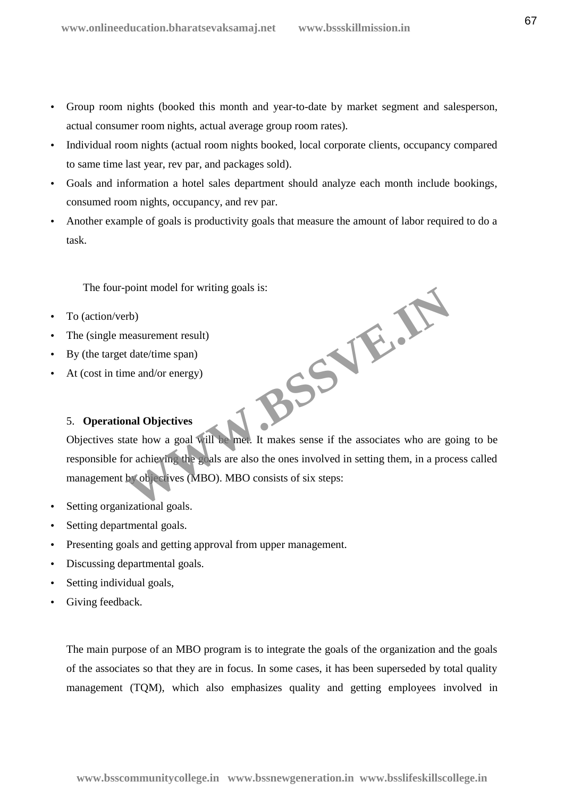- Group room nights (booked this month and year-to-date by market segment and salesperson, actual consumer room nights, actual average group room rates).
- Individual room nights (actual room nights booked, local corporate clients, occupancy compared to same time last year, rev par, and packages sold).
- Goals and information a hotel sales department should analyze each month include bookings, consumed room nights, occupancy, and rev par.
- Another example of goals is productivity goals that measure the amount of labor required to do a task.

The four-point model for writing goals is:

- To (action/verb)
- The (single measurement result)
- By (the target date/time span)
- At (cost in time and/or energy)

# 5. **Operational Objectives**

Objectives state how a goal will be met. It makes sense if the associates who are going to be responsible for achieving the goals are also the ones involved in setting them, in a process called management by objectives (MBO). MBO consists of six steps: **WWW.BSSVE.IN**

- Setting organizational goals.
- Setting departmental goals.
- Presenting goals and getting approval from upper management.
- Discussing departmental goals.
- Setting individual goals,
- Giving feedback.

The main purpose of an MBO program is to integrate the goals of the organization and the goals of the associates so that they are in focus. In some cases, it has been superseded by total quality management (TQM), which also emphasizes quality and getting employees involved in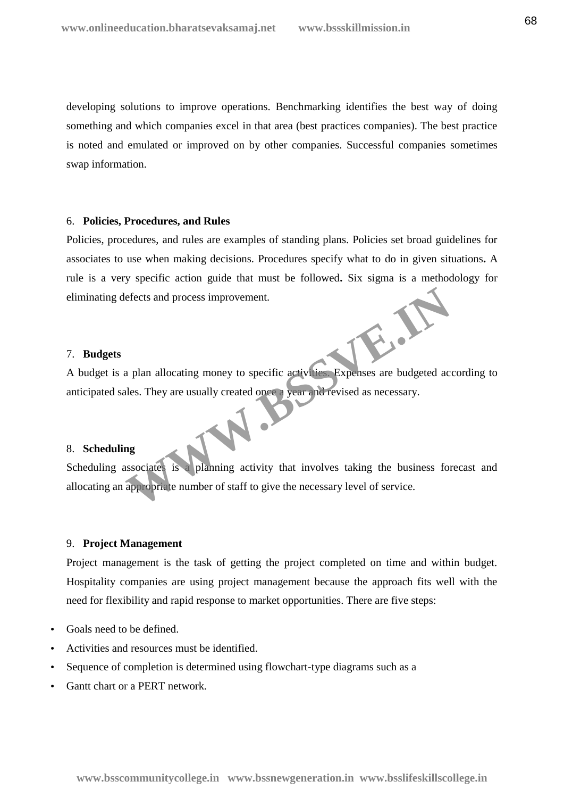developing solutions to improve operations. Benchmarking identifies the best way of doing something and which companies excel in that area (best practices companies). The best practice is noted and emulated or improved on by other companies. Successful companies sometimes swap information.

#### 6. **Policies, Procedures, and Rules**

Policies, procedures, and rules are examples of standing plans. Policies set broad guidelines for associates to use when making decisions. Procedures specify what to do in given situations**.** A rule is a very specific action guide that must be followed**.** Six sigma is a methodology for eliminating defects and process improvement.

#### 7. **Budgets**

A budget is a plan allocating money to specific activities. Expenses are budgeted according to anticipated sales. They are usually created once a year and revised as necessary.

### 8. **Scheduling**

Scheduling associates is a planning activity that involves taking the business forecast and allocating an appropriate number of staff to give the necessary level of service. Expenses are budgeted access improvement.<br>
a plan allocating money to specific activities. Expenses are budgeted access<br>
alles. They are usually created once a year and revised as necessary.<br>
and  $\frac{1}{2}$ <br>
and  $\frac{1}{2}$ <br>

## 9. **Project Management**

Project management is the task of getting the project completed on time and within budget. Hospitality companies are using project management because the approach fits well with the need for flexibility and rapid response to market opportunities. There are five steps:

- Goals need to be defined.
- Activities and resources must be identified.
- Sequence of completion is determined using flowchart-type diagrams such as a
- Gantt chart or a PERT network.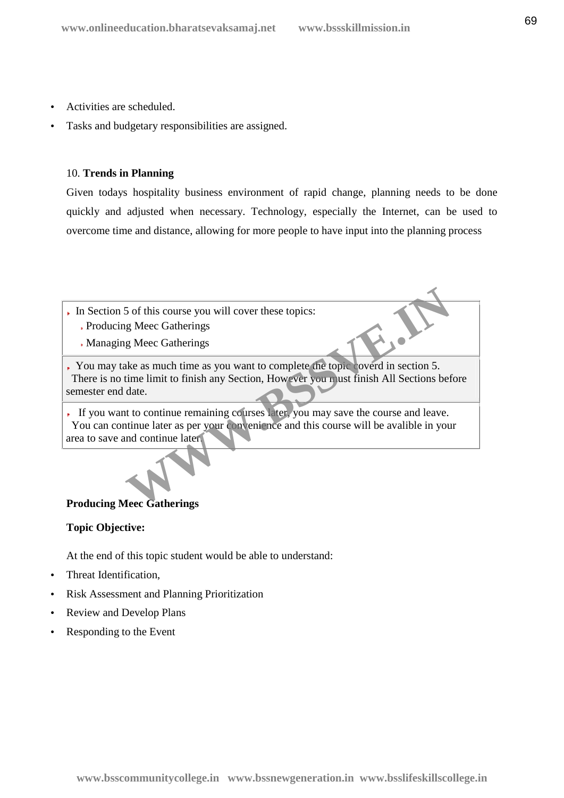- Activities are scheduled.
- Tasks and budgetary responsibilities are assigned.

## 10. **Trends in Planning**

Given todays hospitality business environment of rapid change, planning needs to be done quickly and adjusted when necessary. Technology, especially the Internet, can be used to overcome time and distance, allowing for more people to have input into the planning process

- In Section 5 of this course you will cover these topics:
	- Producing Meec Gatherings
	- Managing Meec Gatherings

You may take as much time as you want to complete the topic coverd in section 5. There is no time limit to finish any Section, However you must finish All Sections before semester end date. 5 of this course you will cover these topics:<br>
g Meec Gatherings<br>
ake as much time as you want to complete the topic coverd in section 5.<br>
time limit to finish any Section, However you nust finish All Sections bef<br>
date.<br>

If you want to continue remaining courses later, you may save the course and leave. You can continue later as per your convenience and this course will be avalible in your area to save and continue later.

## **Producing Meec Gatherings**

## **Topic Objective:**

At the end of this topic student would be able to understand:

- Threat Identification,
- Risk Assessment and Planning Prioritization
- Review and Develop Plans
- Responding to the Event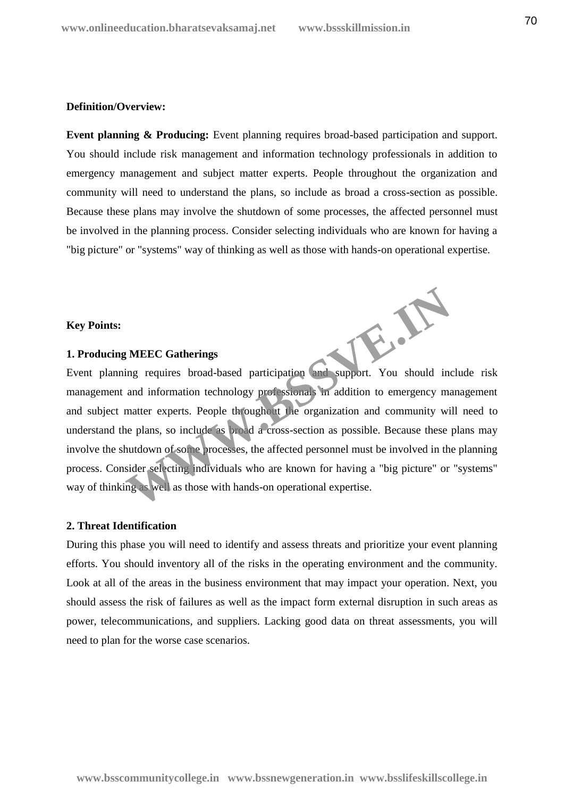## **Definition/Overview:**

**Event planning & Producing:** Event planning requires broad-based participation and support. You should include risk management and information technology professionals in addition to emergency management and subject matter experts. People throughout the organization and community will need to understand the plans, so include as broad a cross-section as possible. Because these plans may involve the shutdown of some processes, the affected personnel must be involved in the planning process. Consider selecting individuals who are known for having a "big picture" or "systems" way of thinking as well as those with hands-on operational expertise.

## **Key Points:**

## **1. Producing MEEC Gatherings**

Event planning requires broad-based participation and support. You should include risk management and information technology professionals in addition to emergency management and subject matter experts. People throughout the organization and community will need to understand the plans, so include as broad a cross-section as possible. Because these plans may involve the shutdown of some processes, the affected personnel must be involved in the planning process. Consider selecting individuals who are known for having a "big picture" or "systems" way of thinking as well as those with hands-on operational expertise. W.B.

### **2. Threat Identification**

During this phase you will need to identify and assess threats and prioritize your event planning efforts. You should inventory all of the risks in the operating environment and the community. Look at all of the areas in the business environment that may impact your operation. Next, you should assess the risk of failures as well as the impact form external disruption in such areas as power, telecommunications, and suppliers. Lacking good data on threat assessments, you will need to plan for the worse case scenarios.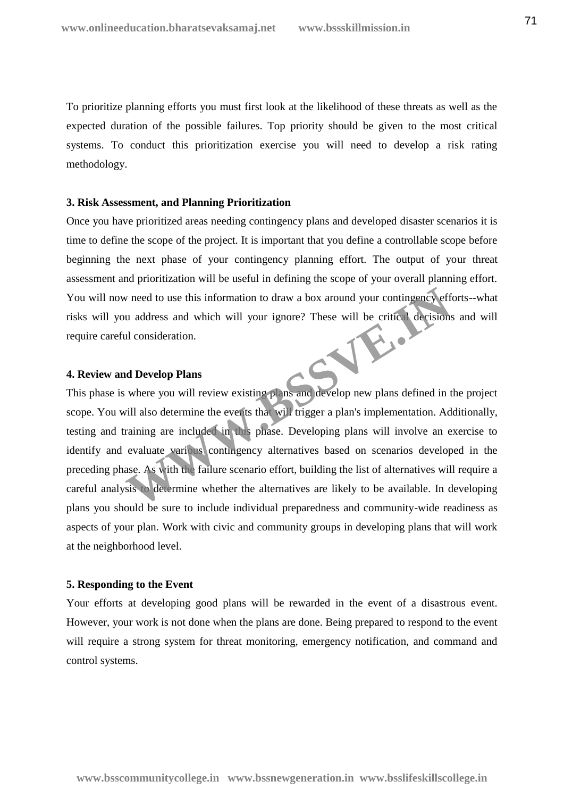To prioritize planning efforts you must first look at the likelihood of these threats as well as the expected duration of the possible failures. Top priority should be given to the most critical systems. To conduct this prioritization exercise you will need to develop a risk rating methodology.

## **3. Risk Assessment, and Planning Prioritization**

Once you have prioritized areas needing contingency plans and developed disaster scenarios it is time to define the scope of the project. It is important that you define a controllable scope before beginning the next phase of your contingency planning effort. The output of your threat assessment and prioritization will be useful in defining the scope of your overall planning effort. You will now need to use this information to draw a box around your contingency efforts--what risks will you address and which will your ignore? These will be critical decisions and will<br>require careful consideration.<br>4. Review and  $\Gamma$ require careful consideration.

### **4. Review and Develop Plans**

This phase is where you will review existing plans and develop new plans defined in the project scope. You will also determine the events that will trigger a plan's implementation. Additionally, testing and training are included in this phase. Developing plans will involve an exercise to identify and evaluate various contingency alternatives based on scenarios developed in the preceding phase. As with the failure scenario effort, building the list of alternatives will require a careful analysis to determine whether the alternatives are likely to be available. In developing plans you should be sure to include individual preparedness and community-wide readiness as aspects of your plan. Work with civic and community groups in developing plans that will work at the neighborhood level. where you will review existing plans and develop new plans defined a develop Plans<br>
where you will review existing plans and develop new plans defined in the critical decisions<br>
where you will review existing plans and dev

### **5. Responding to the Event**

Your efforts at developing good plans will be rewarded in the event of a disastrous event. However, your work is not done when the plans are done. Being prepared to respond to the event will require a strong system for threat monitoring, emergency notification, and command and control systems.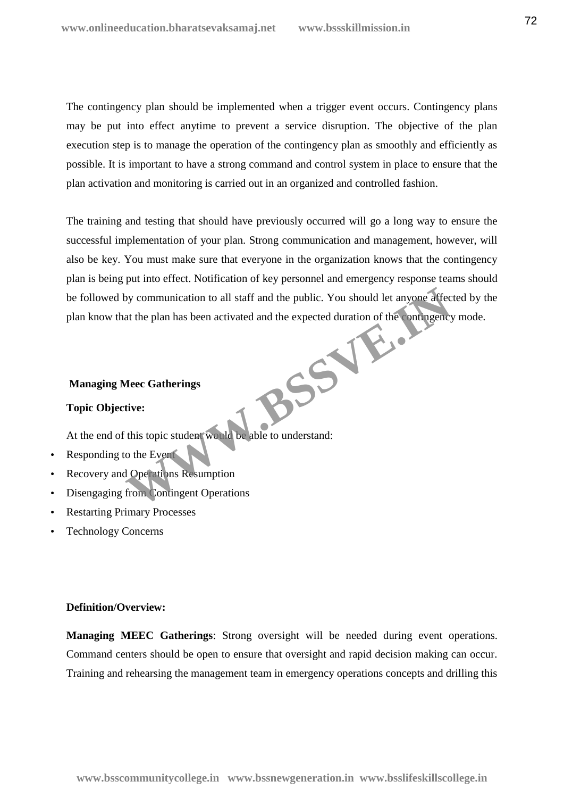The contingency plan should be implemented when a trigger event occurs. Contingency plans may be put into effect anytime to prevent a service disruption. The objective of the plan execution step is to manage the operation of the contingency plan as smoothly and efficiently as possible. It is important to have a strong command and control system in place to ensure that the plan activation and monitoring is carried out in an organized and controlled fashion.

The training and testing that should have previously occurred will go a long way to ensure the successful implementation of your plan. Strong communication and management, however, will also be key. You must make sure that everyone in the organization knows that the contingency plan is being put into effect. Notification of key personnel and emergency response teams should be followed by communication to all staff and the public. You should let anyone affected by the plan know that the plan has been activated and the expected duration of the contingency mode. BSSV<sub>orthe</sub>

# **Managing Meec Gatherings**

## **Topic Objective:**

At the end of this topic student would be able to understand:

- Responding to the Event
- Recovery and Operations Resumption
- Disengaging from Contingent Operations
- Restarting Primary Processes
- Technology Concerns

## **Definition/Overview:**

**Managing MEEC Gatherings**: Strong oversight will be needed during event operations. Command centers should be open to ensure that oversight and rapid decision making can occur. Training and rehearsing the management team in emergency operations concepts and drilling this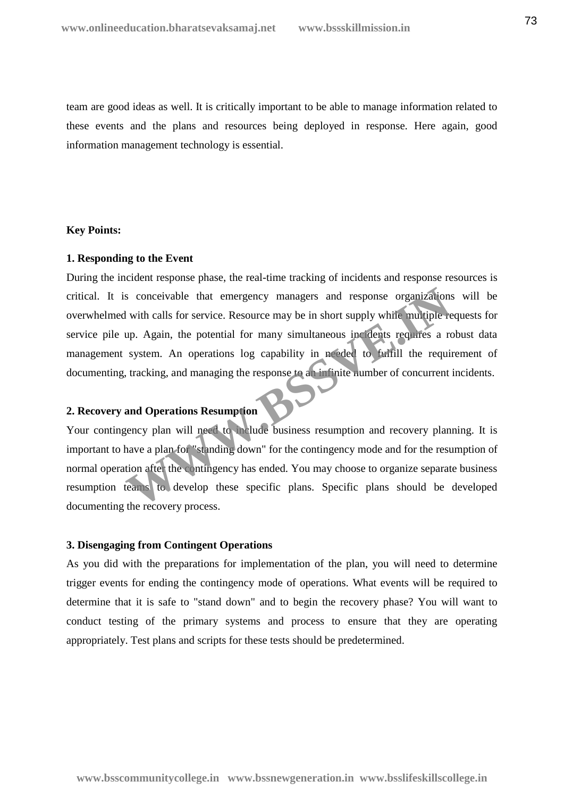team are good ideas as well. It is critically important to be able to manage information related to these events and the plans and resources being deployed in response. Here again, good information management technology is essential.

## **Key Points:**

### **1. Responding to the Event**

During the incident response phase, the real-time tracking of incidents and response resources is critical. It is conceivable that emergency managers and response organizations will be overwhelmed with calls for service. Resource may be in short supply while multiple requests for service pile up. Again, the potential for many simultaneous incidents requires a robust data management system. An operations log capability in needed to fulfill the requirement of documenting, tracking, and managing the response to an infinite number of concurrent incidents. Solution to the term of term of the entingency managers and response organizations<br>
With calls for service. Resource may be in short supply while multiple re<br>
up. Again, the potential for many simultaneous includes require

# **2. Recovery and Operations Resumption**

Your contingency plan will need to include business resumption and recovery planning. It is important to have a plan for "standing down" for the contingency mode and for the resumption of normal operation after the contingency has ended. You may choose to organize separate business resumption teams to develop these specific plans. Specific plans should be developed documenting the recovery process.

## **3. Disengaging from Contingent Operations**

As you did with the preparations for implementation of the plan, you will need to determine trigger events for ending the contingency mode of operations. What events will be required to determine that it is safe to "stand down" and to begin the recovery phase? You will want to conduct testing of the primary systems and process to ensure that they are operating appropriately. Test plans and scripts for these tests should be predetermined.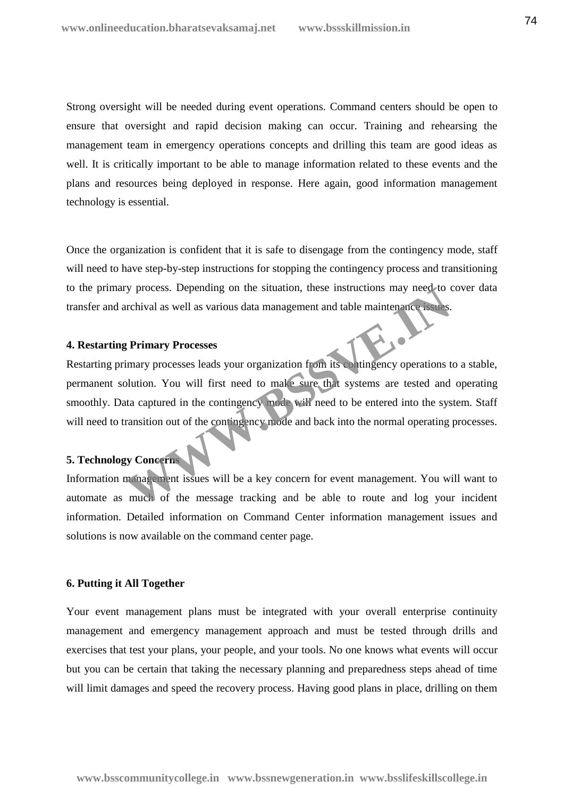Strong oversight will be needed during event operations. Command centers should be open to ensure that oversight and rapid decision making can occur. Training and rehearsing the management team in emergency operations concepts and drilling this team are good ideas as well. It is critically important to be able to manage information related to these events and the plans and resources being deployed in response. Here again, good information management technology is essential.

Once the organization is confident that it is safe to disengage from the contingency mode, staff will need to have step-by-step instructions for stopping the contingency process and transitioning to the primary process. Depending on the situation, these instructions may need to cover data transfer and archival as well as various data management and table maintenance issues.

#### **4. Restarting Primary Processes**

Restarting primary processes leads your organization from its contingency operations to a stable, permanent solution. You will first need to make sure that systems are tested and operating smoothly. Data captured in the contingency mode will need to be entered into the system. Staff will need to transition out of the contingency mode and back into the normal operating processes. The process. Depending on the situation, these instructions may heed to contributed as well as various data management and table maintenance issues.<br> **We primary Processes**<br>
Experimental as well as various data management

## **5. Technology Concerns**

Information management issues will be a key concern for event management. You will want to automate as much of the message tracking and be able to route and log your incident information. Detailed information on Command Center information management issues and solutions is now available on the command center page.

### **6. Putting it All Together**

Your event management plans must be integrated with your overall enterprise continuity management and emergency management approach and must be tested through drills and exercises that test your plans, your people, and your tools. No one knows what events will occur but you can be certain that taking the necessary planning and preparedness steps ahead of time will limit damages and speed the recovery process. Having good plans in place, drilling on them